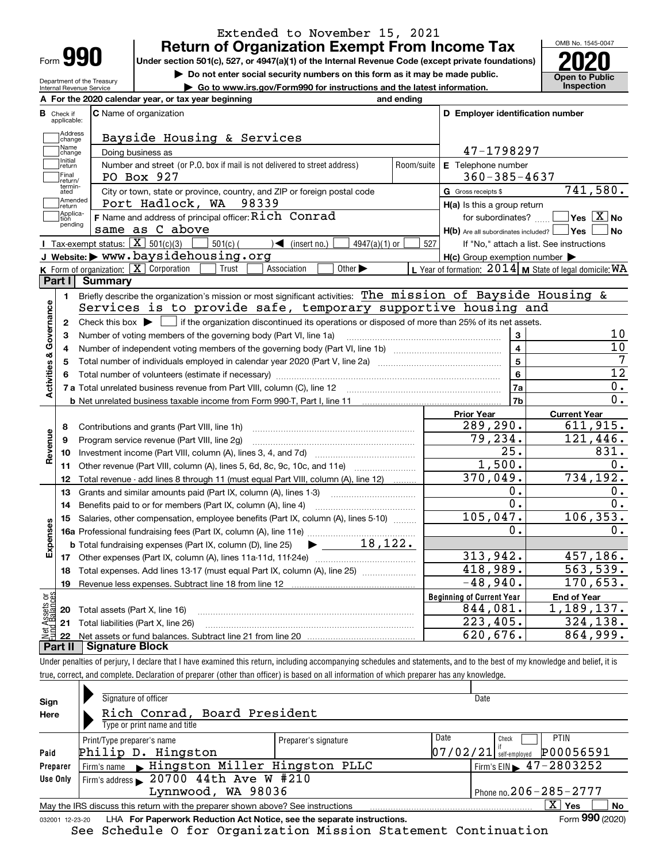| Form |  |
|------|--|
|      |  |

### **Return of Organization Exempt From Income Tax** Extended to November 15, 2021

**Under section 501(c), 527, or 4947(a)(1) of the Internal Revenue Code (except private foundations) 2020**

**| Do not enter social security numbers on this form as it may be made public.**

Department of the Treasury Internal Revenue Service **| Go to www.irs.gov/Form990 for instructions and the latest information. Inspection**

OMB No. 1545-0047 **Open to Public** 

|                         |                         | A For the 2020 calendar year, or tax year beginning                                                                                    | and ending |                                                     |                                                           |
|-------------------------|-------------------------|----------------------------------------------------------------------------------------------------------------------------------------|------------|-----------------------------------------------------|-----------------------------------------------------------|
| в                       | Check if<br>applicable: | <b>C</b> Name of organization                                                                                                          |            | D Employer identification number                    |                                                           |
|                         | Address<br> change      | Bayside Housing & Services                                                                                                             |            |                                                     |                                                           |
|                         | Name<br>change          | Doing business as                                                                                                                      |            | 47-1798297                                          |                                                           |
|                         | Initial<br>return       | Number and street (or P.O. box if mail is not delivered to street address)                                                             | Room/suite | E Telephone number                                  |                                                           |
|                         | Final<br>return/        | PO Box 927                                                                                                                             |            | $360 - 385 - 4637$                                  |                                                           |
|                         | termin-<br>ated         | City or town, state or province, country, and ZIP or foreign postal code                                                               |            | G Gross receipts \$                                 | 741,580.                                                  |
|                         | Amended<br>return       | Port Hadlock, WA 98339                                                                                                                 |            | $H(a)$ is this a group return                       |                                                           |
|                         | Applica-<br>tion        | F Name and address of principal officer: Rich Conrad                                                                                   |            | for subordinates?                                   | $ Yes X $ No                                              |
|                         | pending                 | same as C above                                                                                                                        |            | $H(b)$ Are all subordinates included? $\Box$ Yes    | ∣ No                                                      |
|                         |                         | Tax-exempt status: $\boxed{\mathbf{X}}$ 501(c)(3)<br>$501(c)$ (<br>$\sqrt{\frac{1}{1}}$ (insert no.)<br>$4947(a)(1)$ or                | 527        |                                                     | If "No," attach a list. See instructions                  |
|                         |                         | J Website: > www.baysidehousing.org                                                                                                    |            | $H(c)$ Group exemption number $\blacktriangleright$ |                                                           |
|                         |                         | K Form of organization: $\boxed{\mathbf{X}}$ Corporation<br>Other $\blacktriangleright$<br>Trust<br>Association                        |            |                                                     | L Year of formation: $2014$ M State of legal domicile: WA |
|                         | Part I                  | <b>Summary</b>                                                                                                                         |            |                                                     |                                                           |
|                         | 1.                      | Briefly describe the organization's mission or most significant activities: The mission of Bayside Housing &                           |            |                                                     |                                                           |
|                         |                         | Services is to provide safe, temporary supportive housing and                                                                          |            |                                                     |                                                           |
| Activities & Governance | $\mathbf{2}$            | Check this box $\blacktriangleright$   if the organization discontinued its operations or disposed of more than 25% of its net assets. |            |                                                     |                                                           |
|                         | 3                       | Number of voting members of the governing body (Part VI, line 1a)                                                                      |            | 3                                                   | 10                                                        |
|                         | 4                       |                                                                                                                                        |            | $\overline{\mathbf{4}}$                             | $\overline{10}$                                           |
|                         | 5                       |                                                                                                                                        |            | $\overline{5}$                                      | 7                                                         |
|                         | 6                       |                                                                                                                                        |            | 6                                                   | $\overline{12}$                                           |
|                         |                         |                                                                                                                                        |            | 7a                                                  | 0.                                                        |
|                         |                         |                                                                                                                                        |            | 7 <sub>b</sub>                                      | Ο.                                                        |
|                         |                         |                                                                                                                                        |            | <b>Prior Year</b>                                   | <b>Current Year</b>                                       |
|                         | 8                       | Contributions and grants (Part VIII, line 1h)                                                                                          |            | 289,290.                                            | 611,915.                                                  |
| Revenue                 | 9                       | Program service revenue (Part VIII, line 2g)                                                                                           |            | 79,234.                                             | 121,446.                                                  |
|                         | 10                      |                                                                                                                                        |            | 25.                                                 | 831.                                                      |
|                         | 11                      |                                                                                                                                        |            | 1,500.                                              | 0.                                                        |
|                         | 12                      | Total revenue - add lines 8 through 11 (must equal Part VIII, column (A), line 12)                                                     |            | 370,049.                                            | 734,192.                                                  |
|                         | 13                      | Grants and similar amounts paid (Part IX, column (A), lines 1-3)                                                                       |            | 0.                                                  | 0.                                                        |
|                         | 14                      | Benefits paid to or for members (Part IX, column (A), line 4)                                                                          |            | $\overline{0}$ .                                    | 0.                                                        |
|                         | 15                      | Salaries, other compensation, employee benefits (Part IX, column (A), lines 5-10)                                                      |            | 105,047.                                            | 106, 353.                                                 |
| Expenses                |                         |                                                                                                                                        |            | 0.                                                  | 0.                                                        |
|                         |                         | $\blacktriangleright$ 18,122.<br><b>b</b> Total fundraising expenses (Part IX, column (D), line 25)                                    |            |                                                     |                                                           |
|                         |                         |                                                                                                                                        |            | 313,942.                                            | 457,186.                                                  |
|                         |                         | Total expenses. Add lines 13-17 (must equal Part IX, column (A), line 25)                                                              |            | 418,989.                                            | 563, 539.                                                 |
|                         | 18                      |                                                                                                                                        |            |                                                     | 170,653.                                                  |
|                         | 19                      |                                                                                                                                        |            | $-48,940.$                                          |                                                           |
|                         |                         |                                                                                                                                        |            | <b>Beginning of Current Year</b>                    | <b>End of Year</b>                                        |
| äğ                      |                         | 20 Total assets (Part X, line 16)                                                                                                      |            | 844,081.                                            | 1,189,137.                                                |
| ssets                   | 22                      | 21 Total liabilities (Part X, line 26)                                                                                                 |            | 223,405.<br>620, 676.                               | 324,138.<br>864,999.                                      |

Under penalties of perjury, I declare that I have examined this return, including accompanying schedules and statements, and to the best of my knowledge and belief, it is true, correct, and complete. Declaration of preparer (other than officer) is based on all information of which preparer has any knowledge.

| Sign<br>Here    | Signature of officer<br>Rich Conrad, Board President<br>Type or print name and title |                      |                              | Date                                        |
|-----------------|--------------------------------------------------------------------------------------|----------------------|------------------------------|---------------------------------------------|
|                 | Print/Type preparer's name                                                           | Preparer's signature | Date                         | PTIN<br>Check                               |
| Paid            | Philip D. Hingston                                                                   |                      |                              | P00056591<br>$07/02/21$ self-employed       |
| Preparer        | Firm's name Elingston Miller Hingston PLLC                                           |                      |                              | Firm's EIN $\blacktriangleright$ 47-2803252 |
| Use Only        | Firm's address $\geq 20700$ 44th Ave W #210                                          |                      |                              |                                             |
|                 | Lynnwood, WA 98036                                                                   |                      | Phone no. $206 - 285 - 2777$ |                                             |
|                 | May the IRS discuss this return with the preparer shown above? See instructions      |                      |                              | $\mathbf{x}$<br><b>No</b><br>Yes            |
| 032001 12-23-20 | LHA For Paperwork Reduction Act Notice, see the separate instructions.               |                      |                              | Form 990 (2020)                             |

See Schedule O for Organization Mission Statement Continuation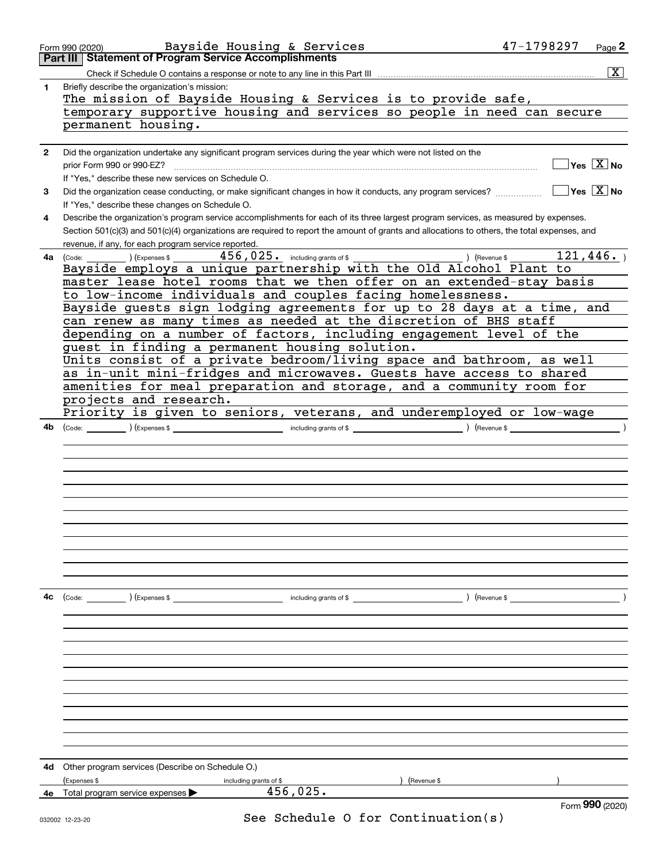|    | Bayside Housing & Services<br>Form 990 (2020)                                                                                                | 47-1798297    |                        | Page 2             |
|----|----------------------------------------------------------------------------------------------------------------------------------------------|---------------|------------------------|--------------------|
|    | Part III   Statement of Program Service Accomplishments                                                                                      |               |                        |                    |
|    |                                                                                                                                              |               |                        | $\boxed{\text{X}}$ |
| 1  | Briefly describe the organization's mission:                                                                                                 |               |                        |                    |
|    | The mission of Bayside Housing & Services is to provide safe,                                                                                |               |                        |                    |
|    | temporary supportive housing and services so people in need can secure                                                                       |               |                        |                    |
|    | permanent housing.                                                                                                                           |               |                        |                    |
|    |                                                                                                                                              |               |                        |                    |
| 2  | Did the organization undertake any significant program services during the year which were not listed on the                                 |               |                        |                    |
|    |                                                                                                                                              |               | $\Box$ Yes $\Box X$ No |                    |
|    | prior Form 990 or 990-EZ?                                                                                                                    |               |                        |                    |
|    | If "Yes," describe these new services on Schedule O.                                                                                         |               |                        |                    |
| 3  | Did the organization cease conducting, or make significant changes in how it conducts, any program services?                                 |               | $\Box$ Yes $\Box$ No   |                    |
|    | If "Yes," describe these changes on Schedule O.                                                                                              |               |                        |                    |
| 4  | Describe the organization's program service accomplishments for each of its three largest program services, as measured by expenses.         |               |                        |                    |
|    | Section 501(c)(3) and 501(c)(4) organizations are required to report the amount of grants and allocations to others, the total expenses, and |               |                        |                    |
|    | revenue, if any, for each program service reported.                                                                                          |               |                        |                    |
| 4a |                                                                                                                                              |               | 121,446.               |                    |
|    | Bayside employs a unique partnership with the Old Alcohol Plant to                                                                           |               |                        |                    |
|    | master lease hotel rooms that we then offer on an extended-stay basis                                                                        |               |                        |                    |
|    | to low-income individuals and couples facing homelessness.                                                                                   |               |                        |                    |
|    | Bayside guests sign lodging agreements for up to 28 days at a time, and                                                                      |               |                        |                    |
|    | can renew as many times as needed at the discretion of BHS staff                                                                             |               |                        |                    |
|    | depending on a number of factors, including engagement level of the                                                                          |               |                        |                    |
|    | guest in finding a permanent housing solution.                                                                                               |               |                        |                    |
|    | Units consist of a private bedroom/living space and bathroom, as well                                                                        |               |                        |                    |
|    | as in-unit mini-fridges and microwaves. Guests have access to shared                                                                         |               |                        |                    |
|    | amenities for meal preparation and storage, and a community room for                                                                         |               |                        |                    |
|    | projects and research.                                                                                                                       |               |                        |                    |
|    | Priority is given to seniors, veterans, and underemployed or low-wage                                                                        |               |                        |                    |
|    |                                                                                                                                              |               |                        |                    |
| 4b |                                                                                                                                              |               |                        |                    |
|    |                                                                                                                                              |               |                        |                    |
|    |                                                                                                                                              |               |                        |                    |
|    |                                                                                                                                              |               |                        |                    |
|    |                                                                                                                                              |               |                        |                    |
|    |                                                                                                                                              |               |                        |                    |
|    |                                                                                                                                              |               |                        |                    |
|    |                                                                                                                                              |               |                        |                    |
|    |                                                                                                                                              |               |                        |                    |
|    |                                                                                                                                              |               |                        |                    |
|    |                                                                                                                                              |               |                        |                    |
|    |                                                                                                                                              |               |                        |                    |
|    |                                                                                                                                              |               |                        |                    |
| 4с |                                                                                                                                              | ) (Revenue \$ |                        |                    |
|    |                                                                                                                                              |               |                        |                    |
|    |                                                                                                                                              |               |                        |                    |
|    |                                                                                                                                              |               |                        |                    |
|    |                                                                                                                                              |               |                        |                    |
|    |                                                                                                                                              |               |                        |                    |
|    |                                                                                                                                              |               |                        |                    |
|    |                                                                                                                                              |               |                        |                    |
|    |                                                                                                                                              |               |                        |                    |
|    |                                                                                                                                              |               |                        |                    |
|    |                                                                                                                                              |               |                        |                    |
|    |                                                                                                                                              |               |                        |                    |
|    |                                                                                                                                              |               |                        |                    |
|    |                                                                                                                                              |               |                        |                    |
| 4d | Other program services (Describe on Schedule O.)                                                                                             |               |                        |                    |
|    | (Expenses \$<br>) (Revenue \$<br>including grants of \$                                                                                      |               |                        |                    |
| 4e | 456,025.<br>Total program service expenses                                                                                                   |               |                        |                    |
|    |                                                                                                                                              |               | Form 990 (2020)        |                    |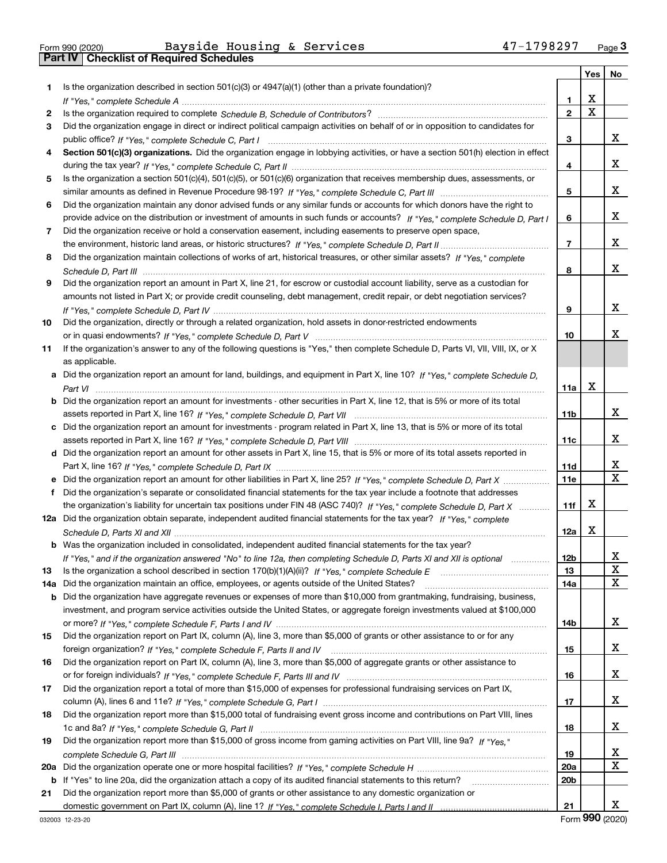|  | Form 990 (2020) |
|--|-----------------|

# Form 990 (2020) Bayside Housing & Services 47-1798297 <sub>Page</sub> 3<br>**Part IV | Checklist of Required Schedules**

| Is the organization described in section $501(c)(3)$ or $4947(a)(1)$ (other than a private foundation)?<br>1.<br>х<br>1<br>X<br>$\mathbf{2}$<br>2<br>Did the organization engage in direct or indirect political campaign activities on behalf of or in opposition to candidates for<br>3<br>3<br>Section 501(c)(3) organizations. Did the organization engage in lobbying activities, or have a section 501(h) election in effect<br>4<br>4<br>Is the organization a section 501(c)(4), 501(c)(5), or 501(c)(6) organization that receives membership dues, assessments, or<br>5<br>5<br>Did the organization maintain any donor advised funds or any similar funds or accounts for which donors have the right to<br>6<br>provide advice on the distribution or investment of amounts in such funds or accounts? If "Yes," complete Schedule D, Part I<br>6<br>Did the organization receive or hold a conservation easement, including easements to preserve open space,<br>7<br>7<br>Did the organization maintain collections of works of art, historical treasures, or other similar assets? If "Yes," complete<br>8<br>8<br>Did the organization report an amount in Part X, line 21, for escrow or custodial account liability, serve as a custodian for<br>9<br>amounts not listed in Part X; or provide credit counseling, debt management, credit repair, or debt negotiation services?<br>9<br>Did the organization, directly or through a related organization, hold assets in donor-restricted endowments<br>10<br>10<br>If the organization's answer to any of the following questions is "Yes," then complete Schedule D, Parts VI, VIII, VIII, IX, or X<br>11<br>as applicable.<br>Did the organization report an amount for land, buildings, and equipment in Part X, line 10? If "Yes," complete Schedule D,<br>a<br>х<br>11a<br>Did the organization report an amount for investments - other securities in Part X, line 12, that is 5% or more of its total<br>b<br>11b<br>c Did the organization report an amount for investments - program related in Part X, line 13, that is 5% or more of its total<br>11c<br>d Did the organization report an amount for other assets in Part X, line 15, that is 5% or more of its total assets reported in<br>11d<br><b>11e</b><br>Did the organization's separate or consolidated financial statements for the tax year include a footnote that addresses<br>f<br>х<br>the organization's liability for uncertain tax positions under FIN 48 (ASC 740)? If "Yes," complete Schedule D, Part X<br>11f<br>12a Did the organization obtain separate, independent audited financial statements for the tax year? If "Yes," complete<br>x<br>12a<br>Was the organization included in consolidated, independent audited financial statements for the tax year?<br>12 <sub>b</sub><br>If "Yes," and if the organization answered "No" to line 12a, then completing Schedule D, Parts XI and XII is optional<br>Is the organization a school described in section 170(b)(1)(A)(ii)? If "Yes," complete Schedule E<br>13<br>13<br>Did the organization maintain an office, employees, or agents outside of the United States?<br>14a<br>14a | X.<br>x<br>X.<br>X.<br>X.<br>x<br>X.<br>x |
|-------------------------------------------------------------------------------------------------------------------------------------------------------------------------------------------------------------------------------------------------------------------------------------------------------------------------------------------------------------------------------------------------------------------------------------------------------------------------------------------------------------------------------------------------------------------------------------------------------------------------------------------------------------------------------------------------------------------------------------------------------------------------------------------------------------------------------------------------------------------------------------------------------------------------------------------------------------------------------------------------------------------------------------------------------------------------------------------------------------------------------------------------------------------------------------------------------------------------------------------------------------------------------------------------------------------------------------------------------------------------------------------------------------------------------------------------------------------------------------------------------------------------------------------------------------------------------------------------------------------------------------------------------------------------------------------------------------------------------------------------------------------------------------------------------------------------------------------------------------------------------------------------------------------------------------------------------------------------------------------------------------------------------------------------------------------------------------------------------------------------------------------------------------------------------------------------------------------------------------------------------------------------------------------------------------------------------------------------------------------------------------------------------------------------------------------------------------------------------------------------------------------------------------------------------------------------------------------------------------------------------------------------------------------------------------------------------------------------------------------------------------------------------------------------------------------------------------------------------------------------------------------------------------------------------------------------------------------------------------------------------------------------------------------------------------------------------------------------------------------------------------------------------------------------------------------------|-------------------------------------------|
|                                                                                                                                                                                                                                                                                                                                                                                                                                                                                                                                                                                                                                                                                                                                                                                                                                                                                                                                                                                                                                                                                                                                                                                                                                                                                                                                                                                                                                                                                                                                                                                                                                                                                                                                                                                                                                                                                                                                                                                                                                                                                                                                                                                                                                                                                                                                                                                                                                                                                                                                                                                                                                                                                                                                                                                                                                                                                                                                                                                                                                                                                                                                                                                                 |                                           |
|                                                                                                                                                                                                                                                                                                                                                                                                                                                                                                                                                                                                                                                                                                                                                                                                                                                                                                                                                                                                                                                                                                                                                                                                                                                                                                                                                                                                                                                                                                                                                                                                                                                                                                                                                                                                                                                                                                                                                                                                                                                                                                                                                                                                                                                                                                                                                                                                                                                                                                                                                                                                                                                                                                                                                                                                                                                                                                                                                                                                                                                                                                                                                                                                 |                                           |
|                                                                                                                                                                                                                                                                                                                                                                                                                                                                                                                                                                                                                                                                                                                                                                                                                                                                                                                                                                                                                                                                                                                                                                                                                                                                                                                                                                                                                                                                                                                                                                                                                                                                                                                                                                                                                                                                                                                                                                                                                                                                                                                                                                                                                                                                                                                                                                                                                                                                                                                                                                                                                                                                                                                                                                                                                                                                                                                                                                                                                                                                                                                                                                                                 |                                           |
|                                                                                                                                                                                                                                                                                                                                                                                                                                                                                                                                                                                                                                                                                                                                                                                                                                                                                                                                                                                                                                                                                                                                                                                                                                                                                                                                                                                                                                                                                                                                                                                                                                                                                                                                                                                                                                                                                                                                                                                                                                                                                                                                                                                                                                                                                                                                                                                                                                                                                                                                                                                                                                                                                                                                                                                                                                                                                                                                                                                                                                                                                                                                                                                                 |                                           |
|                                                                                                                                                                                                                                                                                                                                                                                                                                                                                                                                                                                                                                                                                                                                                                                                                                                                                                                                                                                                                                                                                                                                                                                                                                                                                                                                                                                                                                                                                                                                                                                                                                                                                                                                                                                                                                                                                                                                                                                                                                                                                                                                                                                                                                                                                                                                                                                                                                                                                                                                                                                                                                                                                                                                                                                                                                                                                                                                                                                                                                                                                                                                                                                                 |                                           |
|                                                                                                                                                                                                                                                                                                                                                                                                                                                                                                                                                                                                                                                                                                                                                                                                                                                                                                                                                                                                                                                                                                                                                                                                                                                                                                                                                                                                                                                                                                                                                                                                                                                                                                                                                                                                                                                                                                                                                                                                                                                                                                                                                                                                                                                                                                                                                                                                                                                                                                                                                                                                                                                                                                                                                                                                                                                                                                                                                                                                                                                                                                                                                                                                 |                                           |
|                                                                                                                                                                                                                                                                                                                                                                                                                                                                                                                                                                                                                                                                                                                                                                                                                                                                                                                                                                                                                                                                                                                                                                                                                                                                                                                                                                                                                                                                                                                                                                                                                                                                                                                                                                                                                                                                                                                                                                                                                                                                                                                                                                                                                                                                                                                                                                                                                                                                                                                                                                                                                                                                                                                                                                                                                                                                                                                                                                                                                                                                                                                                                                                                 |                                           |
|                                                                                                                                                                                                                                                                                                                                                                                                                                                                                                                                                                                                                                                                                                                                                                                                                                                                                                                                                                                                                                                                                                                                                                                                                                                                                                                                                                                                                                                                                                                                                                                                                                                                                                                                                                                                                                                                                                                                                                                                                                                                                                                                                                                                                                                                                                                                                                                                                                                                                                                                                                                                                                                                                                                                                                                                                                                                                                                                                                                                                                                                                                                                                                                                 |                                           |
|                                                                                                                                                                                                                                                                                                                                                                                                                                                                                                                                                                                                                                                                                                                                                                                                                                                                                                                                                                                                                                                                                                                                                                                                                                                                                                                                                                                                                                                                                                                                                                                                                                                                                                                                                                                                                                                                                                                                                                                                                                                                                                                                                                                                                                                                                                                                                                                                                                                                                                                                                                                                                                                                                                                                                                                                                                                                                                                                                                                                                                                                                                                                                                                                 |                                           |
|                                                                                                                                                                                                                                                                                                                                                                                                                                                                                                                                                                                                                                                                                                                                                                                                                                                                                                                                                                                                                                                                                                                                                                                                                                                                                                                                                                                                                                                                                                                                                                                                                                                                                                                                                                                                                                                                                                                                                                                                                                                                                                                                                                                                                                                                                                                                                                                                                                                                                                                                                                                                                                                                                                                                                                                                                                                                                                                                                                                                                                                                                                                                                                                                 |                                           |
|                                                                                                                                                                                                                                                                                                                                                                                                                                                                                                                                                                                                                                                                                                                                                                                                                                                                                                                                                                                                                                                                                                                                                                                                                                                                                                                                                                                                                                                                                                                                                                                                                                                                                                                                                                                                                                                                                                                                                                                                                                                                                                                                                                                                                                                                                                                                                                                                                                                                                                                                                                                                                                                                                                                                                                                                                                                                                                                                                                                                                                                                                                                                                                                                 |                                           |
|                                                                                                                                                                                                                                                                                                                                                                                                                                                                                                                                                                                                                                                                                                                                                                                                                                                                                                                                                                                                                                                                                                                                                                                                                                                                                                                                                                                                                                                                                                                                                                                                                                                                                                                                                                                                                                                                                                                                                                                                                                                                                                                                                                                                                                                                                                                                                                                                                                                                                                                                                                                                                                                                                                                                                                                                                                                                                                                                                                                                                                                                                                                                                                                                 |                                           |
|                                                                                                                                                                                                                                                                                                                                                                                                                                                                                                                                                                                                                                                                                                                                                                                                                                                                                                                                                                                                                                                                                                                                                                                                                                                                                                                                                                                                                                                                                                                                                                                                                                                                                                                                                                                                                                                                                                                                                                                                                                                                                                                                                                                                                                                                                                                                                                                                                                                                                                                                                                                                                                                                                                                                                                                                                                                                                                                                                                                                                                                                                                                                                                                                 |                                           |
|                                                                                                                                                                                                                                                                                                                                                                                                                                                                                                                                                                                                                                                                                                                                                                                                                                                                                                                                                                                                                                                                                                                                                                                                                                                                                                                                                                                                                                                                                                                                                                                                                                                                                                                                                                                                                                                                                                                                                                                                                                                                                                                                                                                                                                                                                                                                                                                                                                                                                                                                                                                                                                                                                                                                                                                                                                                                                                                                                                                                                                                                                                                                                                                                 |                                           |
|                                                                                                                                                                                                                                                                                                                                                                                                                                                                                                                                                                                                                                                                                                                                                                                                                                                                                                                                                                                                                                                                                                                                                                                                                                                                                                                                                                                                                                                                                                                                                                                                                                                                                                                                                                                                                                                                                                                                                                                                                                                                                                                                                                                                                                                                                                                                                                                                                                                                                                                                                                                                                                                                                                                                                                                                                                                                                                                                                                                                                                                                                                                                                                                                 |                                           |
|                                                                                                                                                                                                                                                                                                                                                                                                                                                                                                                                                                                                                                                                                                                                                                                                                                                                                                                                                                                                                                                                                                                                                                                                                                                                                                                                                                                                                                                                                                                                                                                                                                                                                                                                                                                                                                                                                                                                                                                                                                                                                                                                                                                                                                                                                                                                                                                                                                                                                                                                                                                                                                                                                                                                                                                                                                                                                                                                                                                                                                                                                                                                                                                                 |                                           |
|                                                                                                                                                                                                                                                                                                                                                                                                                                                                                                                                                                                                                                                                                                                                                                                                                                                                                                                                                                                                                                                                                                                                                                                                                                                                                                                                                                                                                                                                                                                                                                                                                                                                                                                                                                                                                                                                                                                                                                                                                                                                                                                                                                                                                                                                                                                                                                                                                                                                                                                                                                                                                                                                                                                                                                                                                                                                                                                                                                                                                                                                                                                                                                                                 |                                           |
|                                                                                                                                                                                                                                                                                                                                                                                                                                                                                                                                                                                                                                                                                                                                                                                                                                                                                                                                                                                                                                                                                                                                                                                                                                                                                                                                                                                                                                                                                                                                                                                                                                                                                                                                                                                                                                                                                                                                                                                                                                                                                                                                                                                                                                                                                                                                                                                                                                                                                                                                                                                                                                                                                                                                                                                                                                                                                                                                                                                                                                                                                                                                                                                                 |                                           |
|                                                                                                                                                                                                                                                                                                                                                                                                                                                                                                                                                                                                                                                                                                                                                                                                                                                                                                                                                                                                                                                                                                                                                                                                                                                                                                                                                                                                                                                                                                                                                                                                                                                                                                                                                                                                                                                                                                                                                                                                                                                                                                                                                                                                                                                                                                                                                                                                                                                                                                                                                                                                                                                                                                                                                                                                                                                                                                                                                                                                                                                                                                                                                                                                 |                                           |
|                                                                                                                                                                                                                                                                                                                                                                                                                                                                                                                                                                                                                                                                                                                                                                                                                                                                                                                                                                                                                                                                                                                                                                                                                                                                                                                                                                                                                                                                                                                                                                                                                                                                                                                                                                                                                                                                                                                                                                                                                                                                                                                                                                                                                                                                                                                                                                                                                                                                                                                                                                                                                                                                                                                                                                                                                                                                                                                                                                                                                                                                                                                                                                                                 |                                           |
|                                                                                                                                                                                                                                                                                                                                                                                                                                                                                                                                                                                                                                                                                                                                                                                                                                                                                                                                                                                                                                                                                                                                                                                                                                                                                                                                                                                                                                                                                                                                                                                                                                                                                                                                                                                                                                                                                                                                                                                                                                                                                                                                                                                                                                                                                                                                                                                                                                                                                                                                                                                                                                                                                                                                                                                                                                                                                                                                                                                                                                                                                                                                                                                                 |                                           |
|                                                                                                                                                                                                                                                                                                                                                                                                                                                                                                                                                                                                                                                                                                                                                                                                                                                                                                                                                                                                                                                                                                                                                                                                                                                                                                                                                                                                                                                                                                                                                                                                                                                                                                                                                                                                                                                                                                                                                                                                                                                                                                                                                                                                                                                                                                                                                                                                                                                                                                                                                                                                                                                                                                                                                                                                                                                                                                                                                                                                                                                                                                                                                                                                 |                                           |
|                                                                                                                                                                                                                                                                                                                                                                                                                                                                                                                                                                                                                                                                                                                                                                                                                                                                                                                                                                                                                                                                                                                                                                                                                                                                                                                                                                                                                                                                                                                                                                                                                                                                                                                                                                                                                                                                                                                                                                                                                                                                                                                                                                                                                                                                                                                                                                                                                                                                                                                                                                                                                                                                                                                                                                                                                                                                                                                                                                                                                                                                                                                                                                                                 |                                           |
|                                                                                                                                                                                                                                                                                                                                                                                                                                                                                                                                                                                                                                                                                                                                                                                                                                                                                                                                                                                                                                                                                                                                                                                                                                                                                                                                                                                                                                                                                                                                                                                                                                                                                                                                                                                                                                                                                                                                                                                                                                                                                                                                                                                                                                                                                                                                                                                                                                                                                                                                                                                                                                                                                                                                                                                                                                                                                                                                                                                                                                                                                                                                                                                                 |                                           |
|                                                                                                                                                                                                                                                                                                                                                                                                                                                                                                                                                                                                                                                                                                                                                                                                                                                                                                                                                                                                                                                                                                                                                                                                                                                                                                                                                                                                                                                                                                                                                                                                                                                                                                                                                                                                                                                                                                                                                                                                                                                                                                                                                                                                                                                                                                                                                                                                                                                                                                                                                                                                                                                                                                                                                                                                                                                                                                                                                                                                                                                                                                                                                                                                 |                                           |
|                                                                                                                                                                                                                                                                                                                                                                                                                                                                                                                                                                                                                                                                                                                                                                                                                                                                                                                                                                                                                                                                                                                                                                                                                                                                                                                                                                                                                                                                                                                                                                                                                                                                                                                                                                                                                                                                                                                                                                                                                                                                                                                                                                                                                                                                                                                                                                                                                                                                                                                                                                                                                                                                                                                                                                                                                                                                                                                                                                                                                                                                                                                                                                                                 | x                                         |
|                                                                                                                                                                                                                                                                                                                                                                                                                                                                                                                                                                                                                                                                                                                                                                                                                                                                                                                                                                                                                                                                                                                                                                                                                                                                                                                                                                                                                                                                                                                                                                                                                                                                                                                                                                                                                                                                                                                                                                                                                                                                                                                                                                                                                                                                                                                                                                                                                                                                                                                                                                                                                                                                                                                                                                                                                                                                                                                                                                                                                                                                                                                                                                                                 |                                           |
|                                                                                                                                                                                                                                                                                                                                                                                                                                                                                                                                                                                                                                                                                                                                                                                                                                                                                                                                                                                                                                                                                                                                                                                                                                                                                                                                                                                                                                                                                                                                                                                                                                                                                                                                                                                                                                                                                                                                                                                                                                                                                                                                                                                                                                                                                                                                                                                                                                                                                                                                                                                                                                                                                                                                                                                                                                                                                                                                                                                                                                                                                                                                                                                                 | X.                                        |
|                                                                                                                                                                                                                                                                                                                                                                                                                                                                                                                                                                                                                                                                                                                                                                                                                                                                                                                                                                                                                                                                                                                                                                                                                                                                                                                                                                                                                                                                                                                                                                                                                                                                                                                                                                                                                                                                                                                                                                                                                                                                                                                                                                                                                                                                                                                                                                                                                                                                                                                                                                                                                                                                                                                                                                                                                                                                                                                                                                                                                                                                                                                                                                                                 |                                           |
|                                                                                                                                                                                                                                                                                                                                                                                                                                                                                                                                                                                                                                                                                                                                                                                                                                                                                                                                                                                                                                                                                                                                                                                                                                                                                                                                                                                                                                                                                                                                                                                                                                                                                                                                                                                                                                                                                                                                                                                                                                                                                                                                                                                                                                                                                                                                                                                                                                                                                                                                                                                                                                                                                                                                                                                                                                                                                                                                                                                                                                                                                                                                                                                                 | X<br>$\overline{\mathbf{x}}$              |
|                                                                                                                                                                                                                                                                                                                                                                                                                                                                                                                                                                                                                                                                                                                                                                                                                                                                                                                                                                                                                                                                                                                                                                                                                                                                                                                                                                                                                                                                                                                                                                                                                                                                                                                                                                                                                                                                                                                                                                                                                                                                                                                                                                                                                                                                                                                                                                                                                                                                                                                                                                                                                                                                                                                                                                                                                                                                                                                                                                                                                                                                                                                                                                                                 |                                           |
|                                                                                                                                                                                                                                                                                                                                                                                                                                                                                                                                                                                                                                                                                                                                                                                                                                                                                                                                                                                                                                                                                                                                                                                                                                                                                                                                                                                                                                                                                                                                                                                                                                                                                                                                                                                                                                                                                                                                                                                                                                                                                                                                                                                                                                                                                                                                                                                                                                                                                                                                                                                                                                                                                                                                                                                                                                                                                                                                                                                                                                                                                                                                                                                                 |                                           |
|                                                                                                                                                                                                                                                                                                                                                                                                                                                                                                                                                                                                                                                                                                                                                                                                                                                                                                                                                                                                                                                                                                                                                                                                                                                                                                                                                                                                                                                                                                                                                                                                                                                                                                                                                                                                                                                                                                                                                                                                                                                                                                                                                                                                                                                                                                                                                                                                                                                                                                                                                                                                                                                                                                                                                                                                                                                                                                                                                                                                                                                                                                                                                                                                 |                                           |
|                                                                                                                                                                                                                                                                                                                                                                                                                                                                                                                                                                                                                                                                                                                                                                                                                                                                                                                                                                                                                                                                                                                                                                                                                                                                                                                                                                                                                                                                                                                                                                                                                                                                                                                                                                                                                                                                                                                                                                                                                                                                                                                                                                                                                                                                                                                                                                                                                                                                                                                                                                                                                                                                                                                                                                                                                                                                                                                                                                                                                                                                                                                                                                                                 |                                           |
|                                                                                                                                                                                                                                                                                                                                                                                                                                                                                                                                                                                                                                                                                                                                                                                                                                                                                                                                                                                                                                                                                                                                                                                                                                                                                                                                                                                                                                                                                                                                                                                                                                                                                                                                                                                                                                                                                                                                                                                                                                                                                                                                                                                                                                                                                                                                                                                                                                                                                                                                                                                                                                                                                                                                                                                                                                                                                                                                                                                                                                                                                                                                                                                                 |                                           |
|                                                                                                                                                                                                                                                                                                                                                                                                                                                                                                                                                                                                                                                                                                                                                                                                                                                                                                                                                                                                                                                                                                                                                                                                                                                                                                                                                                                                                                                                                                                                                                                                                                                                                                                                                                                                                                                                                                                                                                                                                                                                                                                                                                                                                                                                                                                                                                                                                                                                                                                                                                                                                                                                                                                                                                                                                                                                                                                                                                                                                                                                                                                                                                                                 |                                           |
|                                                                                                                                                                                                                                                                                                                                                                                                                                                                                                                                                                                                                                                                                                                                                                                                                                                                                                                                                                                                                                                                                                                                                                                                                                                                                                                                                                                                                                                                                                                                                                                                                                                                                                                                                                                                                                                                                                                                                                                                                                                                                                                                                                                                                                                                                                                                                                                                                                                                                                                                                                                                                                                                                                                                                                                                                                                                                                                                                                                                                                                                                                                                                                                                 | X                                         |
|                                                                                                                                                                                                                                                                                                                                                                                                                                                                                                                                                                                                                                                                                                                                                                                                                                                                                                                                                                                                                                                                                                                                                                                                                                                                                                                                                                                                                                                                                                                                                                                                                                                                                                                                                                                                                                                                                                                                                                                                                                                                                                                                                                                                                                                                                                                                                                                                                                                                                                                                                                                                                                                                                                                                                                                                                                                                                                                                                                                                                                                                                                                                                                                                 | x                                         |
|                                                                                                                                                                                                                                                                                                                                                                                                                                                                                                                                                                                                                                                                                                                                                                                                                                                                                                                                                                                                                                                                                                                                                                                                                                                                                                                                                                                                                                                                                                                                                                                                                                                                                                                                                                                                                                                                                                                                                                                                                                                                                                                                                                                                                                                                                                                                                                                                                                                                                                                                                                                                                                                                                                                                                                                                                                                                                                                                                                                                                                                                                                                                                                                                 |                                           |
| Did the organization have aggregate revenues or expenses of more than \$10,000 from grantmaking, fundraising, business,<br>b                                                                                                                                                                                                                                                                                                                                                                                                                                                                                                                                                                                                                                                                                                                                                                                                                                                                                                                                                                                                                                                                                                                                                                                                                                                                                                                                                                                                                                                                                                                                                                                                                                                                                                                                                                                                                                                                                                                                                                                                                                                                                                                                                                                                                                                                                                                                                                                                                                                                                                                                                                                                                                                                                                                                                                                                                                                                                                                                                                                                                                                                    |                                           |
| investment, and program service activities outside the United States, or aggregate foreign investments valued at \$100,000<br>14b                                                                                                                                                                                                                                                                                                                                                                                                                                                                                                                                                                                                                                                                                                                                                                                                                                                                                                                                                                                                                                                                                                                                                                                                                                                                                                                                                                                                                                                                                                                                                                                                                                                                                                                                                                                                                                                                                                                                                                                                                                                                                                                                                                                                                                                                                                                                                                                                                                                                                                                                                                                                                                                                                                                                                                                                                                                                                                                                                                                                                                                               | X.                                        |
| Did the organization report on Part IX, column (A), line 3, more than \$5,000 of grants or other assistance to or for any<br>15                                                                                                                                                                                                                                                                                                                                                                                                                                                                                                                                                                                                                                                                                                                                                                                                                                                                                                                                                                                                                                                                                                                                                                                                                                                                                                                                                                                                                                                                                                                                                                                                                                                                                                                                                                                                                                                                                                                                                                                                                                                                                                                                                                                                                                                                                                                                                                                                                                                                                                                                                                                                                                                                                                                                                                                                                                                                                                                                                                                                                                                                 |                                           |
| 15                                                                                                                                                                                                                                                                                                                                                                                                                                                                                                                                                                                                                                                                                                                                                                                                                                                                                                                                                                                                                                                                                                                                                                                                                                                                                                                                                                                                                                                                                                                                                                                                                                                                                                                                                                                                                                                                                                                                                                                                                                                                                                                                                                                                                                                                                                                                                                                                                                                                                                                                                                                                                                                                                                                                                                                                                                                                                                                                                                                                                                                                                                                                                                                              | X.                                        |
| Did the organization report on Part IX, column (A), line 3, more than \$5,000 of aggregate grants or other assistance to<br>16                                                                                                                                                                                                                                                                                                                                                                                                                                                                                                                                                                                                                                                                                                                                                                                                                                                                                                                                                                                                                                                                                                                                                                                                                                                                                                                                                                                                                                                                                                                                                                                                                                                                                                                                                                                                                                                                                                                                                                                                                                                                                                                                                                                                                                                                                                                                                                                                                                                                                                                                                                                                                                                                                                                                                                                                                                                                                                                                                                                                                                                                  |                                           |
| 16                                                                                                                                                                                                                                                                                                                                                                                                                                                                                                                                                                                                                                                                                                                                                                                                                                                                                                                                                                                                                                                                                                                                                                                                                                                                                                                                                                                                                                                                                                                                                                                                                                                                                                                                                                                                                                                                                                                                                                                                                                                                                                                                                                                                                                                                                                                                                                                                                                                                                                                                                                                                                                                                                                                                                                                                                                                                                                                                                                                                                                                                                                                                                                                              | X.                                        |
| Did the organization report a total of more than \$15,000 of expenses for professional fundraising services on Part IX,<br>17                                                                                                                                                                                                                                                                                                                                                                                                                                                                                                                                                                                                                                                                                                                                                                                                                                                                                                                                                                                                                                                                                                                                                                                                                                                                                                                                                                                                                                                                                                                                                                                                                                                                                                                                                                                                                                                                                                                                                                                                                                                                                                                                                                                                                                                                                                                                                                                                                                                                                                                                                                                                                                                                                                                                                                                                                                                                                                                                                                                                                                                                   |                                           |
| 17                                                                                                                                                                                                                                                                                                                                                                                                                                                                                                                                                                                                                                                                                                                                                                                                                                                                                                                                                                                                                                                                                                                                                                                                                                                                                                                                                                                                                                                                                                                                                                                                                                                                                                                                                                                                                                                                                                                                                                                                                                                                                                                                                                                                                                                                                                                                                                                                                                                                                                                                                                                                                                                                                                                                                                                                                                                                                                                                                                                                                                                                                                                                                                                              | X.                                        |
| Did the organization report more than \$15,000 total of fundraising event gross income and contributions on Part VIII, lines<br>18                                                                                                                                                                                                                                                                                                                                                                                                                                                                                                                                                                                                                                                                                                                                                                                                                                                                                                                                                                                                                                                                                                                                                                                                                                                                                                                                                                                                                                                                                                                                                                                                                                                                                                                                                                                                                                                                                                                                                                                                                                                                                                                                                                                                                                                                                                                                                                                                                                                                                                                                                                                                                                                                                                                                                                                                                                                                                                                                                                                                                                                              |                                           |
| 18                                                                                                                                                                                                                                                                                                                                                                                                                                                                                                                                                                                                                                                                                                                                                                                                                                                                                                                                                                                                                                                                                                                                                                                                                                                                                                                                                                                                                                                                                                                                                                                                                                                                                                                                                                                                                                                                                                                                                                                                                                                                                                                                                                                                                                                                                                                                                                                                                                                                                                                                                                                                                                                                                                                                                                                                                                                                                                                                                                                                                                                                                                                                                                                              | X.                                        |
| Did the organization report more than \$15,000 of gross income from gaming activities on Part VIII, line 9a? If "Yes."<br>19                                                                                                                                                                                                                                                                                                                                                                                                                                                                                                                                                                                                                                                                                                                                                                                                                                                                                                                                                                                                                                                                                                                                                                                                                                                                                                                                                                                                                                                                                                                                                                                                                                                                                                                                                                                                                                                                                                                                                                                                                                                                                                                                                                                                                                                                                                                                                                                                                                                                                                                                                                                                                                                                                                                                                                                                                                                                                                                                                                                                                                                                    |                                           |
| 19                                                                                                                                                                                                                                                                                                                                                                                                                                                                                                                                                                                                                                                                                                                                                                                                                                                                                                                                                                                                                                                                                                                                                                                                                                                                                                                                                                                                                                                                                                                                                                                                                                                                                                                                                                                                                                                                                                                                                                                                                                                                                                                                                                                                                                                                                                                                                                                                                                                                                                                                                                                                                                                                                                                                                                                                                                                                                                                                                                                                                                                                                                                                                                                              | X                                         |
| 20a<br>20a                                                                                                                                                                                                                                                                                                                                                                                                                                                                                                                                                                                                                                                                                                                                                                                                                                                                                                                                                                                                                                                                                                                                                                                                                                                                                                                                                                                                                                                                                                                                                                                                                                                                                                                                                                                                                                                                                                                                                                                                                                                                                                                                                                                                                                                                                                                                                                                                                                                                                                                                                                                                                                                                                                                                                                                                                                                                                                                                                                                                                                                                                                                                                                                      | X                                         |
| If "Yes" to line 20a, did the organization attach a copy of its audited financial statements to this return?<br>20b<br>b                                                                                                                                                                                                                                                                                                                                                                                                                                                                                                                                                                                                                                                                                                                                                                                                                                                                                                                                                                                                                                                                                                                                                                                                                                                                                                                                                                                                                                                                                                                                                                                                                                                                                                                                                                                                                                                                                                                                                                                                                                                                                                                                                                                                                                                                                                                                                                                                                                                                                                                                                                                                                                                                                                                                                                                                                                                                                                                                                                                                                                                                        |                                           |
| Did the organization report more than \$5,000 of grants or other assistance to any domestic organization or<br>21                                                                                                                                                                                                                                                                                                                                                                                                                                                                                                                                                                                                                                                                                                                                                                                                                                                                                                                                                                                                                                                                                                                                                                                                                                                                                                                                                                                                                                                                                                                                                                                                                                                                                                                                                                                                                                                                                                                                                                                                                                                                                                                                                                                                                                                                                                                                                                                                                                                                                                                                                                                                                                                                                                                                                                                                                                                                                                                                                                                                                                                                               |                                           |
| 21                                                                                                                                                                                                                                                                                                                                                                                                                                                                                                                                                                                                                                                                                                                                                                                                                                                                                                                                                                                                                                                                                                                                                                                                                                                                                                                                                                                                                                                                                                                                                                                                                                                                                                                                                                                                                                                                                                                                                                                                                                                                                                                                                                                                                                                                                                                                                                                                                                                                                                                                                                                                                                                                                                                                                                                                                                                                                                                                                                                                                                                                                                                                                                                              | x                                         |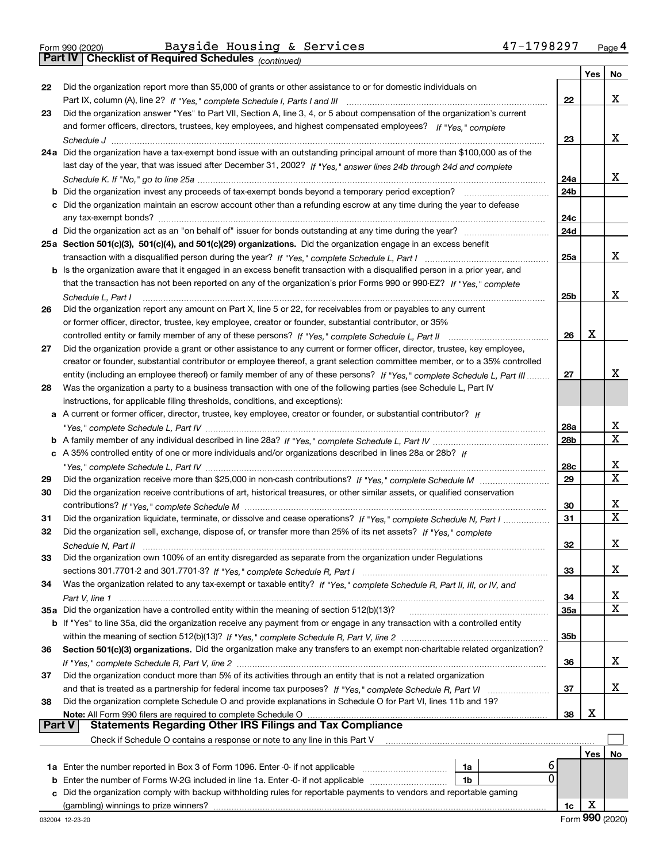*(continued)*

|               |                                                                                                                                    |                 | Yes | No     |
|---------------|------------------------------------------------------------------------------------------------------------------------------------|-----------------|-----|--------|
| 22            | Did the organization report more than \$5,000 of grants or other assistance to or for domestic individuals on                      |                 |     |        |
|               |                                                                                                                                    | 22              |     | х      |
| 23            | Did the organization answer "Yes" to Part VII, Section A, line 3, 4, or 5 about compensation of the organization's current         |                 |     |        |
|               | and former officers, directors, trustees, key employees, and highest compensated employees? If "Yes," complete                     |                 |     |        |
|               |                                                                                                                                    | 23              |     | х      |
|               | 24a Did the organization have a tax-exempt bond issue with an outstanding principal amount of more than \$100,000 as of the        |                 |     |        |
|               | last day of the year, that was issued after December 31, 2002? If "Yes," answer lines 24b through 24d and complete                 |                 |     |        |
|               |                                                                                                                                    | 24a             |     | х      |
|               | <b>b</b> Did the organization invest any proceeds of tax-exempt bonds beyond a temporary period exception? <i>mmmmmmmmmm</i>       | 24 <sub>b</sub> |     |        |
|               | c Did the organization maintain an escrow account other than a refunding escrow at any time during the year to defease             | 24c             |     |        |
|               |                                                                                                                                    | 24d             |     |        |
|               | 25a Section 501(c)(3), 501(c)(4), and 501(c)(29) organizations. Did the organization engage in an excess benefit                   |                 |     |        |
|               |                                                                                                                                    | 25a             |     | х      |
|               | b Is the organization aware that it engaged in an excess benefit transaction with a disqualified person in a prior year, and       |                 |     |        |
|               | that the transaction has not been reported on any of the organization's prior Forms 990 or 990-EZ? If "Yes." complete              |                 |     |        |
|               | Schedule L, Part I                                                                                                                 | 25 <sub>b</sub> |     | х      |
| 26            | Did the organization report any amount on Part X, line 5 or 22, for receivables from or payables to any current                    |                 |     |        |
|               | or former officer, director, trustee, key employee, creator or founder, substantial contributor, or 35%                            |                 |     |        |
|               | controlled entity or family member of any of these persons? If "Yes," complete Schedule L, Part II                                 | 26              | x   |        |
| 27            | Did the organization provide a grant or other assistance to any current or former officer, director, trustee, key employee,        |                 |     |        |
|               | creator or founder, substantial contributor or employee thereof, a grant selection committee member, or to a 35% controlled        |                 |     |        |
|               | entity (including an employee thereof) or family member of any of these persons? If "Yes," complete Schedule L. Part III           | 27              |     | х      |
| 28            | Was the organization a party to a business transaction with one of the following parties (see Schedule L, Part IV                  |                 |     |        |
|               | instructions, for applicable filing thresholds, conditions, and exceptions):                                                       |                 |     |        |
|               | a A current or former officer, director, trustee, key employee, creator or founder, or substantial contributor? If                 |                 |     |        |
|               |                                                                                                                                    | 28a             |     | х      |
|               |                                                                                                                                    | 28 <sub>b</sub> |     | X      |
|               | c A 35% controlled entity of one or more individuals and/or organizations described in lines 28a or 28b? If                        |                 |     |        |
|               |                                                                                                                                    | 28c             |     | х      |
| 29            |                                                                                                                                    | 29              |     | x      |
| 30            | Did the organization receive contributions of art, historical treasures, or other similar assets, or qualified conservation        |                 |     |        |
|               |                                                                                                                                    | 30              |     | х<br>X |
| 31            | Did the organization liquidate, terminate, or dissolve and cease operations? If "Yes," complete Schedule N, Part I                 | 31              |     |        |
| 32            | Did the organization sell, exchange, dispose of, or transfer more than 25% of its net assets? If "Yes," complete                   |                 |     |        |
|               |                                                                                                                                    | 32              |     | x      |
| 33            | Did the organization own 100% of an entity disregarded as separate from the organization under Regulations                         |                 |     | X      |
|               |                                                                                                                                    | 33              |     |        |
| 34            | Was the organization related to any tax-exempt or taxable entity? If "Yes," complete Schedule R, Part II, III, or IV, and          | 34              |     | x      |
|               | 35a Did the organization have a controlled entity within the meaning of section 512(b)(13)?                                        | 35a             |     | х      |
|               | <b>b</b> If "Yes" to line 35a, did the organization receive any payment from or engage in any transaction with a controlled entity |                 |     |        |
|               |                                                                                                                                    | 35 <sub>b</sub> |     |        |
| 36            | Section 501(c)(3) organizations. Did the organization make any transfers to an exempt non-charitable related organization?         |                 |     |        |
|               |                                                                                                                                    | 36              |     | x      |
| 37            | Did the organization conduct more than 5% of its activities through an entity that is not a related organization                   |                 |     |        |
|               |                                                                                                                                    | 37              |     | x      |
| 38            | Did the organization complete Schedule O and provide explanations in Schedule O for Part VI, lines 11b and 19?                     |                 |     |        |
|               | Note: All Form 990 filers are required to complete Schedule O                                                                      | 38              | х   |        |
| <b>Part V</b> | <b>Statements Regarding Other IRS Filings and Tax Compliance</b>                                                                   |                 |     |        |
|               | Check if Schedule O contains a response or note to any line in this Part V                                                         |                 |     |        |
|               |                                                                                                                                    |                 | Yes | No     |
|               | 6<br>1a Enter the number reported in Box 3 of Form 1096. Enter -0- if not applicable<br>1a                                         |                 |     |        |
| b             | 0<br>Enter the number of Forms W-2G included in line 1a. Enter -0- if not applicable<br>1b                                         |                 |     |        |
|               | c Did the organization comply with backup withholding rules for reportable payments to vendors and reportable gaming               |                 |     |        |
|               |                                                                                                                                    | 1c              | х   |        |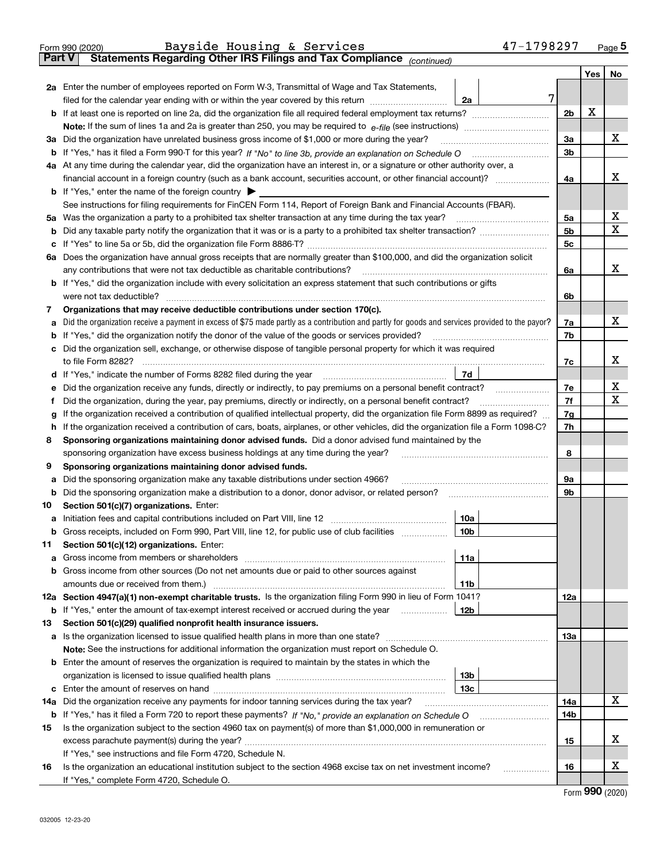|               | 47-1798297<br>Bayside Housing & Services<br>Form 990 (2020)                                                                                     |                |     | $_{\text{Page}}$ 5         |  |  |  |  |  |  |
|---------------|-------------------------------------------------------------------------------------------------------------------------------------------------|----------------|-----|----------------------------|--|--|--|--|--|--|
| <b>Part V</b> | Statements Regarding Other IRS Filings and Tax Compliance (continued)                                                                           |                |     |                            |  |  |  |  |  |  |
|               |                                                                                                                                                 |                | Yes | No                         |  |  |  |  |  |  |
|               | 2a Enter the number of employees reported on Form W-3, Transmittal of Wage and Tax Statements,                                                  |                |     |                            |  |  |  |  |  |  |
|               | filed for the calendar year ending with or within the year covered by this return<br>2a                                                         | 7              |     |                            |  |  |  |  |  |  |
| b             |                                                                                                                                                 | 2 <sub>b</sub> | X   |                            |  |  |  |  |  |  |
|               |                                                                                                                                                 |                |     |                            |  |  |  |  |  |  |
|               | 3a Did the organization have unrelated business gross income of \$1,000 or more during the year?                                                | 3a             |     | х                          |  |  |  |  |  |  |
| b             |                                                                                                                                                 |                |     |                            |  |  |  |  |  |  |
|               | 4a At any time during the calendar year, did the organization have an interest in, or a signature or other authority over, a                    |                |     |                            |  |  |  |  |  |  |
|               | financial account in a foreign country (such as a bank account, securities account, or other financial account)?                                |                |     |                            |  |  |  |  |  |  |
|               | <b>b</b> If "Yes," enter the name of the foreign country $\triangleright$                                                                       |                |     |                            |  |  |  |  |  |  |
|               | See instructions for filing requirements for FinCEN Form 114, Report of Foreign Bank and Financial Accounts (FBAR).                             |                |     |                            |  |  |  |  |  |  |
| 5a            |                                                                                                                                                 | 5a             |     | х                          |  |  |  |  |  |  |
| b             |                                                                                                                                                 | 5b             |     | X                          |  |  |  |  |  |  |
| с             |                                                                                                                                                 | 5 <sub>c</sub> |     |                            |  |  |  |  |  |  |
|               | 6a Does the organization have annual gross receipts that are normally greater than \$100,000, and did the organization solicit                  |                |     |                            |  |  |  |  |  |  |
|               | any contributions that were not tax deductible as charitable contributions?                                                                     | 6a             |     | x                          |  |  |  |  |  |  |
| b             | If "Yes," did the organization include with every solicitation an express statement that such contributions or gifts                            |                |     |                            |  |  |  |  |  |  |
|               | were not tax deductible?                                                                                                                        | 6b             |     |                            |  |  |  |  |  |  |
| 7             | Organizations that may receive deductible contributions under section 170(c).                                                                   |                |     |                            |  |  |  |  |  |  |
| а             | Did the organization receive a payment in excess of \$75 made partly as a contribution and partly for goods and services provided to the payor? | 7a             |     | х                          |  |  |  |  |  |  |
| b             | If "Yes," did the organization notify the donor of the value of the goods or services provided?                                                 | 7b             |     |                            |  |  |  |  |  |  |
| с             | Did the organization sell, exchange, or otherwise dispose of tangible personal property for which it was required                               |                |     |                            |  |  |  |  |  |  |
|               | to file Form 8282?                                                                                                                              | 7c             |     | x                          |  |  |  |  |  |  |
| d             | 7d                                                                                                                                              |                |     |                            |  |  |  |  |  |  |
| е             | Did the organization receive any funds, directly or indirectly, to pay premiums on a personal benefit contract?                                 | 7e             |     | х                          |  |  |  |  |  |  |
| f             | Did the organization, during the year, pay premiums, directly or indirectly, on a personal benefit contract?                                    | 7f<br>7g       |     | х                          |  |  |  |  |  |  |
|               | If the organization received a contribution of qualified intellectual property, did the organization file Form 8899 as required?<br>g           |                |     |                            |  |  |  |  |  |  |
|               | If the organization received a contribution of cars, boats, airplanes, or other vehicles, did the organization file a Form 1098-C?<br>h         |                |     |                            |  |  |  |  |  |  |
| 8             | Sponsoring organizations maintaining donor advised funds. Did a donor advised fund maintained by the                                            |                |     |                            |  |  |  |  |  |  |
|               | sponsoring organization have excess business holdings at any time during the year?                                                              | 8              |     |                            |  |  |  |  |  |  |
| 9             | Sponsoring organizations maintaining donor advised funds.                                                                                       |                |     |                            |  |  |  |  |  |  |
| а             | Did the sponsoring organization make any taxable distributions under section 4966?                                                              | 9а             |     |                            |  |  |  |  |  |  |
| b             |                                                                                                                                                 | 9b             |     |                            |  |  |  |  |  |  |
| 10            | Section 501(c)(7) organizations. Enter:                                                                                                         |                |     |                            |  |  |  |  |  |  |
| а             | 10a<br> 10b <br>Gross receipts, included on Form 990, Part VIII, line 12, for public use of club facilities                                     |                |     |                            |  |  |  |  |  |  |
|               |                                                                                                                                                 |                |     |                            |  |  |  |  |  |  |
| 11            | Section 501(c)(12) organizations. Enter:<br>Gross income from members or shareholders<br>11a                                                    |                |     |                            |  |  |  |  |  |  |
| а<br>b        | Gross income from other sources (Do not net amounts due or paid to other sources against                                                        |                |     |                            |  |  |  |  |  |  |
|               | 11 <sub>b</sub><br>amounts due or received from them.)                                                                                          |                |     |                            |  |  |  |  |  |  |
|               | 12a Section 4947(a)(1) non-exempt charitable trusts. Is the organization filing Form 990 in lieu of Form 1041?                                  | 12a            |     |                            |  |  |  |  |  |  |
|               | 12 <sub>b</sub><br><b>b</b> If "Yes," enter the amount of tax-exempt interest received or accrued during the year <i>manument</i>               |                |     |                            |  |  |  |  |  |  |
| 13            | Section 501(c)(29) qualified nonprofit health insurance issuers.                                                                                |                |     |                            |  |  |  |  |  |  |
| a             | Is the organization licensed to issue qualified health plans in more than one state?                                                            | 13a            |     |                            |  |  |  |  |  |  |
|               | Note: See the instructions for additional information the organization must report on Schedule O.                                               |                |     |                            |  |  |  |  |  |  |
| b             | Enter the amount of reserves the organization is required to maintain by the states in which the                                                |                |     |                            |  |  |  |  |  |  |
|               | 13 <sub>b</sub>                                                                                                                                 |                |     |                            |  |  |  |  |  |  |
| c             | 13 <sub>c</sub>                                                                                                                                 |                |     |                            |  |  |  |  |  |  |
| 14a           | Did the organization receive any payments for indoor tanning services during the tax year?                                                      | 14a            |     | х                          |  |  |  |  |  |  |
|               | <b>b</b> If "Yes," has it filed a Form 720 to report these payments? If "No," provide an explanation on Schedule O                              | 14b            |     |                            |  |  |  |  |  |  |
| 15            | Is the organization subject to the section 4960 tax on payment(s) of more than \$1,000,000 in remuneration or                                   |                |     |                            |  |  |  |  |  |  |
|               | excess parachute payment(s) during the year?                                                                                                    | 15             |     | х                          |  |  |  |  |  |  |
|               | If "Yes," see instructions and file Form 4720, Schedule N.                                                                                      |                |     |                            |  |  |  |  |  |  |
| 16            | Is the organization an educational institution subject to the section 4968 excise tax on net investment income?                                 | 16             |     | х                          |  |  |  |  |  |  |
|               | If "Yes," complete Form 4720, Schedule O.                                                                                                       |                |     |                            |  |  |  |  |  |  |
|               |                                                                                                                                                 |                |     | $\Omega$ <b>an</b> $(000)$ |  |  |  |  |  |  |

Form (2020) **990**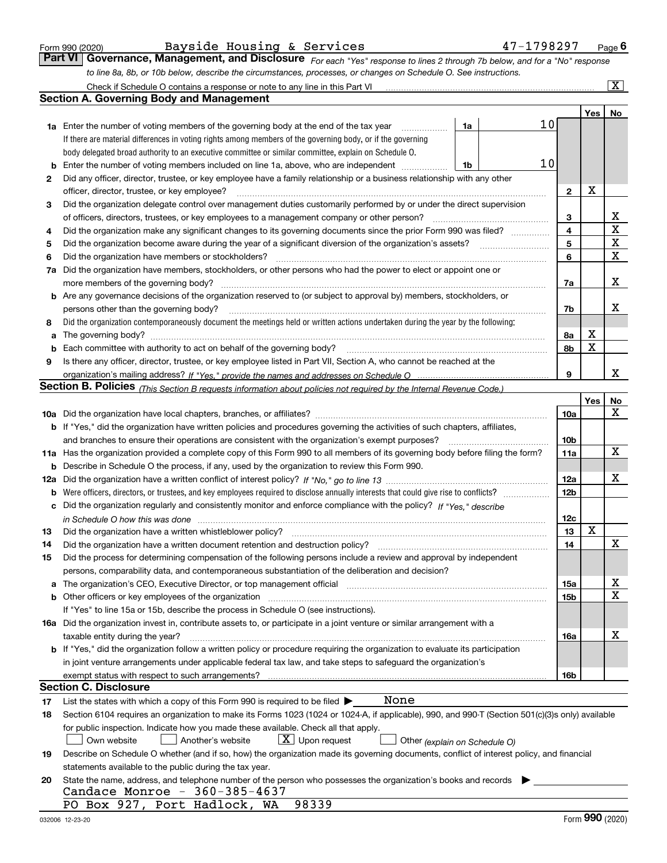|  | Form 990 (2020) |
|--|-----------------|
|  |                 |

*For each "Yes" response to lines 2 through 7b below, and for a "No" response to line 8a, 8b, or 10b below, describe the circumstances, processes, or changes on Schedule O. See instructions.* Form 990 (2020) Page **6Part VI Governance, Management, and Disclosure**  Bayside Housing & Services 47-1798297

|     | Check if Schedule O contains a response or note to any line in this Part VI                                                                                                                                                    |                 |             | $\boxed{\text{X}}$ |  |  |  |  |  |  |  |
|-----|--------------------------------------------------------------------------------------------------------------------------------------------------------------------------------------------------------------------------------|-----------------|-------------|--------------------|--|--|--|--|--|--|--|
|     | <b>Section A. Governing Body and Management</b>                                                                                                                                                                                |                 |             |                    |  |  |  |  |  |  |  |
|     |                                                                                                                                                                                                                                |                 | Yes         | No                 |  |  |  |  |  |  |  |
|     | 10<br><b>1a</b> Enter the number of voting members of the governing body at the end of the tax year<br>1a<br>.                                                                                                                 |                 |             |                    |  |  |  |  |  |  |  |
|     | If there are material differences in voting rights among members of the governing body, or if the governing                                                                                                                    |                 |             |                    |  |  |  |  |  |  |  |
|     | body delegated broad authority to an executive committee or similar committee, explain on Schedule O.                                                                                                                          |                 |             |                    |  |  |  |  |  |  |  |
|     | 10<br>Enter the number of voting members included on line 1a, above, who are independent<br>1b                                                                                                                                 |                 |             |                    |  |  |  |  |  |  |  |
| 2   | Did any officer, director, trustee, or key employee have a family relationship or a business relationship with any other                                                                                                       |                 |             |                    |  |  |  |  |  |  |  |
|     | officer, director, trustee, or key employee?                                                                                                                                                                                   | $\mathbf{2}$    | X           |                    |  |  |  |  |  |  |  |
| 3   | Did the organization delegate control over management duties customarily performed by or under the direct supervision                                                                                                          |                 |             |                    |  |  |  |  |  |  |  |
|     | of officers, directors, trustees, or key employees to a management company or other person?                                                                                                                                    |                 |             |                    |  |  |  |  |  |  |  |
| 4   | Did the organization make any significant changes to its governing documents since the prior Form 990 was filed?                                                                                                               |                 |             |                    |  |  |  |  |  |  |  |
| 5   |                                                                                                                                                                                                                                |                 |             |                    |  |  |  |  |  |  |  |
| 6   | Did the organization have members or stockholders?                                                                                                                                                                             | 6               |             | X                  |  |  |  |  |  |  |  |
| 7a  | Did the organization have members, stockholders, or other persons who had the power to elect or appoint one or                                                                                                                 |                 |             |                    |  |  |  |  |  |  |  |
|     |                                                                                                                                                                                                                                | 7a              |             | х                  |  |  |  |  |  |  |  |
| b   | Are any governance decisions of the organization reserved to (or subject to approval by) members, stockholders, or                                                                                                             |                 |             |                    |  |  |  |  |  |  |  |
|     | persons other than the governing body?                                                                                                                                                                                         | 7b              |             | х                  |  |  |  |  |  |  |  |
| 8   | Did the organization contemporaneously document the meetings held or written actions undertaken during the year by the following:                                                                                              |                 |             |                    |  |  |  |  |  |  |  |
| a   |                                                                                                                                                                                                                                | 8а              | х           |                    |  |  |  |  |  |  |  |
|     | Each committee with authority to act on behalf of the governing body? [[11] [2001] [2001] [2001] [2001] [2001] [3001] [3001] [3001] [3001] [3001] [3001] [3001] [3001] [3001] [3001] [3001] [3001] [3001] [3001] [3001] [3001] | 8b              | $\mathbf X$ |                    |  |  |  |  |  |  |  |
| 9   | Is there any officer, director, trustee, or key employee listed in Part VII, Section A, who cannot be reached at the                                                                                                           |                 |             |                    |  |  |  |  |  |  |  |
|     |                                                                                                                                                                                                                                | 9               |             | x                  |  |  |  |  |  |  |  |
|     | Section B. Policies <sub>(This Section B requests information about policies not required by the Internal Revenue Code.)</sub>                                                                                                 |                 |             |                    |  |  |  |  |  |  |  |
|     |                                                                                                                                                                                                                                |                 | Yes         | No                 |  |  |  |  |  |  |  |
|     |                                                                                                                                                                                                                                | <b>10a</b>      |             | х                  |  |  |  |  |  |  |  |
|     | <b>b</b> If "Yes," did the organization have written policies and procedures governing the activities of such chapters, affiliates,                                                                                            |                 |             |                    |  |  |  |  |  |  |  |
|     | and branches to ensure their operations are consistent with the organization's exempt purposes?                                                                                                                                | 10 <sub>b</sub> |             |                    |  |  |  |  |  |  |  |
|     | 11a Has the organization provided a complete copy of this Form 990 to all members of its governing body before filing the form?                                                                                                | 11a             |             | $\mathbf X$        |  |  |  |  |  |  |  |
| b   | Describe in Schedule O the process, if any, used by the organization to review this Form 990.                                                                                                                                  |                 |             |                    |  |  |  |  |  |  |  |
| 12a |                                                                                                                                                                                                                                |                 |             |                    |  |  |  |  |  |  |  |
| b   | Were officers, directors, or trustees, and key employees required to disclose annually interests that could give rise to conflicts?                                                                                            | 12 <sub>b</sub> |             |                    |  |  |  |  |  |  |  |
| с   | Did the organization regularly and consistently monitor and enforce compliance with the policy? If "Yes." describe                                                                                                             |                 |             |                    |  |  |  |  |  |  |  |
|     | in Schedule O how this was done www.communication.com/www.communication.com/www.communication.com/www.communic                                                                                                                 | 12c             | $\mathbf X$ |                    |  |  |  |  |  |  |  |
| 13  | Did the organization have a written whistleblower policy?                                                                                                                                                                      | 13              |             |                    |  |  |  |  |  |  |  |
| 14  | Did the organization have a written document retention and destruction policy?                                                                                                                                                 | 14              |             | х                  |  |  |  |  |  |  |  |
| 15  | Did the process for determining compensation of the following persons include a review and approval by independent                                                                                                             |                 |             |                    |  |  |  |  |  |  |  |
|     | persons, comparability data, and contemporaneous substantiation of the deliberation and decision?                                                                                                                              |                 |             |                    |  |  |  |  |  |  |  |
|     | The organization's CEO, Executive Director, or top management official manufactured content of the organization's CEO, Executive Director, or top management official                                                          | 15a             |             | X<br>х             |  |  |  |  |  |  |  |
|     | Other officers or key employees of the organization<br>If "Yes" to line 15a or 15b, describe the process in Schedule O (see instructions).                                                                                     | 15b             |             |                    |  |  |  |  |  |  |  |
|     | 16a Did the organization invest in, contribute assets to, or participate in a joint venture or similar arrangement with a                                                                                                      |                 |             |                    |  |  |  |  |  |  |  |
|     | taxable entity during the year?                                                                                                                                                                                                | 16a             |             | х                  |  |  |  |  |  |  |  |
|     | <b>b</b> If "Yes," did the organization follow a written policy or procedure requiring the organization to evaluate its participation                                                                                          |                 |             |                    |  |  |  |  |  |  |  |
|     | in joint venture arrangements under applicable federal tax law, and take steps to safeguard the organization's                                                                                                                 |                 |             |                    |  |  |  |  |  |  |  |
|     | exempt status with respect to such arrangements?                                                                                                                                                                               | 16b             |             |                    |  |  |  |  |  |  |  |
|     | Section C. Disclosure                                                                                                                                                                                                          |                 |             |                    |  |  |  |  |  |  |  |
| 17  | None<br>List the states with which a copy of this Form 990 is required to be filed $\blacktriangleright$                                                                                                                       |                 |             |                    |  |  |  |  |  |  |  |
| 18  | Section 6104 requires an organization to make its Forms 1023 (1024 or 1024-A, if applicable), 990, and 990-T (Section 501(c)(3)s only) available                                                                               |                 |             |                    |  |  |  |  |  |  |  |
|     | for public inspection. Indicate how you made these available. Check all that apply.                                                                                                                                            |                 |             |                    |  |  |  |  |  |  |  |
|     | $X$ Upon request<br>Another's website<br>Own website<br>Other (explain on Schedule O)                                                                                                                                          |                 |             |                    |  |  |  |  |  |  |  |
| 19  | Describe on Schedule O whether (and if so, how) the organization made its governing documents, conflict of interest policy, and financial                                                                                      |                 |             |                    |  |  |  |  |  |  |  |
|     | statements available to the public during the tax year.                                                                                                                                                                        |                 |             |                    |  |  |  |  |  |  |  |
| 20  | State the name, address, and telephone number of the person who possesses the organization's books and records                                                                                                                 |                 |             |                    |  |  |  |  |  |  |  |
|     | Candace Monroe - 360-385-4637                                                                                                                                                                                                  |                 |             |                    |  |  |  |  |  |  |  |
|     | PO Box 927, Port Hadlock, WA<br>98339                                                                                                                                                                                          |                 |             |                    |  |  |  |  |  |  |  |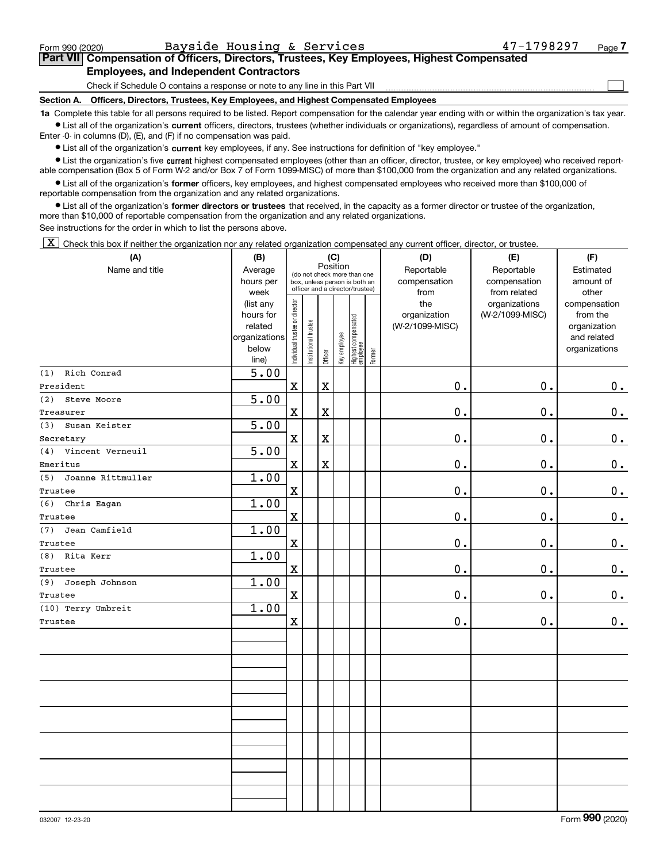$\mathcal{L}^{\text{max}}$ 

### **7Part VII Compensation of Officers, Directors, Trustees, Key Employees, Highest Compensated Employees, and Independent Contractors**

Check if Schedule O contains a response or note to any line in this Part VII

**Section A. Officers, Directors, Trustees, Key Employees, and Highest Compensated Employees**

**1a**  Complete this table for all persons required to be listed. Report compensation for the calendar year ending with or within the organization's tax year. **•** List all of the organization's current officers, directors, trustees (whether individuals or organizations), regardless of amount of compensation.

Enter -0- in columns (D), (E), and (F) if no compensation was paid.

 $\bullet$  List all of the organization's  $\,$ current key employees, if any. See instructions for definition of "key employee."

**•** List the organization's five current highest compensated employees (other than an officer, director, trustee, or key employee) who received reportable compensation (Box 5 of Form W-2 and/or Box 7 of Form 1099-MISC) of more than \$100,000 from the organization and any related organizations.

**•** List all of the organization's former officers, key employees, and highest compensated employees who received more than \$100,000 of reportable compensation from the organization and any related organizations.

**former directors or trustees**  ¥ List all of the organization's that received, in the capacity as a former director or trustee of the organization, more than \$10,000 of reportable compensation from the organization and any related organizations.

See instructions for the order in which to list the persons above.

 $\boxed{\textbf{X}}$  Check this box if neither the organization nor any related organization compensated any current officer, director, or trustee.

| (A)                      | (B)                  | (C)                            |                       |             |              |                                                              |        | (D)                        | (E)                        | (F)                    |
|--------------------------|----------------------|--------------------------------|-----------------------|-------------|--------------|--------------------------------------------------------------|--------|----------------------------|----------------------------|------------------------|
| Name and title           | Average<br>hours per |                                |                       | Position    |              | (do not check more than one<br>box, unless person is both an |        | Reportable<br>compensation | Reportable<br>compensation | Estimated<br>amount of |
|                          | week                 |                                |                       |             |              | officer and a director/trustee)                              |        | from                       | from related               | other                  |
|                          | (list any            |                                |                       |             |              |                                                              |        | the                        | organizations              | compensation           |
|                          | hours for            |                                |                       |             |              |                                                              |        | organization               | (W-2/1099-MISC)            | from the               |
|                          | related              |                                |                       |             |              |                                                              |        | (W-2/1099-MISC)            |                            | organization           |
|                          | organizations        |                                |                       |             |              |                                                              |        |                            |                            | and related            |
|                          | below<br>line)       | Individual trustee or director | Institutional trustee | Officer     | Key employee | Highest compensated<br>employee                              | Former |                            |                            | organizations          |
| (1) Rich Conrad          | 5.00                 |                                |                       |             |              |                                                              |        |                            |                            |                        |
| President                |                      | $\mathbf x$                    |                       | $\rm X$     |              |                                                              |        | $\mathbf 0$ .              | 0.                         | 0.                     |
| (2) Steve Moore          | 5.00                 |                                |                       |             |              |                                                              |        |                            |                            |                        |
| Treasurer                |                      | $\mathbf X$                    |                       | $\rm X$     |              |                                                              |        | $\mathbf 0$ .              | 0.                         | $0$ .                  |
| Susan Keister<br>(3)     | 5.00                 |                                |                       |             |              |                                                              |        |                            |                            |                        |
| Secretary                |                      | $\mathbf X$                    |                       | $\mathbf X$ |              |                                                              |        | $\mathbf 0$ .              | 0.                         | 0.                     |
| Vincent Verneuil<br>(4)  | 5.00                 |                                |                       |             |              |                                                              |        |                            |                            |                        |
| Emeritus                 |                      | $\mathbf X$                    |                       | $\rm X$     |              |                                                              |        | $\mathfrak o$ .            | 0.                         | 0.                     |
| Joanne Rittmuller<br>(5) | 1.00                 |                                |                       |             |              |                                                              |        |                            |                            |                        |
| Trustee                  |                      | $\mathbf X$                    |                       |             |              |                                                              |        | $\mathbf 0$ .              | 0.                         | 0.                     |
| (6) Chris Eagan          | 1.00                 |                                |                       |             |              |                                                              |        |                            |                            |                        |
| Trustee                  |                      | $\mathbf X$                    |                       |             |              |                                                              |        | $\mathbf 0$ .              | 0.                         | 0.                     |
| Jean Camfield<br>(7)     | 1.00                 |                                |                       |             |              |                                                              |        |                            |                            |                        |
| Trustee                  |                      | $\mathbf X$                    |                       |             |              |                                                              |        | $\mathbf 0$ .              | 0.                         | $0$ .                  |
| (8) Rita Kerr            | 1.00                 |                                |                       |             |              |                                                              |        |                            |                            |                        |
| Trustee                  |                      | $\mathbf X$                    |                       |             |              |                                                              |        | $\mathbf 0$ .              | 0.                         | 0.                     |
| Joseph Johnson<br>(9)    | 1.00                 |                                |                       |             |              |                                                              |        |                            |                            |                        |
| Trustee                  |                      | $\mathbf X$                    |                       |             |              |                                                              |        | $\mathbf 0$ .              | 0.                         | 0.                     |
| (10) Terry Umbreit       | 1.00                 |                                |                       |             |              |                                                              |        |                            |                            |                        |
| Trustee                  |                      | $\mathbf X$                    |                       |             |              |                                                              |        | 0.                         | 0.                         | 0.                     |
|                          |                      |                                |                       |             |              |                                                              |        |                            |                            |                        |
|                          |                      |                                |                       |             |              |                                                              |        |                            |                            |                        |
|                          |                      |                                |                       |             |              |                                                              |        |                            |                            |                        |
|                          |                      |                                |                       |             |              |                                                              |        |                            |                            |                        |
|                          |                      |                                |                       |             |              |                                                              |        |                            |                            |                        |
|                          |                      |                                |                       |             |              |                                                              |        |                            |                            |                        |
|                          |                      |                                |                       |             |              |                                                              |        |                            |                            |                        |
|                          |                      |                                |                       |             |              |                                                              |        |                            |                            |                        |
|                          |                      |                                |                       |             |              |                                                              |        |                            |                            |                        |
|                          |                      |                                |                       |             |              |                                                              |        |                            |                            |                        |
|                          |                      |                                |                       |             |              |                                                              |        |                            |                            |                        |
|                          |                      |                                |                       |             |              |                                                              |        |                            |                            |                        |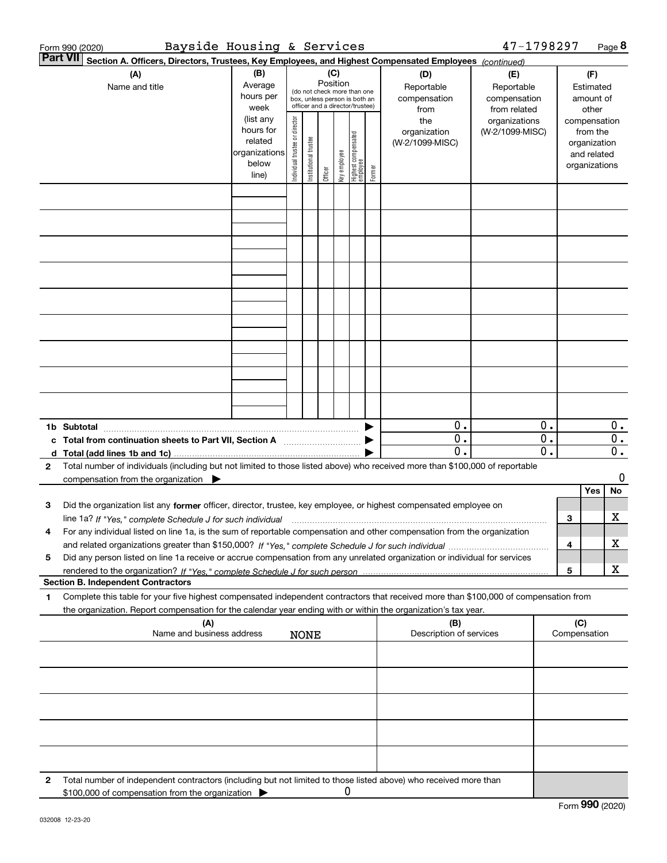|              | Bayside Housing & Services<br>Form 990 (2020)                                                                                                                                                                                                                               |                                                                      |                                |                                                                                                                    |         |              |                                   |        |                                           | 47-1798297                                        |          |                                        |                                         | Page 8   |
|--------------|-----------------------------------------------------------------------------------------------------------------------------------------------------------------------------------------------------------------------------------------------------------------------------|----------------------------------------------------------------------|--------------------------------|--------------------------------------------------------------------------------------------------------------------|---------|--------------|-----------------------------------|--------|-------------------------------------------|---------------------------------------------------|----------|----------------------------------------|-----------------------------------------|----------|
|              | <b>Part VII</b><br>Section A. Officers, Directors, Trustees, Key Employees, and Highest Compensated Employees (continued)                                                                                                                                                   |                                                                      |                                |                                                                                                                    |         |              |                                   |        |                                           |                                                   |          |                                        |                                         |          |
|              | (B)<br>(A)<br>Average<br>Name and title<br>hours per<br>week                                                                                                                                                                                                                |                                                                      |                                | (C)<br>Position<br>(do not check more than one<br>box, unless person is both an<br>officer and a director/trustee) |         |              |                                   |        | (D)<br>Reportable<br>compensation<br>from | (E)<br>Reportable<br>compensation<br>from related |          | (F)<br>Estimated<br>amount of<br>other |                                         |          |
|              |                                                                                                                                                                                                                                                                             | (list any<br>hours for<br>related<br>organizations<br>below<br>line) | Individual trustee or director | Institutional trustee                                                                                              | Officer | Key employee | Highest compensated<br>  employee | Former | the<br>organization<br>(W-2/1099-MISC)    | organizations<br>(W-2/1099-MISC)                  |          | compensation<br>organizations          | from the<br>organization<br>and related |          |
|              |                                                                                                                                                                                                                                                                             |                                                                      |                                |                                                                                                                    |         |              |                                   |        |                                           |                                                   |          |                                        |                                         |          |
|              |                                                                                                                                                                                                                                                                             |                                                                      |                                |                                                                                                                    |         |              |                                   |        |                                           |                                                   |          |                                        |                                         |          |
|              |                                                                                                                                                                                                                                                                             |                                                                      |                                |                                                                                                                    |         |              |                                   |        |                                           |                                                   |          |                                        |                                         |          |
|              |                                                                                                                                                                                                                                                                             |                                                                      |                                |                                                                                                                    |         |              |                                   |        |                                           |                                                   |          |                                        |                                         |          |
|              |                                                                                                                                                                                                                                                                             |                                                                      |                                |                                                                                                                    |         |              |                                   |        |                                           |                                                   |          |                                        |                                         |          |
|              |                                                                                                                                                                                                                                                                             |                                                                      |                                |                                                                                                                    |         |              |                                   |        |                                           |                                                   |          |                                        |                                         |          |
|              |                                                                                                                                                                                                                                                                             |                                                                      |                                |                                                                                                                    |         |              |                                   |        |                                           |                                                   |          |                                        |                                         |          |
|              |                                                                                                                                                                                                                                                                             |                                                                      |                                |                                                                                                                    |         |              |                                   |        | 0.<br>0.                                  |                                                   | 0.<br>0. |                                        |                                         | 0.<br>0. |
|              | c Total from continuation sheets to Part VII, Section A <b>Constant Contact Part</b>                                                                                                                                                                                        |                                                                      |                                |                                                                                                                    |         |              |                                   |        | 0.                                        |                                                   | 0.       |                                        |                                         | $0$ .    |
| $\mathbf{2}$ | Total number of individuals (including but not limited to those listed above) who received more than \$100,000 of reportable<br>compensation from the organization $\blacktriangleright$                                                                                    |                                                                      |                                |                                                                                                                    |         |              |                                   |        |                                           |                                                   |          |                                        |                                         | 0        |
| 3            | Did the organization list any former officer, director, trustee, key employee, or highest compensated employee on                                                                                                                                                           |                                                                      |                                |                                                                                                                    |         |              |                                   |        |                                           |                                                   |          |                                        | Yes                                     | No       |
|              | line 1a? If "Yes," complete Schedule J for such individual manufactured contained and the 1a? If "Yes," complete Schedule J for such individual<br>For any individual listed on line 1a, is the sum of reportable compensation and other compensation from the organization |                                                                      |                                |                                                                                                                    |         |              |                                   |        |                                           |                                                   |          | 3                                      |                                         | х        |
| 5            | Did any person listed on line 1a receive or accrue compensation from any unrelated organization or individual for services                                                                                                                                                  |                                                                      |                                |                                                                                                                    |         |              |                                   |        |                                           |                                                   |          | 4<br>5                                 |                                         | x<br>x   |
|              | <b>Section B. Independent Contractors</b>                                                                                                                                                                                                                                   |                                                                      |                                |                                                                                                                    |         |              |                                   |        |                                           |                                                   |          |                                        |                                         |          |
| 1            | Complete this table for your five highest compensated independent contractors that received more than \$100,000 of compensation from<br>the organization. Report compensation for the calendar year ending with or within the organization's tax year.                      |                                                                      |                                |                                                                                                                    |         |              |                                   |        |                                           |                                                   |          |                                        |                                         |          |
|              | (A)<br>Name and business address                                                                                                                                                                                                                                            |                                                                      |                                | <b>NONE</b>                                                                                                        |         |              |                                   |        | (B)<br>Description of services            |                                                   |          | (C)<br>Compensation                    |                                         |          |
|              |                                                                                                                                                                                                                                                                             |                                                                      |                                |                                                                                                                    |         |              |                                   |        |                                           |                                                   |          |                                        |                                         |          |
|              |                                                                                                                                                                                                                                                                             |                                                                      |                                |                                                                                                                    |         |              |                                   |        |                                           |                                                   |          |                                        |                                         |          |
|              |                                                                                                                                                                                                                                                                             |                                                                      |                                |                                                                                                                    |         |              |                                   |        |                                           |                                                   |          |                                        |                                         |          |
|              |                                                                                                                                                                                                                                                                             |                                                                      |                                |                                                                                                                    |         |              |                                   |        |                                           |                                                   |          |                                        |                                         |          |
| 2            | Total number of independent contractors (including but not limited to those listed above) who received more than<br>\$100,000 of compensation from the organization                                                                                                         |                                                                      |                                |                                                                                                                    |         | 0            |                                   |        |                                           |                                                   |          |                                        |                                         |          |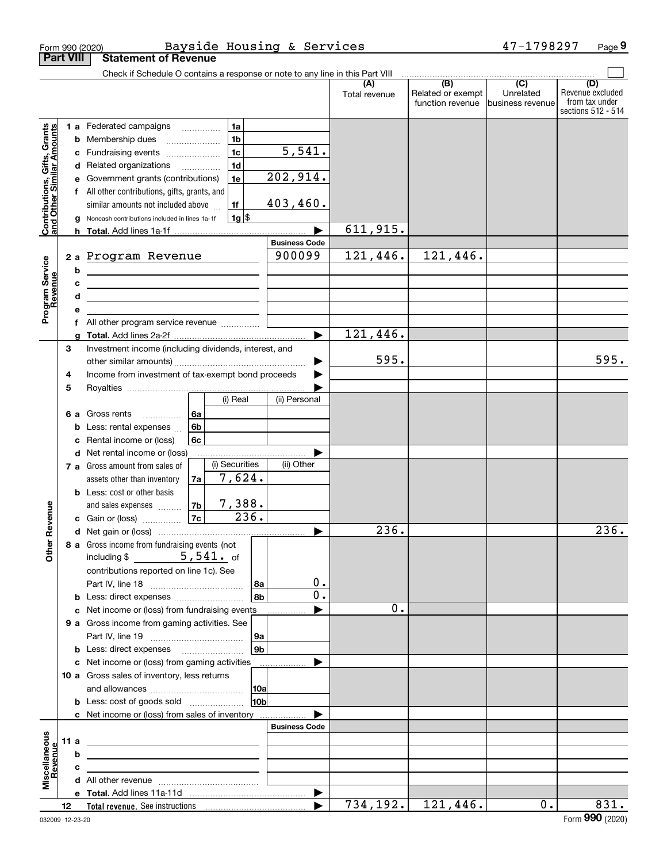|                                                           |                  |        | Form 990 (2020)                                                                                                       |                |                |                        | Bayside Housing & Services     |                      |                                              | 47-1798297                                        | Page 9                                                          |
|-----------------------------------------------------------|------------------|--------|-----------------------------------------------------------------------------------------------------------------------|----------------|----------------|------------------------|--------------------------------|----------------------|----------------------------------------------|---------------------------------------------------|-----------------------------------------------------------------|
|                                                           | <b>Part VIII</b> |        | <b>Statement of Revenue</b>                                                                                           |                |                |                        |                                |                      |                                              |                                                   |                                                                 |
|                                                           |                  |        | Check if Schedule O contains a response or note to any line in this Part VIII                                         |                |                |                        |                                |                      |                                              |                                                   |                                                                 |
|                                                           |                  |        |                                                                                                                       |                |                |                        |                                | (A)<br>Total revenue | (B)<br>Related or exempt<br>function revenue | $\overline{(C)}$<br>Unrelated<br>business revenue | (D)<br>Revenue excluded<br>from tax under<br>sections 512 - 514 |
|                                                           |                  |        | 1 a Federated campaigns                                                                                               |                | 1a             |                        |                                |                      |                                              |                                                   |                                                                 |
|                                                           |                  | b      | Membership dues<br>$\ldots \ldots \ldots \ldots \ldots$                                                               |                | 1 <sub>b</sub> |                        |                                |                      |                                              |                                                   |                                                                 |
| Contributions, Gifts, Grants<br>and Other Similar Amounts |                  | c      | Fundraising events                                                                                                    |                | 1 <sub>c</sub> |                        | 5,541.                         |                      |                                              |                                                   |                                                                 |
|                                                           |                  |        | d Related organizations                                                                                               |                | 1 <sub>d</sub> |                        |                                |                      |                                              |                                                   |                                                                 |
|                                                           |                  | е      | Government grants (contributions)                                                                                     |                | 1e             |                        | 202,914.                       |                      |                                              |                                                   |                                                                 |
|                                                           |                  |        | f All other contributions, gifts, grants, and                                                                         |                |                |                        |                                |                      |                                              |                                                   |                                                                 |
|                                                           |                  |        | similar amounts not included above                                                                                    |                | 1f             |                        | 403,460.                       |                      |                                              |                                                   |                                                                 |
|                                                           |                  |        | Noncash contributions included in lines 1a-1f                                                                         |                | $1g$ \$        |                        |                                |                      |                                              |                                                   |                                                                 |
|                                                           |                  |        |                                                                                                                       |                |                |                        |                                | 611,915.             |                                              |                                                   |                                                                 |
|                                                           |                  |        |                                                                                                                       |                |                |                        | <b>Business Code</b><br>900099 |                      |                                              |                                                   |                                                                 |
| Program Service<br>Revenue                                |                  |        | 2 a Program Revenue                                                                                                   |                |                |                        |                                | 121,446.             | 121,446.                                     |                                                   |                                                                 |
|                                                           |                  | b      | <u> 1980 - Johann Barn, mars ann an t-Amhair an t-Amhair an t-Amhair an t-Amhair an t-Amhair an t-Amhair an t-Amh</u> |                |                |                        |                                |                      |                                              |                                                   |                                                                 |
|                                                           |                  | c<br>d | <u> 1989 - Johann Barn, amerikansk politiker (d. 1989)</u>                                                            |                |                |                        |                                |                      |                                              |                                                   |                                                                 |
|                                                           |                  | е      | <u> 1989 - Johann Stein, mars an deus an deus Amerikaanse komme</u>                                                   |                |                |                        |                                |                      |                                              |                                                   |                                                                 |
|                                                           |                  | f      | All other program service revenue                                                                                     |                |                |                        |                                |                      |                                              |                                                   |                                                                 |
|                                                           |                  | a      |                                                                                                                       |                |                |                        |                                | 121,446.             |                                              |                                                   |                                                                 |
|                                                           | 3                |        | Investment income (including dividends, interest, and                                                                 |                |                |                        |                                |                      |                                              |                                                   |                                                                 |
|                                                           |                  |        |                                                                                                                       |                |                |                        |                                | 595.                 |                                              |                                                   | 595.                                                            |
|                                                           | 4                |        | Income from investment of tax-exempt bond proceeds                                                                    |                |                |                        |                                |                      |                                              |                                                   |                                                                 |
|                                                           | 5                |        |                                                                                                                       |                |                |                        |                                |                      |                                              |                                                   |                                                                 |
|                                                           |                  |        |                                                                                                                       |                | (i) Real       |                        | (ii) Personal                  |                      |                                              |                                                   |                                                                 |
|                                                           |                  | 6а     | Gross rents<br>.                                                                                                      | 6a             |                |                        |                                |                      |                                              |                                                   |                                                                 |
|                                                           |                  | b      | Less: rental expenses                                                                                                 | 6 <sub>b</sub> |                |                        |                                |                      |                                              |                                                   |                                                                 |
|                                                           |                  | c      | Rental income or (loss)                                                                                               | 6c             |                |                        |                                |                      |                                              |                                                   |                                                                 |
|                                                           |                  |        | <b>d</b> Net rental income or (loss)                                                                                  |                |                |                        |                                |                      |                                              |                                                   |                                                                 |
|                                                           |                  |        | 7 a Gross amount from sales of                                                                                        |                | (i) Securities |                        | (ii) Other                     |                      |                                              |                                                   |                                                                 |
|                                                           |                  |        | assets other than inventory                                                                                           | 7a             | 7,624.         |                        |                                |                      |                                              |                                                   |                                                                 |
|                                                           |                  |        | <b>b</b> Less: cost or other basis<br>and sales expenses                                                              | 7b             | 7,388.         |                        |                                |                      |                                              |                                                   |                                                                 |
| evenue                                                    |                  |        | c Gain or (loss)                                                                                                      | 7c             | 236.           |                        |                                |                      |                                              |                                                   |                                                                 |
|                                                           |                  |        |                                                                                                                       |                |                |                        |                                | 236.                 |                                              |                                                   | 236.                                                            |
| Œ                                                         |                  |        | 8 a Gross income from fundraising events (not                                                                         |                |                |                        |                                |                      |                                              |                                                   |                                                                 |
| Other                                                     |                  |        | including $$5,541.$ of                                                                                                |                |                |                        |                                |                      |                                              |                                                   |                                                                 |
|                                                           |                  |        | contributions reported on line 1c). See                                                                               |                |                |                        |                                |                      |                                              |                                                   |                                                                 |
|                                                           |                  |        |                                                                                                                       |                |                | 8a                     | 0.                             |                      |                                              |                                                   |                                                                 |
|                                                           |                  |        | <b>b</b> Less: direct expenses <b>constants</b> b                                                                     |                |                | 8 <sub>b</sub>         | 0.                             |                      |                                              |                                                   |                                                                 |
|                                                           |                  |        | c Net income or (loss) from fundraising events                                                                        |                |                |                        |                                | 0.                   |                                              |                                                   |                                                                 |
|                                                           |                  |        | 9 a Gross income from gaming activities. See                                                                          |                |                |                        |                                |                      |                                              |                                                   |                                                                 |
|                                                           |                  |        |                                                                                                                       |                |                | 9а                     |                                |                      |                                              |                                                   |                                                                 |
|                                                           |                  |        | <b>b</b> Less: direct expenses <b>manually</b>                                                                        |                |                | 9 <sub>b</sub>         |                                |                      |                                              |                                                   |                                                                 |
|                                                           |                  |        | c Net income or (loss) from gaming activities                                                                         |                |                |                        | .                              |                      |                                              |                                                   |                                                                 |
|                                                           |                  |        | 10 a Gross sales of inventory, less returns                                                                           |                |                |                        |                                |                      |                                              |                                                   |                                                                 |
|                                                           |                  |        |                                                                                                                       |                |                | 10a<br>10 <sub>b</sub> |                                |                      |                                              |                                                   |                                                                 |
|                                                           |                  |        | <b>b</b> Less: cost of goods sold                                                                                     |                |                |                        |                                |                      |                                              |                                                   |                                                                 |
|                                                           |                  |        | c Net income or (loss) from sales of inventory                                                                        |                |                |                        | <b>Business Code</b>           |                      |                                              |                                                   |                                                                 |
|                                                           | 11a              |        |                                                                                                                       |                |                |                        |                                |                      |                                              |                                                   |                                                                 |
|                                                           |                  | b      | the contract of the contract of the contract of the contract of the contract of                                       |                |                |                        |                                |                      |                                              |                                                   |                                                                 |
| Revenue                                                   |                  | c      | the control of the control of the control of the control of the control of the control of                             |                |                |                        |                                |                      |                                              |                                                   |                                                                 |
| Miscellaneous                                             |                  |        | the contract of the contract of the contract of the contract of the contract of                                       |                |                |                        |                                |                      |                                              |                                                   |                                                                 |
|                                                           |                  |        |                                                                                                                       |                |                |                        |                                |                      |                                              |                                                   |                                                                 |
|                                                           | 12               |        |                                                                                                                       |                |                |                        | $\blacktriangleright$          | 734,192.             | 121,446.                                     | $0$ .                                             | 831.                                                            |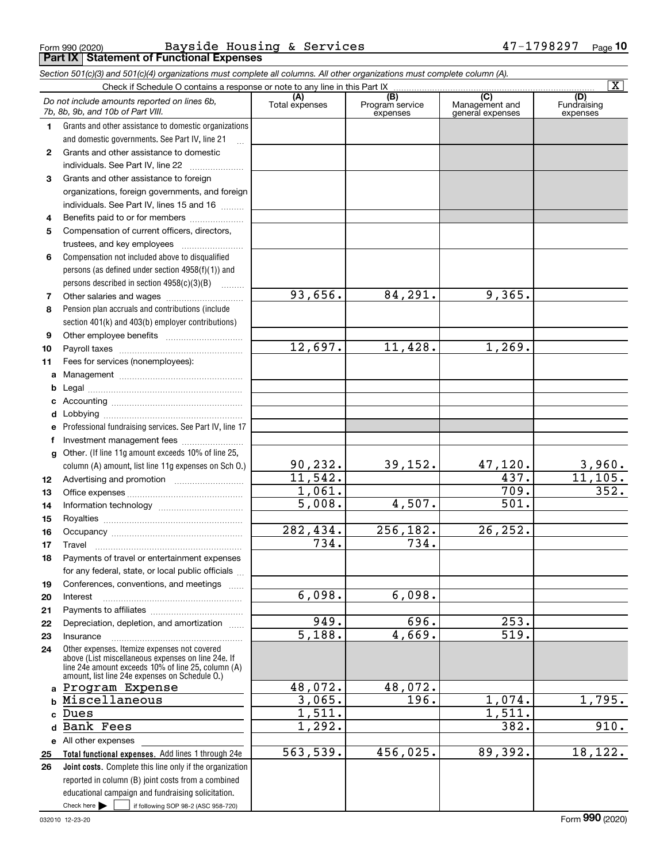Form 990 (2020) Page **Part IX Statement of Functional Expenses** Bayside Housing & Services 47-1798297

*Section 501(c)(3) and 501(c)(4) organizations must complete all columns. All other organizations must complete column (A).*

| $\overline{\mathbf{x}}$<br>Check if Schedule O contains a response or note to any line in this Part IX |                                                                                                      |                       |                                    |                                           |                                |  |
|--------------------------------------------------------------------------------------------------------|------------------------------------------------------------------------------------------------------|-----------------------|------------------------------------|-------------------------------------------|--------------------------------|--|
|                                                                                                        | Do not include amounts reported on lines 6b,<br>7b, 8b, 9b, and 10b of Part VIII.                    | (A)<br>Total expenses | (B)<br>Program service<br>expenses | (C)<br>Management and<br>general expenses | (D)<br>Fundraising<br>expenses |  |
| 1.                                                                                                     | Grants and other assistance to domestic organizations                                                |                       |                                    |                                           |                                |  |
|                                                                                                        | and domestic governments. See Part IV, line 21                                                       |                       |                                    |                                           |                                |  |
| 2                                                                                                      | Grants and other assistance to domestic                                                              |                       |                                    |                                           |                                |  |
|                                                                                                        | individuals. See Part IV, line 22                                                                    |                       |                                    |                                           |                                |  |
| 3                                                                                                      | Grants and other assistance to foreign                                                               |                       |                                    |                                           |                                |  |
|                                                                                                        | organizations, foreign governments, and foreign                                                      |                       |                                    |                                           |                                |  |
|                                                                                                        | individuals. See Part IV, lines 15 and 16                                                            |                       |                                    |                                           |                                |  |
| 4                                                                                                      | Benefits paid to or for members                                                                      |                       |                                    |                                           |                                |  |
| 5                                                                                                      | Compensation of current officers, directors,                                                         |                       |                                    |                                           |                                |  |
|                                                                                                        | trustees, and key employees                                                                          |                       |                                    |                                           |                                |  |
| 6                                                                                                      | Compensation not included above to disqualified                                                      |                       |                                    |                                           |                                |  |
|                                                                                                        | persons (as defined under section 4958(f)(1)) and                                                    |                       |                                    |                                           |                                |  |
|                                                                                                        | persons described in section $4958(c)(3)(B)$                                                         |                       |                                    |                                           |                                |  |
| 7                                                                                                      |                                                                                                      | 93,656.               | 84,291.                            | 9,365.                                    |                                |  |
| 8                                                                                                      | Pension plan accruals and contributions (include                                                     |                       |                                    |                                           |                                |  |
|                                                                                                        | section 401(k) and 403(b) employer contributions)                                                    |                       |                                    |                                           |                                |  |
| 9                                                                                                      |                                                                                                      |                       |                                    |                                           |                                |  |
| 10                                                                                                     |                                                                                                      | 12,697.               | 11,428.                            | 1,269.                                    |                                |  |
| 11                                                                                                     | Fees for services (nonemployees):                                                                    |                       |                                    |                                           |                                |  |
| a                                                                                                      |                                                                                                      |                       |                                    |                                           |                                |  |
| b                                                                                                      |                                                                                                      |                       |                                    |                                           |                                |  |
| c                                                                                                      |                                                                                                      |                       |                                    |                                           |                                |  |
| d                                                                                                      |                                                                                                      |                       |                                    |                                           |                                |  |
|                                                                                                        | Professional fundraising services. See Part IV, line 17                                              |                       |                                    |                                           |                                |  |
| f                                                                                                      | Investment management fees                                                                           |                       |                                    |                                           |                                |  |
| g                                                                                                      | Other. (If line 11g amount exceeds 10% of line 25,                                                   |                       |                                    |                                           |                                |  |
|                                                                                                        | column (A) amount, list line 11g expenses on Sch O.)                                                 | 90,232.<br>11,542.    | 39, 152.                           | 47,120.<br>437.                           | 3,960.<br>11, 105.             |  |
| 12                                                                                                     |                                                                                                      | 1,061.                |                                    | 709.                                      | 352.                           |  |
| 13                                                                                                     |                                                                                                      | 5,008.                | 4,507.                             | 501.                                      |                                |  |
| 14                                                                                                     |                                                                                                      |                       |                                    |                                           |                                |  |
| 15                                                                                                     |                                                                                                      | 282,434.              | $\overline{256, 182}$ .            | 26, 252.                                  |                                |  |
| 16                                                                                                     |                                                                                                      | 734.                  | 734.                               |                                           |                                |  |
| 17                                                                                                     | Travel<br>Payments of travel or entertainment expenses                                               |                       |                                    |                                           |                                |  |
| 18                                                                                                     | for any federal, state, or local public officials                                                    |                       |                                    |                                           |                                |  |
|                                                                                                        | Conferences, conventions, and meetings                                                               |                       |                                    |                                           |                                |  |
| 19<br>20                                                                                               | Interest                                                                                             | 6,098.                | 6,098.                             |                                           |                                |  |
| 21                                                                                                     |                                                                                                      |                       |                                    |                                           |                                |  |
| 22                                                                                                     | Depreciation, depletion, and amortization                                                            | 949.                  | 696.                               | 253.                                      |                                |  |
| 23                                                                                                     | Insurance                                                                                            | $\overline{5,188}$ .  | 4,669.                             | 519.                                      |                                |  |
| 24                                                                                                     | Other expenses. Itemize expenses not covered                                                         |                       |                                    |                                           |                                |  |
|                                                                                                        | above (List miscellaneous expenses on line 24e. If                                                   |                       |                                    |                                           |                                |  |
|                                                                                                        | line 24e amount exceeds 10% of line 25, column (A)<br>amount, list line 24e expenses on Schedule O.) |                       |                                    |                                           |                                |  |
| a                                                                                                      | Program Expense                                                                                      | 48,072.               | 48,072.                            |                                           |                                |  |
| $\mathbf b$                                                                                            | Miscellaneous                                                                                        | 3,065.                | 196.                               | 1,074.                                    | 1,795.                         |  |
| C                                                                                                      | Dues                                                                                                 | 1,511.                |                                    | 1,511.                                    |                                |  |
| d                                                                                                      | Bank Fees                                                                                            | 1,292.                |                                    | 382.                                      | 910.                           |  |
|                                                                                                        | e All other expenses                                                                                 |                       |                                    |                                           |                                |  |
| 25                                                                                                     | Total functional expenses. Add lines 1 through 24e                                                   | 563,539.              | 456,025.                           | 89,392.                                   | 18, 122.                       |  |
| 26                                                                                                     | Joint costs. Complete this line only if the organization                                             |                       |                                    |                                           |                                |  |
|                                                                                                        | reported in column (B) joint costs from a combined                                                   |                       |                                    |                                           |                                |  |
|                                                                                                        | educational campaign and fundraising solicitation.                                                   |                       |                                    |                                           |                                |  |
|                                                                                                        | Check here $\blacktriangleright$<br>if following SOP 98-2 (ASC 958-720)                              |                       |                                    |                                           |                                |  |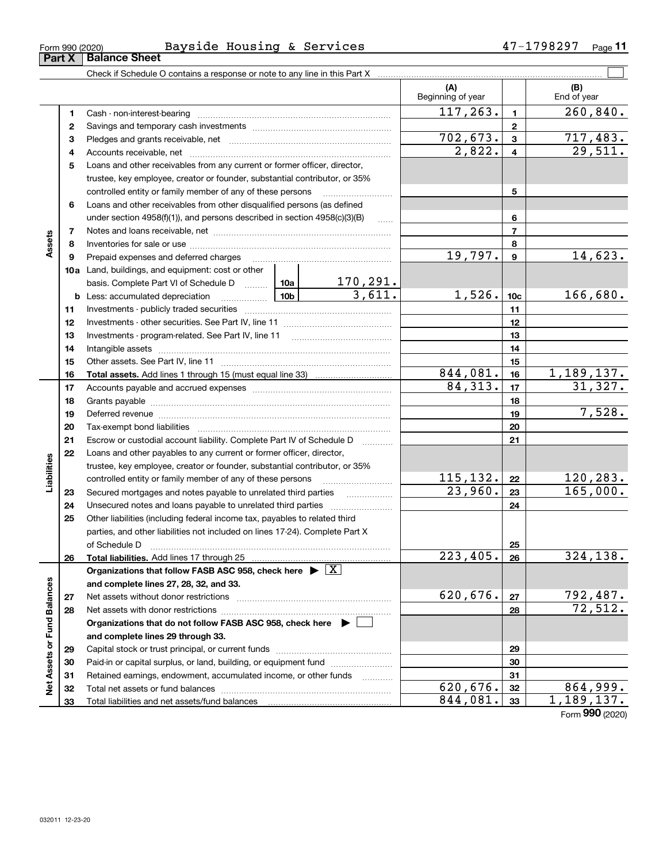| Form 990 (2020) | Bavside | $- -$<br>Housing | $\alpha$ | Services | ת מי<br>uΖ | Page |
|-----------------|---------|------------------|----------|----------|------------|------|
|                 |         |                  |          |          |            |      |

|                             |    |                                                                                                                                                                                                                                |           |                           | (A)<br>Beginning of year |                  | (B)<br>End of year     |
|-----------------------------|----|--------------------------------------------------------------------------------------------------------------------------------------------------------------------------------------------------------------------------------|-----------|---------------------------|--------------------------|------------------|------------------------|
|                             | 1  |                                                                                                                                                                                                                                |           |                           | 117, 263.                | $\mathbf{1}$     | 260, 840.              |
|                             | 2  |                                                                                                                                                                                                                                |           | $\mathbf{2}$              |                          |                  |                        |
|                             | 3  |                                                                                                                                                                                                                                | 702, 673. | $\mathbf{3}$              | <u>717,483.</u>          |                  |                        |
|                             | 4  |                                                                                                                                                                                                                                | 2,822.    | $\overline{\mathbf{4}}$   | 29,511.                  |                  |                        |
|                             | 5  | Loans and other receivables from any current or former officer, director,                                                                                                                                                      |           |                           |                          |                  |                        |
|                             |    | trustee, key employee, creator or founder, substantial contributor, or 35%                                                                                                                                                     |           |                           |                          |                  |                        |
|                             |    | controlled entity or family member of any of these persons                                                                                                                                                                     |           |                           |                          | 5                |                        |
|                             | 6  | Loans and other receivables from other disqualified persons (as defined                                                                                                                                                        |           |                           |                          |                  |                        |
|                             |    | under section 4958(f)(1)), and persons described in section 4958(c)(3)(B)                                                                                                                                                      |           | $\ldots$                  |                          | 6                |                        |
|                             | 7  |                                                                                                                                                                                                                                |           |                           |                          | $\overline{7}$   |                        |
| Assets                      | 8  |                                                                                                                                                                                                                                |           |                           |                          | 8                |                        |
|                             | 9  | Prepaid expenses and deferred charges                                                                                                                                                                                          |           |                           | 19,797.                  | $\boldsymbol{9}$ | 14,623.                |
|                             |    | <b>10a</b> Land, buildings, and equipment: cost or other                                                                                                                                                                       |           |                           |                          |                  |                        |
|                             |    | basis. Complete Part VI of Schedule D  10a                                                                                                                                                                                     |           | $\frac{170,291.}{3,611.}$ |                          |                  |                        |
|                             |    | <u>  10b</u> 10b 10b<br><b>b</b> Less: accumulated depreciation                                                                                                                                                                |           |                           | 1,526.                   | 10 <sub>c</sub>  | 166,680.               |
|                             | 11 |                                                                                                                                                                                                                                |           |                           |                          | 11               |                        |
|                             | 12 |                                                                                                                                                                                                                                |           |                           |                          | 12               |                        |
|                             | 13 |                                                                                                                                                                                                                                |           |                           |                          | 13               |                        |
|                             | 14 |                                                                                                                                                                                                                                |           |                           |                          | 14               |                        |
|                             | 15 |                                                                                                                                                                                                                                |           | 15                        |                          |                  |                        |
|                             | 16 |                                                                                                                                                                                                                                |           |                           | 844,081.                 | 16               | 1,189,137.             |
|                             | 17 |                                                                                                                                                                                                                                |           | 84,313.                   | 17                       | 31,327.          |                        |
|                             | 18 |                                                                                                                                                                                                                                |           | 18                        |                          |                  |                        |
|                             | 19 | Deferred revenue manual contracts and contracts are all the manual contracts and contracts are contracted and contracts are contracted and contract are contracted and contract are contracted and contract are contracted and |           |                           | 19                       | 7,528.           |                        |
|                             | 20 |                                                                                                                                                                                                                                |           |                           |                          | 20               |                        |
|                             | 21 | Escrow or custodial account liability. Complete Part IV of Schedule D                                                                                                                                                          |           |                           |                          | 21               |                        |
|                             | 22 | Loans and other payables to any current or former officer, director,                                                                                                                                                           |           |                           |                          |                  |                        |
|                             |    | trustee, key employee, creator or founder, substantial contributor, or 35%                                                                                                                                                     |           |                           |                          |                  |                        |
| Liabilities                 |    | controlled entity or family member of any of these persons                                                                                                                                                                     |           | 115, 132.                 | 22                       | 120, 283.        |                        |
|                             | 23 | Secured mortgages and notes payable to unrelated third parties                                                                                                                                                                 | 23,960.   | 23                        | $\overline{165,000}$ .   |                  |                        |
|                             | 24 |                                                                                                                                                                                                                                |           | 24                        |                          |                  |                        |
|                             | 25 | Other liabilities (including federal income tax, payables to related third                                                                                                                                                     |           |                           |                          |                  |                        |
|                             |    | parties, and other liabilities not included on lines 17-24). Complete Part X                                                                                                                                                   |           |                           |                          |                  |                        |
|                             |    | of Schedule Decrease and Contract Decrease and Schedule Decrease and Schedule Decrease and Schedule D                                                                                                                          |           |                           |                          | 25               |                        |
|                             | 26 |                                                                                                                                                                                                                                |           |                           | $\overline{223, 405.}$   | 26               | 324, 138.              |
|                             |    | Organizations that follow FASB ASC 958, check here $\triangleright \lfloor \underline{X} \rfloor$                                                                                                                              |           |                           |                          |                  |                        |
|                             |    | and complete lines 27, 28, 32, and 33.                                                                                                                                                                                         |           |                           |                          |                  |                        |
|                             | 27 |                                                                                                                                                                                                                                | 620,676.  | 27                        | 792,487.<br>72,512.      |                  |                        |
|                             | 28 |                                                                                                                                                                                                                                |           |                           | 28                       |                  |                        |
|                             |    | Organizations that do not follow FASB ASC 958, check here $\blacktriangleright$                                                                                                                                                |           |                           |                          |                  |                        |
|                             |    | and complete lines 29 through 33.                                                                                                                                                                                              |           |                           |                          |                  |                        |
| Net Assets or Fund Balances | 29 |                                                                                                                                                                                                                                |           |                           |                          | 29               |                        |
|                             | 30 | Paid-in or capital surplus, or land, building, or equipment fund                                                                                                                                                               |           |                           |                          | 30               |                        |
|                             | 31 | Retained earnings, endowment, accumulated income, or other funds                                                                                                                                                               |           |                           | 620,676.                 | 31               |                        |
|                             | 32 |                                                                                                                                                                                                                                |           |                           | 844,081.                 | 32               | 864,999.<br>1,189,137. |
|                             | 33 | Total liabilities and net assets/fund balances <b>manually contained</b> in the liabilities and net assets/fund balances                                                                                                       |           |                           |                          | 33               |                        |

Form (2020) **990**

| Form 990 (2020) |                               |  |
|-----------------|-------------------------------|--|
|                 | <b>Part X   Balance Sheet</b> |  |

 $\overline{\phantom{0}}$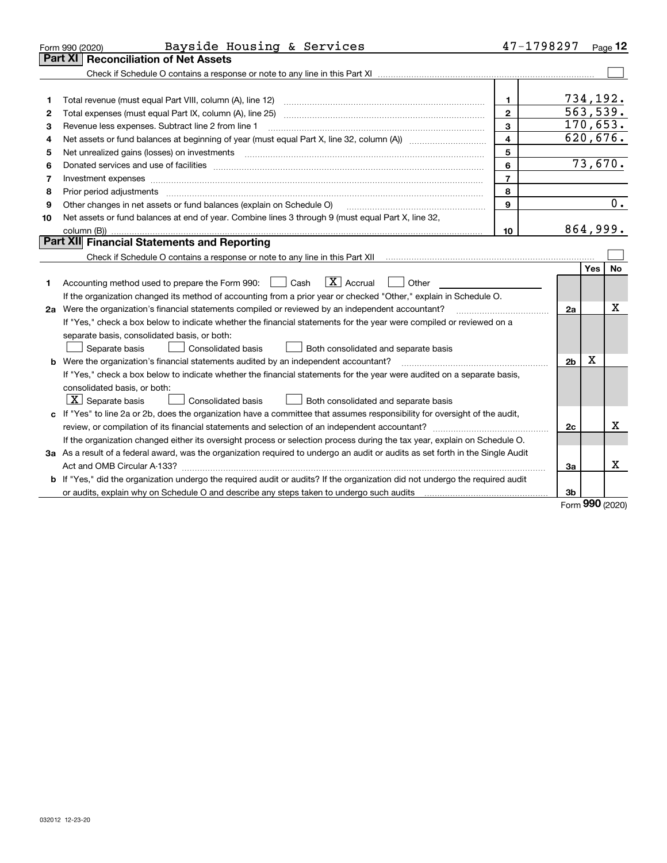|    | Bayside Housing & Services<br>Form 990 (2020)                                                                                                                                           | 47-1798297               |                |            | Page 12   |
|----|-----------------------------------------------------------------------------------------------------------------------------------------------------------------------------------------|--------------------------|----------------|------------|-----------|
|    | <b>Reconciliation of Net Assets</b><br>Part XI                                                                                                                                          |                          |                |            |           |
|    |                                                                                                                                                                                         |                          |                |            |           |
|    |                                                                                                                                                                                         |                          |                |            |           |
| 1  |                                                                                                                                                                                         | 1                        | 734,192.       |            |           |
| 2  |                                                                                                                                                                                         | $\overline{2}$           | 563,539.       |            |           |
| 3  | Revenue less expenses. Subtract line 2 from line 1                                                                                                                                      | 3                        | 170,653.       |            |           |
| 4  |                                                                                                                                                                                         | $\overline{\mathbf{4}}$  |                |            | 620, 676. |
| 5  |                                                                                                                                                                                         | 5                        |                |            |           |
| 6  |                                                                                                                                                                                         | 6                        |                |            | 73,670.   |
| 7  | Investment expenses www.communication.com/www.communication.com/www.communication.com/www.communication.com                                                                             | $\overline{\phantom{a}}$ |                |            |           |
| 8  | Prior period adjustments                                                                                                                                                                | 8                        |                |            |           |
| 9  | Other changes in net assets or fund balances (explain on Schedule O)                                                                                                                    | 9                        |                |            | 0.        |
| 10 | Net assets or fund balances at end of year. Combine lines 3 through 9 (must equal Part X, line 32,                                                                                      |                          |                |            |           |
|    |                                                                                                                                                                                         | 10                       | 864,999.       |            |           |
|    | Part XII Financial Statements and Reporting                                                                                                                                             |                          |                |            |           |
|    | Check if Schedule O contains a response or note to any line in this Part XII [11] [11] [11] [11] [11] [11] Check if Schedule O contains a response or note to any line in this Part XII |                          |                |            |           |
|    |                                                                                                                                                                                         |                          |                | <b>Yes</b> | <b>No</b> |
| 1  | $\boxed{\mathbf{X}}$ Accrual<br>Accounting method used to prepare the Form 990: [130] Cash<br>Other                                                                                     |                          |                |            |           |
|    | If the organization changed its method of accounting from a prior year or checked "Other," explain in Schedule O.                                                                       |                          |                |            |           |
|    | 2a Were the organization's financial statements compiled or reviewed by an independent accountant?                                                                                      |                          | 2a             |            | x         |
|    | If "Yes," check a box below to indicate whether the financial statements for the year were compiled or reviewed on a                                                                    |                          |                |            |           |
|    | separate basis, consolidated basis, or both:                                                                                                                                            |                          |                |            |           |
|    | Separate basis<br>Both consolidated and separate basis<br>Consolidated basis                                                                                                            |                          |                |            |           |
|    | <b>b</b> Were the organization's financial statements audited by an independent accountant?                                                                                             |                          | 2 <sub>b</sub> | Х          |           |
|    | If "Yes," check a box below to indicate whether the financial statements for the year were audited on a separate basis,                                                                 |                          |                |            |           |
|    | consolidated basis, or both:                                                                                                                                                            |                          |                |            |           |
|    | $X$ Separate basis<br>Consolidated basis<br>Both consolidated and separate basis                                                                                                        |                          |                |            |           |
|    | c If "Yes" to line 2a or 2b, does the organization have a committee that assumes responsibility for oversight of the audit,                                                             |                          |                |            |           |
|    |                                                                                                                                                                                         |                          | 2c             |            | х         |
|    | If the organization changed either its oversight process or selection process during the tax year, explain on Schedule O.                                                               |                          |                |            |           |
|    | 3a As a result of a federal award, was the organization required to undergo an audit or audits as set forth in the Single Audit                                                         |                          |                |            |           |
|    | Act and OMB Circular A-133?                                                                                                                                                             |                          | За             |            | x         |
|    | b If "Yes," did the organization undergo the required audit or audits? If the organization did not undergo the required audit                                                           |                          |                |            |           |
|    |                                                                                                                                                                                         |                          | 3 <sub>b</sub> |            |           |

Form (2020) **990**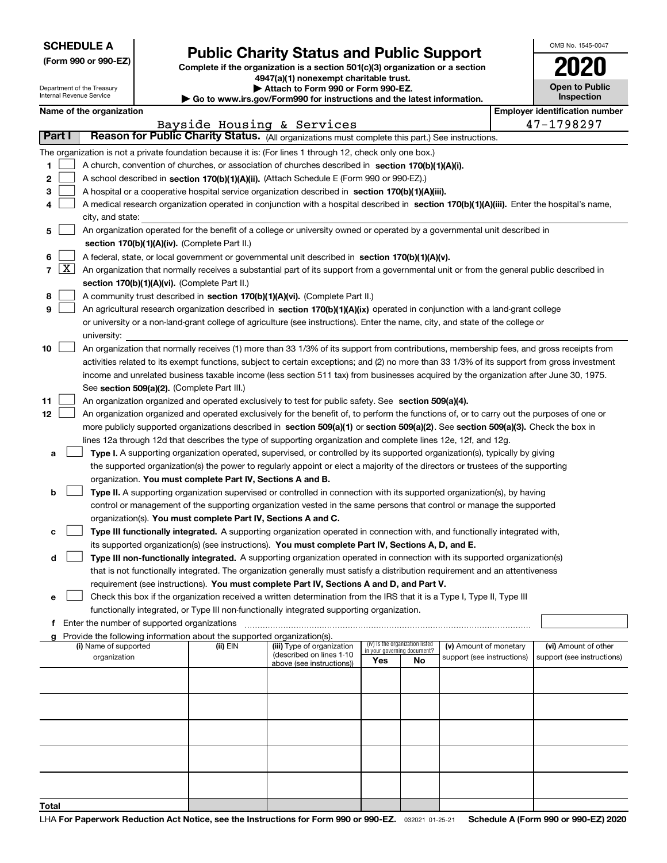|  | <b>SCHEDULE A</b> |
|--|-------------------|
|--|-------------------|

Department of the Treasury Internal Revenue Service

|  |  |  | (Form 990 or 990-EZ) |  |
|--|--|--|----------------------|--|
|--|--|--|----------------------|--|

### **Public Charity Status and Public Support**

**Complete if the organization is a section 501(c)(3) organization or a section 4947(a)(1) nonexempt charitable trust.**

|  | Attach to Form 990 or Form 990-EZ. |
|--|------------------------------------|
|--|------------------------------------|

**| Go to www.irs.gov/Form990 for instructions and the latest information.**

| OMB No. 1545-0047                   |
|-------------------------------------|
| 020                                 |
| <b>Open to Public</b><br>Inspection |

|  | Name of the organization |
|--|--------------------------|
|--|--------------------------|

|    | Name of the organization<br><b>Employer identification number</b>                                                              |                                                                                                                                                                                                                                                    |          |                                                        |                                                                |    |                            |                            |
|----|--------------------------------------------------------------------------------------------------------------------------------|----------------------------------------------------------------------------------------------------------------------------------------------------------------------------------------------------------------------------------------------------|----------|--------------------------------------------------------|----------------------------------------------------------------|----|----------------------------|----------------------------|
|    | Bayside Housing & Services<br>Reason for Public Charity Status. (All organizations must complete this part.) See instructions. |                                                                                                                                                                                                                                                    |          |                                                        |                                                                |    |                            | 47-1798297                 |
|    | Part I                                                                                                                         |                                                                                                                                                                                                                                                    |          |                                                        |                                                                |    |                            |                            |
|    |                                                                                                                                | The organization is not a private foundation because it is: (For lines 1 through 12, check only one box.)                                                                                                                                          |          |                                                        |                                                                |    |                            |                            |
| 1  |                                                                                                                                | A church, convention of churches, or association of churches described in section 170(b)(1)(A)(i).                                                                                                                                                 |          |                                                        |                                                                |    |                            |                            |
| 2  |                                                                                                                                | A school described in section 170(b)(1)(A)(ii). (Attach Schedule E (Form 990 or 990-EZ).)                                                                                                                                                          |          |                                                        |                                                                |    |                            |                            |
| з  |                                                                                                                                | A hospital or a cooperative hospital service organization described in section 170(b)(1)(A)(iii).                                                                                                                                                  |          |                                                        |                                                                |    |                            |                            |
| 4  |                                                                                                                                | A medical research organization operated in conjunction with a hospital described in section 170(b)(1)(A)(iii). Enter the hospital's name,                                                                                                         |          |                                                        |                                                                |    |                            |                            |
|    |                                                                                                                                | city, and state:                                                                                                                                                                                                                                   |          |                                                        |                                                                |    |                            |                            |
| 5  |                                                                                                                                | An organization operated for the benefit of a college or university owned or operated by a governmental unit described in                                                                                                                          |          |                                                        |                                                                |    |                            |                            |
|    |                                                                                                                                | section 170(b)(1)(A)(iv). (Complete Part II.)                                                                                                                                                                                                      |          |                                                        |                                                                |    |                            |                            |
| 6  |                                                                                                                                | A federal, state, or local government or governmental unit described in section 170(b)(1)(A)(v).                                                                                                                                                   |          |                                                        |                                                                |    |                            |                            |
|    | $7 \times$                                                                                                                     | An organization that normally receives a substantial part of its support from a governmental unit or from the general public described in                                                                                                          |          |                                                        |                                                                |    |                            |                            |
|    |                                                                                                                                | section 170(b)(1)(A)(vi). (Complete Part II.)                                                                                                                                                                                                      |          |                                                        |                                                                |    |                            |                            |
| 8  |                                                                                                                                | A community trust described in section 170(b)(1)(A)(vi). (Complete Part II.)                                                                                                                                                                       |          |                                                        |                                                                |    |                            |                            |
| 9  |                                                                                                                                | An agricultural research organization described in section 170(b)(1)(A)(ix) operated in conjunction with a land-grant college                                                                                                                      |          |                                                        |                                                                |    |                            |                            |
|    |                                                                                                                                | or university or a non-land-grant college of agriculture (see instructions). Enter the name, city, and state of the college or                                                                                                                     |          |                                                        |                                                                |    |                            |                            |
|    |                                                                                                                                | university:                                                                                                                                                                                                                                        |          |                                                        |                                                                |    |                            |                            |
| 10 |                                                                                                                                | An organization that normally receives (1) more than 33 1/3% of its support from contributions, membership fees, and gross receipts from                                                                                                           |          |                                                        |                                                                |    |                            |                            |
|    |                                                                                                                                | activities related to its exempt functions, subject to certain exceptions; and (2) no more than 33 1/3% of its support from gross investment                                                                                                       |          |                                                        |                                                                |    |                            |                            |
|    |                                                                                                                                | income and unrelated business taxable income (less section 511 tax) from businesses acquired by the organization after June 30, 1975.                                                                                                              |          |                                                        |                                                                |    |                            |                            |
|    |                                                                                                                                | See section 509(a)(2). (Complete Part III.)                                                                                                                                                                                                        |          |                                                        |                                                                |    |                            |                            |
| 11 |                                                                                                                                | An organization organized and operated exclusively to test for public safety. See section 509(a)(4).<br>An organization organized and operated exclusively for the benefit of, to perform the functions of, or to carry out the purposes of one or |          |                                                        |                                                                |    |                            |                            |
| 12 |                                                                                                                                | more publicly supported organizations described in section 509(a)(1) or section 509(a)(2). See section 509(a)(3). Check the box in                                                                                                                 |          |                                                        |                                                                |    |                            |                            |
|    |                                                                                                                                | lines 12a through 12d that describes the type of supporting organization and complete lines 12e, 12f, and 12g.                                                                                                                                     |          |                                                        |                                                                |    |                            |                            |
| а  |                                                                                                                                | Type I. A supporting organization operated, supervised, or controlled by its supported organization(s), typically by giving                                                                                                                        |          |                                                        |                                                                |    |                            |                            |
|    |                                                                                                                                | the supported organization(s) the power to regularly appoint or elect a majority of the directors or trustees of the supporting                                                                                                                    |          |                                                        |                                                                |    |                            |                            |
|    |                                                                                                                                | organization. You must complete Part IV, Sections A and B.                                                                                                                                                                                         |          |                                                        |                                                                |    |                            |                            |
| b  |                                                                                                                                | Type II. A supporting organization supervised or controlled in connection with its supported organization(s), by having                                                                                                                            |          |                                                        |                                                                |    |                            |                            |
|    |                                                                                                                                | control or management of the supporting organization vested in the same persons that control or manage the supported                                                                                                                               |          |                                                        |                                                                |    |                            |                            |
|    |                                                                                                                                | organization(s). You must complete Part IV, Sections A and C.                                                                                                                                                                                      |          |                                                        |                                                                |    |                            |                            |
| с  |                                                                                                                                | Type III functionally integrated. A supporting organization operated in connection with, and functionally integrated with,                                                                                                                         |          |                                                        |                                                                |    |                            |                            |
|    |                                                                                                                                | its supported organization(s) (see instructions). You must complete Part IV, Sections A, D, and E.                                                                                                                                                 |          |                                                        |                                                                |    |                            |                            |
| d  |                                                                                                                                | Type III non-functionally integrated. A supporting organization operated in connection with its supported organization(s)                                                                                                                          |          |                                                        |                                                                |    |                            |                            |
|    |                                                                                                                                | that is not functionally integrated. The organization generally must satisfy a distribution requirement and an attentiveness                                                                                                                       |          |                                                        |                                                                |    |                            |                            |
|    |                                                                                                                                | requirement (see instructions). You must complete Part IV, Sections A and D, and Part V.                                                                                                                                                           |          |                                                        |                                                                |    |                            |                            |
| е  |                                                                                                                                | Check this box if the organization received a written determination from the IRS that it is a Type I, Type II, Type III                                                                                                                            |          |                                                        |                                                                |    |                            |                            |
|    |                                                                                                                                | functionally integrated, or Type III non-functionally integrated supporting organization.                                                                                                                                                          |          |                                                        |                                                                |    |                            |                            |
|    |                                                                                                                                | f Enter the number of supported organizations                                                                                                                                                                                                      |          |                                                        |                                                                |    |                            |                            |
|    |                                                                                                                                | g Provide the following information about the supported organization(s).                                                                                                                                                                           |          |                                                        |                                                                |    |                            |                            |
|    |                                                                                                                                | (i) Name of supported                                                                                                                                                                                                                              | (ii) EIN | (iii) Type of organization<br>(described on lines 1-10 | (iv) Is the organization listed<br>in your governing document? |    | (v) Amount of monetary     | (vi) Amount of other       |
|    |                                                                                                                                | organization                                                                                                                                                                                                                                       |          | above (see instructions))                              | Yes                                                            | No | support (see instructions) | support (see instructions) |
|    |                                                                                                                                |                                                                                                                                                                                                                                                    |          |                                                        |                                                                |    |                            |                            |
|    |                                                                                                                                |                                                                                                                                                                                                                                                    |          |                                                        |                                                                |    |                            |                            |
|    |                                                                                                                                |                                                                                                                                                                                                                                                    |          |                                                        |                                                                |    |                            |                            |
|    |                                                                                                                                |                                                                                                                                                                                                                                                    |          |                                                        |                                                                |    |                            |                            |
|    |                                                                                                                                |                                                                                                                                                                                                                                                    |          |                                                        |                                                                |    |                            |                            |
|    |                                                                                                                                |                                                                                                                                                                                                                                                    |          |                                                        |                                                                |    |                            |                            |
|    |                                                                                                                                |                                                                                                                                                                                                                                                    |          |                                                        |                                                                |    |                            |                            |
|    |                                                                                                                                |                                                                                                                                                                                                                                                    |          |                                                        |                                                                |    |                            |                            |
|    |                                                                                                                                |                                                                                                                                                                                                                                                    |          |                                                        |                                                                |    |                            |                            |
|    |                                                                                                                                |                                                                                                                                                                                                                                                    |          |                                                        |                                                                |    |                            |                            |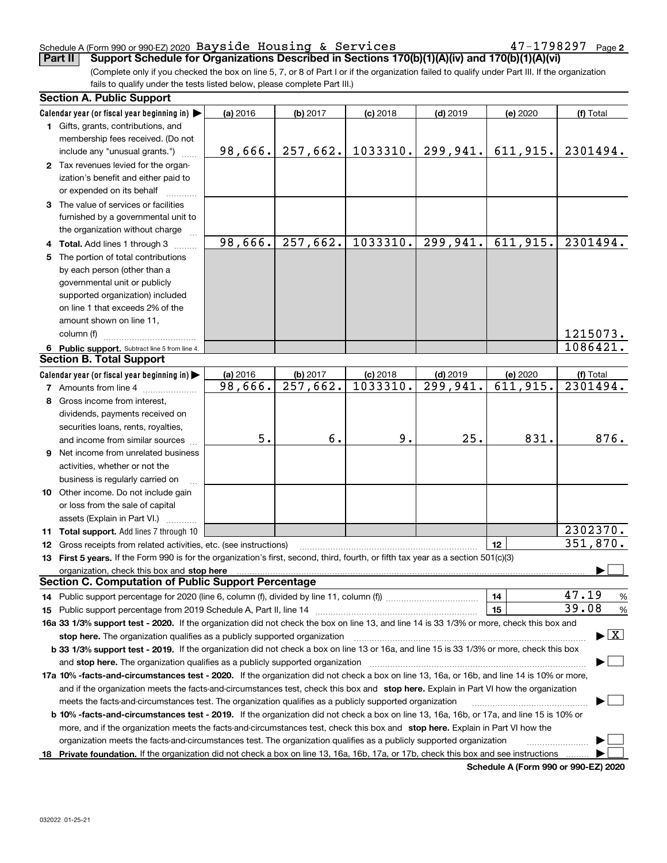#### Schedule A (Form 990 or 990-EZ) 2020 Page Bayside Housing & Services 47-1798297

**2**

(Complete only if you checked the box on line 5, 7, or 8 of Part I or if the organization failed to qualify under Part III. If the organization fails to qualify under the tests listed below, please complete Part III.) **Part II Support Schedule for Organizations Described in Sections 170(b)(1)(A)(iv) and 170(b)(1)(A)(vi)**

| <b>Section A. Public Support</b>                                                                                                               |          |          |            |                        |          |                                          |
|------------------------------------------------------------------------------------------------------------------------------------------------|----------|----------|------------|------------------------|----------|------------------------------------------|
| Calendar year (or fiscal year beginning in) $\blacktriangleright$                                                                              | (a) 2016 | (b) 2017 | $(c)$ 2018 | $(d)$ 2019             | (e) 2020 | (f) Total                                |
| 1 Gifts, grants, contributions, and                                                                                                            |          |          |            |                        |          |                                          |
| membership fees received. (Do not                                                                                                              |          |          |            |                        |          |                                          |
| include any "unusual grants.")                                                                                                                 | 98,666.  | 257,662. | 1033310.   | 299,941.               | 611,915. | 2301494.                                 |
| 2 Tax revenues levied for the organ-                                                                                                           |          |          |            |                        |          |                                          |
| ization's benefit and either paid to                                                                                                           |          |          |            |                        |          |                                          |
| or expended on its behalf                                                                                                                      |          |          |            |                        |          |                                          |
| 3 The value of services or facilities                                                                                                          |          |          |            |                        |          |                                          |
| furnished by a governmental unit to                                                                                                            |          |          |            |                        |          |                                          |
| the organization without charge                                                                                                                |          |          |            |                        |          |                                          |
| 4 Total. Add lines 1 through 3                                                                                                                 | 98,666.  | 257,662. | 1033310.   | 299,941.               | 611,915. | 2301494.                                 |
| 5 The portion of total contributions                                                                                                           |          |          |            |                        |          |                                          |
| by each person (other than a                                                                                                                   |          |          |            |                        |          |                                          |
| governmental unit or publicly                                                                                                                  |          |          |            |                        |          |                                          |
| supported organization) included                                                                                                               |          |          |            |                        |          |                                          |
| on line 1 that exceeds 2% of the                                                                                                               |          |          |            |                        |          |                                          |
| amount shown on line 11,                                                                                                                       |          |          |            |                        |          |                                          |
| column (f)                                                                                                                                     |          |          |            |                        |          | 1215073.                                 |
| 6 Public support. Subtract line 5 from line 4.                                                                                                 |          |          |            |                        |          | 1086421.                                 |
| <b>Section B. Total Support</b>                                                                                                                |          |          |            |                        |          |                                          |
| Calendar year (or fiscal year beginning in)                                                                                                    | (a) 2016 | (b) 2017 | $(c)$ 2018 | $(d)$ 2019             | (e) 2020 | (f) Total                                |
| <b>7</b> Amounts from line 4                                                                                                                   | 98,666.  | 257,662. | 1033310.   | $\overline{299,941}$ . | 611,915. | 2301494.                                 |
| 8 Gross income from interest,                                                                                                                  |          |          |            |                        |          |                                          |
| dividends, payments received on                                                                                                                |          |          |            |                        |          |                                          |
| securities loans, rents, royalties,                                                                                                            |          |          |            |                        |          |                                          |
| and income from similar sources                                                                                                                | 5.       | 6.       | 9.         | 25.                    | 831.     | 876.                                     |
| 9 Net income from unrelated business                                                                                                           |          |          |            |                        |          |                                          |
| activities, whether or not the                                                                                                                 |          |          |            |                        |          |                                          |
| business is regularly carried on                                                                                                               |          |          |            |                        |          |                                          |
| 10 Other income. Do not include gain                                                                                                           |          |          |            |                        |          |                                          |
| or loss from the sale of capital                                                                                                               |          |          |            |                        |          |                                          |
| assets (Explain in Part VI.)                                                                                                                   |          |          |            |                        |          |                                          |
| 11 Total support. Add lines 7 through 10                                                                                                       |          |          |            |                        |          | 2302370.                                 |
| <b>12</b> Gross receipts from related activities, etc. (see instructions)                                                                      |          |          |            |                        | 12       | 351,870.                                 |
| 13 First 5 years. If the Form 990 is for the organization's first, second, third, fourth, or fifth tax year as a section 501(c)(3)             |          |          |            |                        |          |                                          |
| organization, check this box and <b>stop here</b> www.communication.communication.communication.communication.com                              |          |          |            |                        |          |                                          |
| <b>Section C. Computation of Public Support Percentage</b>                                                                                     |          |          |            |                        |          |                                          |
| 14 Public support percentage for 2020 (line 6, column (f), divided by line 11, column (f) <i>mummanon</i> mummanon                             |          |          |            |                        | 14       | 47.19<br>%                               |
|                                                                                                                                                |          |          |            |                        | 15       | 39.08<br>%                               |
| 16a 33 1/3% support test - 2020. If the organization did not check the box on line 13, and line 14 is 33 1/3% or more, check this box and      |          |          |            |                        |          |                                          |
| stop here. The organization qualifies as a publicly supported organization                                                                     |          |          |            |                        |          | $\blacktriangleright$ $\boxed{\text{X}}$ |
| b 33 1/3% support test - 2019. If the organization did not check a box on line 13 or 16a, and line 15 is 33 1/3% or more, check this box       |          |          |            |                        |          |                                          |
| and stop here. The organization qualifies as a publicly supported organization                                                                 |          |          |            |                        |          |                                          |
| 17a 10% -facts-and-circumstances test - 2020. If the organization did not check a box on line 13, 16a, or 16b, and line 14 is 10% or more,     |          |          |            |                        |          |                                          |
| and if the organization meets the facts-and-circumstances test, check this box and stop here. Explain in Part VI how the organization          |          |          |            |                        |          |                                          |
| meets the facts-and-circumstances test. The organization qualifies as a publicly supported organization                                        |          |          |            |                        |          |                                          |
| <b>b 10% -facts-and-circumstances test - 2019.</b> If the organization did not check a box on line 13, 16a, 16b, or 17a, and line 15 is 10% or |          |          |            |                        |          |                                          |
| more, and if the organization meets the facts-and-circumstances test, check this box and stop here. Explain in Part VI how the                 |          |          |            |                        |          |                                          |
| organization meets the facts-and-circumstances test. The organization qualifies as a publicly supported organization                           |          |          |            |                        |          |                                          |
| 18 Private foundation. If the organization did not check a box on line 13, 16a, 16b, 17a, or 17b, check this box and see instructions          |          |          |            |                        |          |                                          |

**Schedule A (Form 990 or 990-EZ) 2020**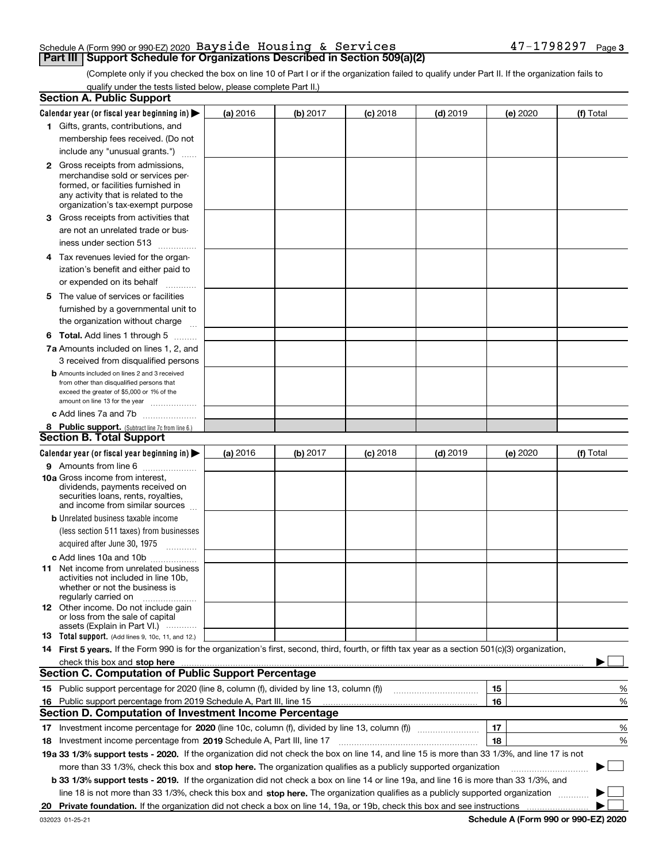#### Schedule A (Form 990 or 990-EZ) 2020 Page Bayside Housing & Services 47-1798297**Part III Support Schedule for Organizations Described in Section 509(a)(2)**

(Complete only if you checked the box on line 10 of Part I or if the organization failed to qualify under Part II. If the organization fails to qualify under the tests listed below, please complete Part II.)

|    | <b>Section A. Public Support</b>                                                                                                                                                                                               |          |          |            |            |          |             |
|----|--------------------------------------------------------------------------------------------------------------------------------------------------------------------------------------------------------------------------------|----------|----------|------------|------------|----------|-------------|
|    | Calendar year (or fiscal year beginning in) $\blacktriangleright$                                                                                                                                                              | (a) 2016 | (b) 2017 | $(c)$ 2018 | $(d)$ 2019 | (e) 2020 | (f) Total   |
|    | 1 Gifts, grants, contributions, and                                                                                                                                                                                            |          |          |            |            |          |             |
|    | membership fees received. (Do not                                                                                                                                                                                              |          |          |            |            |          |             |
|    | include any "unusual grants.")                                                                                                                                                                                                 |          |          |            |            |          |             |
|    | <b>2</b> Gross receipts from admissions,                                                                                                                                                                                       |          |          |            |            |          |             |
|    | merchandise sold or services per-                                                                                                                                                                                              |          |          |            |            |          |             |
|    | formed, or facilities furnished in                                                                                                                                                                                             |          |          |            |            |          |             |
|    | any activity that is related to the<br>organization's tax-exempt purpose                                                                                                                                                       |          |          |            |            |          |             |
|    | 3 Gross receipts from activities that                                                                                                                                                                                          |          |          |            |            |          |             |
|    | are not an unrelated trade or bus-                                                                                                                                                                                             |          |          |            |            |          |             |
|    | iness under section 513                                                                                                                                                                                                        |          |          |            |            |          |             |
|    | 4 Tax revenues levied for the organ-                                                                                                                                                                                           |          |          |            |            |          |             |
|    | ization's benefit and either paid to                                                                                                                                                                                           |          |          |            |            |          |             |
|    | or expended on its behalf<br>.                                                                                                                                                                                                 |          |          |            |            |          |             |
|    | 5 The value of services or facilities                                                                                                                                                                                          |          |          |            |            |          |             |
|    | furnished by a governmental unit to                                                                                                                                                                                            |          |          |            |            |          |             |
|    | the organization without charge                                                                                                                                                                                                |          |          |            |            |          |             |
|    | <b>6 Total.</b> Add lines 1 through 5                                                                                                                                                                                          |          |          |            |            |          |             |
|    | 7a Amounts included on lines 1, 2, and                                                                                                                                                                                         |          |          |            |            |          |             |
|    | 3 received from disqualified persons                                                                                                                                                                                           |          |          |            |            |          |             |
|    | <b>b</b> Amounts included on lines 2 and 3 received                                                                                                                                                                            |          |          |            |            |          |             |
|    | from other than disqualified persons that                                                                                                                                                                                      |          |          |            |            |          |             |
|    | exceed the greater of \$5,000 or 1% of the<br>amount on line 13 for the year                                                                                                                                                   |          |          |            |            |          |             |
|    | c Add lines 7a and 7b                                                                                                                                                                                                          |          |          |            |            |          |             |
|    | 8 Public support. (Subtract line 7c from line 6.)                                                                                                                                                                              |          |          |            |            |          |             |
|    | <b>Section B. Total Support</b>                                                                                                                                                                                                |          |          |            |            |          |             |
|    | Calendar year (or fiscal year beginning in)                                                                                                                                                                                    | (a) 2016 | (b) 2017 | $(c)$ 2018 | $(d)$ 2019 | (e) 2020 | (f) Total   |
|    | 9 Amounts from line 6                                                                                                                                                                                                          |          |          |            |            |          |             |
|    | <b>10a</b> Gross income from interest,                                                                                                                                                                                         |          |          |            |            |          |             |
|    | dividends, payments received on                                                                                                                                                                                                |          |          |            |            |          |             |
|    | securities loans, rents, royalties,<br>and income from similar sources                                                                                                                                                         |          |          |            |            |          |             |
|    | <b>b</b> Unrelated business taxable income                                                                                                                                                                                     |          |          |            |            |          |             |
|    | (less section 511 taxes) from businesses                                                                                                                                                                                       |          |          |            |            |          |             |
|    | acquired after June 30, 1975 [10001]                                                                                                                                                                                           |          |          |            |            |          |             |
|    | c Add lines 10a and 10b                                                                                                                                                                                                        |          |          |            |            |          |             |
|    | 11 Net income from unrelated business                                                                                                                                                                                          |          |          |            |            |          |             |
|    | activities not included in line 10b,                                                                                                                                                                                           |          |          |            |            |          |             |
|    | whether or not the business is<br>regularly carried on                                                                                                                                                                         |          |          |            |            |          |             |
|    | <b>12</b> Other income. Do not include gain                                                                                                                                                                                    |          |          |            |            |          |             |
|    | or loss from the sale of capital                                                                                                                                                                                               |          |          |            |            |          |             |
|    | assets (Explain in Part VI.)<br><b>13</b> Total support. (Add lines 9, 10c, 11, and 12.)                                                                                                                                       |          |          |            |            |          |             |
|    | 14 First 5 years. If the Form 990 is for the organization's first, second, third, fourth, or fifth tax year as a section 501(c)(3) organization,                                                                               |          |          |            |            |          |             |
|    | check this box and stop here manufactured and control the state of the state of the state of the state of the state of the state of the state of the state of the state of the state of the state of the state of the state of |          |          |            |            |          |             |
|    | <b>Section C. Computation of Public Support Percentage</b>                                                                                                                                                                     |          |          |            |            |          |             |
|    | 15 Public support percentage for 2020 (line 8, column (f), divided by line 13, column (f))                                                                                                                                     |          |          |            |            | 15       | %           |
|    | 16 Public support percentage from 2019 Schedule A, Part III, line 15                                                                                                                                                           |          |          |            |            | 16       | %           |
|    | <b>Section D. Computation of Investment Income Percentage</b>                                                                                                                                                                  |          |          |            |            |          |             |
|    | 17 Investment income percentage for 2020 (line 10c, column (f), divided by line 13, column (f))                                                                                                                                |          |          |            |            | 17       | %           |
|    | <b>18</b> Investment income percentage from <b>2019</b> Schedule A, Part III, line 17                                                                                                                                          |          |          |            |            | 18       | %           |
|    | 19a 33 1/3% support tests - 2020. If the organization did not check the box on line 14, and line 15 is more than 33 1/3%, and line 17 is not                                                                                   |          |          |            |            |          |             |
|    | more than 33 1/3%, check this box and stop here. The organization qualifies as a publicly supported organization                                                                                                               |          |          |            |            |          | $\sim$<br>▶ |
|    | b 33 1/3% support tests - 2019. If the organization did not check a box on line 14 or line 19a, and line 16 is more than 33 1/3%, and                                                                                          |          |          |            |            |          |             |
|    | line 18 is not more than 33 1/3%, check this box and stop here. The organization qualifies as a publicly supported organization                                                                                                |          |          |            |            |          |             |
| 20 |                                                                                                                                                                                                                                |          |          |            |            |          |             |
|    |                                                                                                                                                                                                                                |          |          |            |            |          |             |

**Schedule A (Form 990 or 990-EZ) 2020**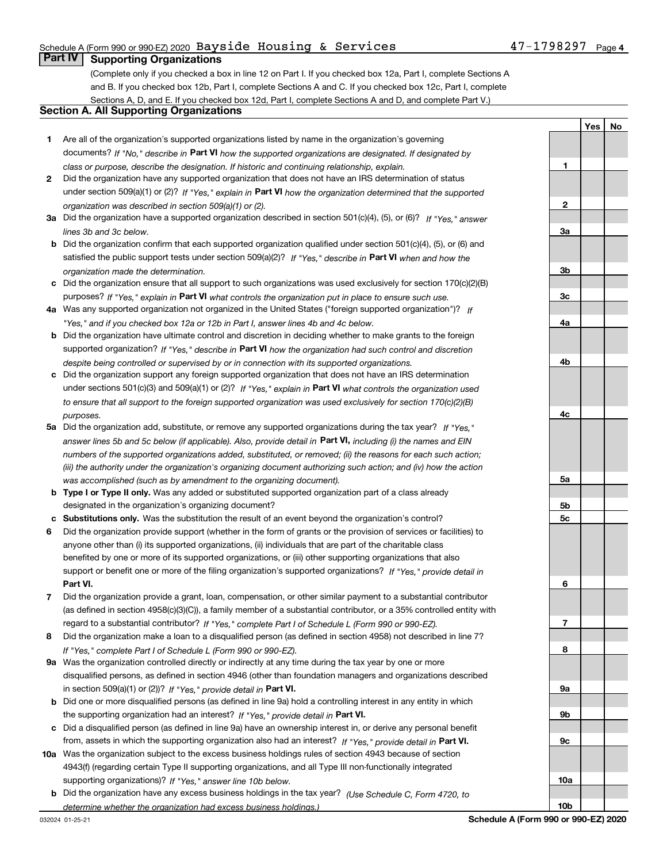### Schedule A (Form 990 or 990-EZ) 2020 Page Bayside Housing & Services 47-1798297

### **Part IV Supporting Organizations**

(Complete only if you checked a box in line 12 on Part I. If you checked box 12a, Part I, complete Sections A and B. If you checked box 12b, Part I, complete Sections A and C. If you checked box 12c, Part I, complete Sections A, D, and E. If you checked box 12d, Part I, complete Sections A and D, and complete Part V.)

### **Section A. All Supporting Organizations**

- **1** Are all of the organization's supported organizations listed by name in the organization's governing documents? If "No," describe in **Part VI** how the supported organizations are designated. If designated by *class or purpose, describe the designation. If historic and continuing relationship, explain.*
- **2** Did the organization have any supported organization that does not have an IRS determination of status under section 509(a)(1) or (2)? If "Yes," explain in Part VI how the organization determined that the supported *organization was described in section 509(a)(1) or (2).*
- **3a** Did the organization have a supported organization described in section 501(c)(4), (5), or (6)? If "Yes," answer *lines 3b and 3c below.*
- **b** Did the organization confirm that each supported organization qualified under section 501(c)(4), (5), or (6) and satisfied the public support tests under section 509(a)(2)? If "Yes," describe in **Part VI** when and how the *organization made the determination.*
- **c**Did the organization ensure that all support to such organizations was used exclusively for section 170(c)(2)(B) purposes? If "Yes," explain in **Part VI** what controls the organization put in place to ensure such use.
- **4a***If* Was any supported organization not organized in the United States ("foreign supported organization")? *"Yes," and if you checked box 12a or 12b in Part I, answer lines 4b and 4c below.*
- **b** Did the organization have ultimate control and discretion in deciding whether to make grants to the foreign supported organization? If "Yes," describe in **Part VI** how the organization had such control and discretion *despite being controlled or supervised by or in connection with its supported organizations.*
- **c** Did the organization support any foreign supported organization that does not have an IRS determination under sections 501(c)(3) and 509(a)(1) or (2)? If "Yes," explain in **Part VI** what controls the organization used *to ensure that all support to the foreign supported organization was used exclusively for section 170(c)(2)(B) purposes.*
- **5a***If "Yes,"* Did the organization add, substitute, or remove any supported organizations during the tax year? answer lines 5b and 5c below (if applicable). Also, provide detail in **Part VI,** including (i) the names and EIN *numbers of the supported organizations added, substituted, or removed; (ii) the reasons for each such action; (iii) the authority under the organization's organizing document authorizing such action; and (iv) how the action was accomplished (such as by amendment to the organizing document).*
- **b** Type I or Type II only. Was any added or substituted supported organization part of a class already designated in the organization's organizing document?
- **cSubstitutions only.**  Was the substitution the result of an event beyond the organization's control?
- **6** Did the organization provide support (whether in the form of grants or the provision of services or facilities) to **Part VI.** *If "Yes," provide detail in* support or benefit one or more of the filing organization's supported organizations? anyone other than (i) its supported organizations, (ii) individuals that are part of the charitable class benefited by one or more of its supported organizations, or (iii) other supporting organizations that also
- **7**Did the organization provide a grant, loan, compensation, or other similar payment to a substantial contributor *If "Yes," complete Part I of Schedule L (Form 990 or 990-EZ).* regard to a substantial contributor? (as defined in section 4958(c)(3)(C)), a family member of a substantial contributor, or a 35% controlled entity with
- **8** Did the organization make a loan to a disqualified person (as defined in section 4958) not described in line 7? *If "Yes," complete Part I of Schedule L (Form 990 or 990-EZ).*
- **9a** Was the organization controlled directly or indirectly at any time during the tax year by one or more in section 509(a)(1) or (2))? If "Yes," *provide detail in* <code>Part VI.</code> disqualified persons, as defined in section 4946 (other than foundation managers and organizations described
- **b** Did one or more disqualified persons (as defined in line 9a) hold a controlling interest in any entity in which the supporting organization had an interest? If "Yes," provide detail in P**art VI**.
- **c**Did a disqualified person (as defined in line 9a) have an ownership interest in, or derive any personal benefit from, assets in which the supporting organization also had an interest? If "Yes," provide detail in P**art VI.**
- **10a** Was the organization subject to the excess business holdings rules of section 4943 because of section supporting organizations)? If "Yes," answer line 10b below. 4943(f) (regarding certain Type II supporting organizations, and all Type III non-functionally integrated
- **b** Did the organization have any excess business holdings in the tax year? (Use Schedule C, Form 4720, to *determine whether the organization had excess business holdings.)*

032024 01-25-21

**1**

**2**

**3a**

**3b**

**3c**

**4a**

**4b**

**4c**

**5a**

**5b5c**

**6**

**7**

**8**

**9a**

**9b**

**9c**

**10a**

**YesNo**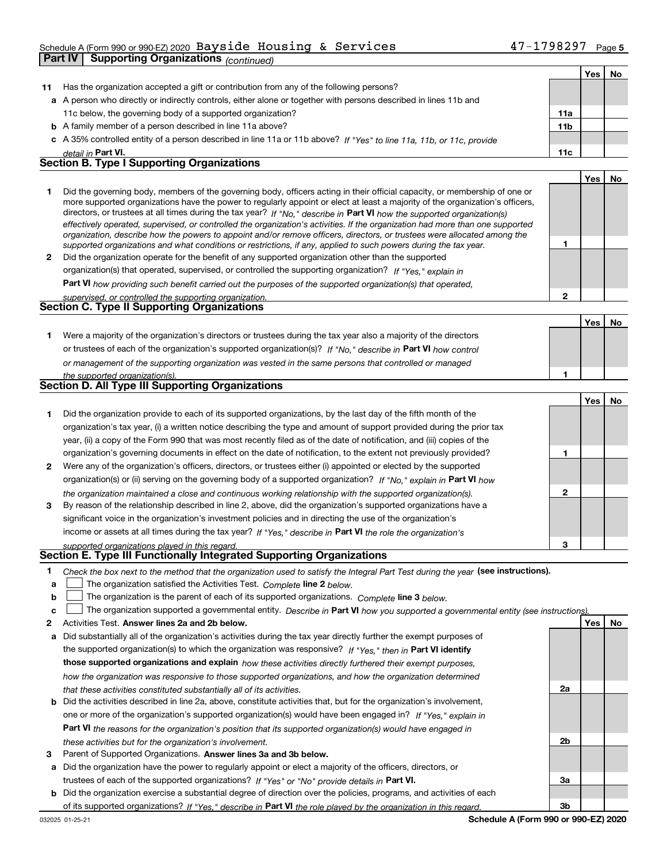### Schedule A (Form 990 or 990-EZ) 2020 Page Bayside Housing & Services 47-1798297

|        | Part IV<br><b>Supporting Organizations (continued)</b>                                                                                                                                                                                                                                                                                                                                                                                                                                                                                                                                                                                               |              |     |    |
|--------|------------------------------------------------------------------------------------------------------------------------------------------------------------------------------------------------------------------------------------------------------------------------------------------------------------------------------------------------------------------------------------------------------------------------------------------------------------------------------------------------------------------------------------------------------------------------------------------------------------------------------------------------------|--------------|-----|----|
|        |                                                                                                                                                                                                                                                                                                                                                                                                                                                                                                                                                                                                                                                      |              | Yes | No |
| 11     | Has the organization accepted a gift or contribution from any of the following persons?                                                                                                                                                                                                                                                                                                                                                                                                                                                                                                                                                              |              |     |    |
|        | a A person who directly or indirectly controls, either alone or together with persons described in lines 11b and                                                                                                                                                                                                                                                                                                                                                                                                                                                                                                                                     |              |     |    |
|        | 11c below, the governing body of a supported organization?                                                                                                                                                                                                                                                                                                                                                                                                                                                                                                                                                                                           | 11a          |     |    |
|        | <b>b</b> A family member of a person described in line 11a above?                                                                                                                                                                                                                                                                                                                                                                                                                                                                                                                                                                                    | 11b          |     |    |
|        | c A 35% controlled entity of a person described in line 11a or 11b above? If "Yes" to line 11a, 11b, or 11c, provide                                                                                                                                                                                                                                                                                                                                                                                                                                                                                                                                 |              |     |    |
|        | detail in <b>Part VI.</b>                                                                                                                                                                                                                                                                                                                                                                                                                                                                                                                                                                                                                            | 11c          |     |    |
|        | <b>Section B. Type I Supporting Organizations</b>                                                                                                                                                                                                                                                                                                                                                                                                                                                                                                                                                                                                    |              |     |    |
|        |                                                                                                                                                                                                                                                                                                                                                                                                                                                                                                                                                                                                                                                      |              | Yes | No |
| 1      | Did the governing body, members of the governing body, officers acting in their official capacity, or membership of one or<br>more supported organizations have the power to regularly appoint or elect at least a majority of the organization's officers,<br>directors, or trustees at all times during the tax year? If "No," describe in Part VI how the supported organization(s)<br>effectively operated, supervised, or controlled the organization's activities. If the organization had more than one supported<br>organization, describe how the powers to appoint and/or remove officers, directors, or trustees were allocated among the |              |     |    |
|        | supported organizations and what conditions or restrictions, if any, applied to such powers during the tax year.                                                                                                                                                                                                                                                                                                                                                                                                                                                                                                                                     | 1            |     |    |
| 2      | Did the organization operate for the benefit of any supported organization other than the supported                                                                                                                                                                                                                                                                                                                                                                                                                                                                                                                                                  |              |     |    |
|        | organization(s) that operated, supervised, or controlled the supporting organization? If "Yes," explain in                                                                                                                                                                                                                                                                                                                                                                                                                                                                                                                                           |              |     |    |
|        | Part VI how providing such benefit carried out the purposes of the supported organization(s) that operated,                                                                                                                                                                                                                                                                                                                                                                                                                                                                                                                                          |              |     |    |
|        | supervised, or controlled the supporting organization.                                                                                                                                                                                                                                                                                                                                                                                                                                                                                                                                                                                               | $\mathbf{2}$ |     |    |
|        | <b>Section C. Type II Supporting Organizations</b>                                                                                                                                                                                                                                                                                                                                                                                                                                                                                                                                                                                                   |              |     |    |
|        |                                                                                                                                                                                                                                                                                                                                                                                                                                                                                                                                                                                                                                                      |              | Yes | No |
| 1.     | Were a majority of the organization's directors or trustees during the tax year also a majority of the directors                                                                                                                                                                                                                                                                                                                                                                                                                                                                                                                                     |              |     |    |
|        | or trustees of each of the organization's supported organization(s)? If "No." describe in Part VI how control                                                                                                                                                                                                                                                                                                                                                                                                                                                                                                                                        |              |     |    |
|        | or management of the supporting organization was vested in the same persons that controlled or managed                                                                                                                                                                                                                                                                                                                                                                                                                                                                                                                                               |              |     |    |
|        | the supported organization(s).                                                                                                                                                                                                                                                                                                                                                                                                                                                                                                                                                                                                                       | 1            |     |    |
|        | Section D. All Type III Supporting Organizations                                                                                                                                                                                                                                                                                                                                                                                                                                                                                                                                                                                                     |              |     |    |
|        |                                                                                                                                                                                                                                                                                                                                                                                                                                                                                                                                                                                                                                                      |              | Yes | No |
| 1      | Did the organization provide to each of its supported organizations, by the last day of the fifth month of the                                                                                                                                                                                                                                                                                                                                                                                                                                                                                                                                       |              |     |    |
|        | organization's tax year, (i) a written notice describing the type and amount of support provided during the prior tax                                                                                                                                                                                                                                                                                                                                                                                                                                                                                                                                |              |     |    |
|        | year, (ii) a copy of the Form 990 that was most recently filed as of the date of notification, and (iii) copies of the                                                                                                                                                                                                                                                                                                                                                                                                                                                                                                                               |              |     |    |
|        | organization's governing documents in effect on the date of notification, to the extent not previously provided?                                                                                                                                                                                                                                                                                                                                                                                                                                                                                                                                     | 1            |     |    |
| 2      | Were any of the organization's officers, directors, or trustees either (i) appointed or elected by the supported                                                                                                                                                                                                                                                                                                                                                                                                                                                                                                                                     |              |     |    |
|        | organization(s) or (ii) serving on the governing body of a supported organization? If "No, " explain in Part VI how                                                                                                                                                                                                                                                                                                                                                                                                                                                                                                                                  |              |     |    |
|        | the organization maintained a close and continuous working relationship with the supported organization(s).                                                                                                                                                                                                                                                                                                                                                                                                                                                                                                                                          | $\mathbf{2}$ |     |    |
| 3      | By reason of the relationship described in line 2, above, did the organization's supported organizations have a                                                                                                                                                                                                                                                                                                                                                                                                                                                                                                                                      |              |     |    |
|        | significant voice in the organization's investment policies and in directing the use of the organization's                                                                                                                                                                                                                                                                                                                                                                                                                                                                                                                                           |              |     |    |
|        | income or assets at all times during the tax year? If "Yes," describe in Part VI the role the organization's                                                                                                                                                                                                                                                                                                                                                                                                                                                                                                                                         |              |     |    |
|        | supported organizations played in this regard.<br>Section E. Type III Functionally Integrated Supporting Organizations                                                                                                                                                                                                                                                                                                                                                                                                                                                                                                                               | 3            |     |    |
|        |                                                                                                                                                                                                                                                                                                                                                                                                                                                                                                                                                                                                                                                      |              |     |    |
| 1      | Check the box next to the method that the organization used to satisfy the Integral Part Test during the year (see instructions).                                                                                                                                                                                                                                                                                                                                                                                                                                                                                                                    |              |     |    |
| а      | The organization satisfied the Activities Test. Complete line 2 below.                                                                                                                                                                                                                                                                                                                                                                                                                                                                                                                                                                               |              |     |    |
| b      | The organization is the parent of each of its supported organizations. Complete line 3 below.<br>The organization supported a governmental entity. Describe in Part VI how you supported a governmental entity (see instructions)                                                                                                                                                                                                                                                                                                                                                                                                                    |              |     |    |
| c<br>2 | Activities Test. Answer lines 2a and 2b below.                                                                                                                                                                                                                                                                                                                                                                                                                                                                                                                                                                                                       |              | Yes | No |
| а      | Did substantially all of the organization's activities during the tax year directly further the exempt purposes of                                                                                                                                                                                                                                                                                                                                                                                                                                                                                                                                   |              |     |    |
|        |                                                                                                                                                                                                                                                                                                                                                                                                                                                                                                                                                                                                                                                      |              |     |    |

- the supported organization(s) to which the organization was responsive? If "Yes," then in **Part VI identify those supported organizations and explain**  *how these activities directly furthered their exempt purposes, how the organization was responsive to those supported organizations, and how the organization determined that these activities constituted substantially all of its activities.*
- **b** Did the activities described in line 2a, above, constitute activities that, but for the organization's involvement, **Part VI**  *the reasons for the organization's position that its supported organization(s) would have engaged in* one or more of the organization's supported organization(s) would have been engaged in? If "Yes," e*xplain in these activities but for the organization's involvement.*
- **3** Parent of Supported Organizations. Answer lines 3a and 3b below.
- **a** Did the organization have the power to regularly appoint or elect a majority of the officers, directors, or trustees of each of the supported organizations? If "Yes" or "No" provide details in P**art VI.**
- **b** Did the organization exercise a substantial degree of direction over the policies, programs, and activities of each of its supported organizations? If "Yes," describe in Part VI the role played by the organization in this regard.

**2a**

**2b**

**3a**

**3b**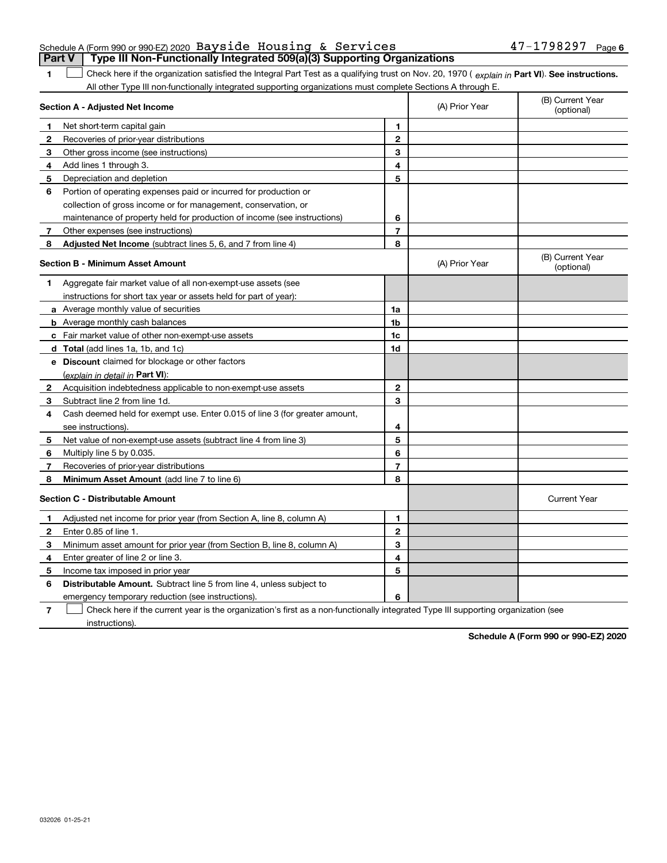|  | Schedule A (Form 990 or 990-EZ) 2020 Bayside Housing & Services                         |  | $47 - 1798297$ Page 6 |  |
|--|-----------------------------------------------------------------------------------------|--|-----------------------|--|
|  | <b>Part V</b>   Type III Non-Functionally Integrated 509(a)(3) Supporting Organizations |  |                       |  |

1 Check here if the organization satisfied the Integral Part Test as a qualifying trust on Nov. 20, 1970 (explain in Part VI). See instructions. All other Type III non-functionally integrated supporting organizations must complete Sections A through E.

|    | Section A - Adjusted Net Income                                             |                | (A) Prior Year | (B) Current Year<br>(optional) |
|----|-----------------------------------------------------------------------------|----------------|----------------|--------------------------------|
| 1  | Net short-term capital gain                                                 | 1              |                |                                |
| 2  | Recoveries of prior-year distributions                                      | $\overline{2}$ |                |                                |
| 3  | Other gross income (see instructions)                                       | 3              |                |                                |
| 4  | Add lines 1 through 3.                                                      | 4              |                |                                |
| 5  | Depreciation and depletion                                                  | 5              |                |                                |
| 6  | Portion of operating expenses paid or incurred for production or            |                |                |                                |
|    | collection of gross income or for management, conservation, or              |                |                |                                |
|    | maintenance of property held for production of income (see instructions)    | 6              |                |                                |
| 7  | Other expenses (see instructions)                                           | $\overline{7}$ |                |                                |
| 8  | Adjusted Net Income (subtract lines 5, 6, and 7 from line 4)                | 8              |                |                                |
|    | <b>Section B - Minimum Asset Amount</b>                                     |                | (A) Prior Year | (B) Current Year<br>(optional) |
| 1. | Aggregate fair market value of all non-exempt-use assets (see               |                |                |                                |
|    | instructions for short tax year or assets held for part of year):           |                |                |                                |
|    | a Average monthly value of securities                                       | 1a             |                |                                |
|    | <b>b</b> Average monthly cash balances                                      | 1b             |                |                                |
|    | c Fair market value of other non-exempt-use assets                          | 1c             |                |                                |
|    | <b>d</b> Total (add lines 1a, 1b, and 1c)                                   | 1d             |                |                                |
|    | e Discount claimed for blockage or other factors                            |                |                |                                |
|    | (explain in detail in Part VI):                                             |                |                |                                |
| 2  | Acquisition indebtedness applicable to non-exempt-use assets                | $\mathbf{2}$   |                |                                |
| 3  | Subtract line 2 from line 1d.                                               | 3              |                |                                |
| 4  | Cash deemed held for exempt use. Enter 0.015 of line 3 (for greater amount, |                |                |                                |
|    | see instructions)                                                           | 4              |                |                                |
| 5  | Net value of non-exempt-use assets (subtract line 4 from line 3)            | 5              |                |                                |
| 6  | Multiply line 5 by 0.035.                                                   | 6              |                |                                |
| 7  | Recoveries of prior-year distributions                                      | $\overline{7}$ |                |                                |
| 8  | Minimum Asset Amount (add line 7 to line 6)                                 | 8              |                |                                |
|    | Section C - Distributable Amount                                            |                |                | <b>Current Year</b>            |
| 1  | Adjusted net income for prior year (from Section A, line 8, column A)       | 1              |                |                                |
| 2  | Enter 0.85 of line 1.                                                       | $\overline{2}$ |                |                                |
| 3  | Minimum asset amount for prior year (from Section B, line 8, column A)      | 3              |                |                                |
| 4  | Enter greater of line 2 or line 3.                                          | 4              |                |                                |
| 5  | Income tax imposed in prior year                                            | 5              |                |                                |
| 6  | Distributable Amount. Subtract line 5 from line 4, unless subject to        |                |                |                                |
|    | emergency temporary reduction (see instructions).                           | 6              |                |                                |
|    |                                                                             |                |                |                                |

**7**Check here if the current year is the organization's first as a non-functionally integrated Type III supporting organization (see instructions).

**Schedule A (Form 990 or 990-EZ) 2020**

**1**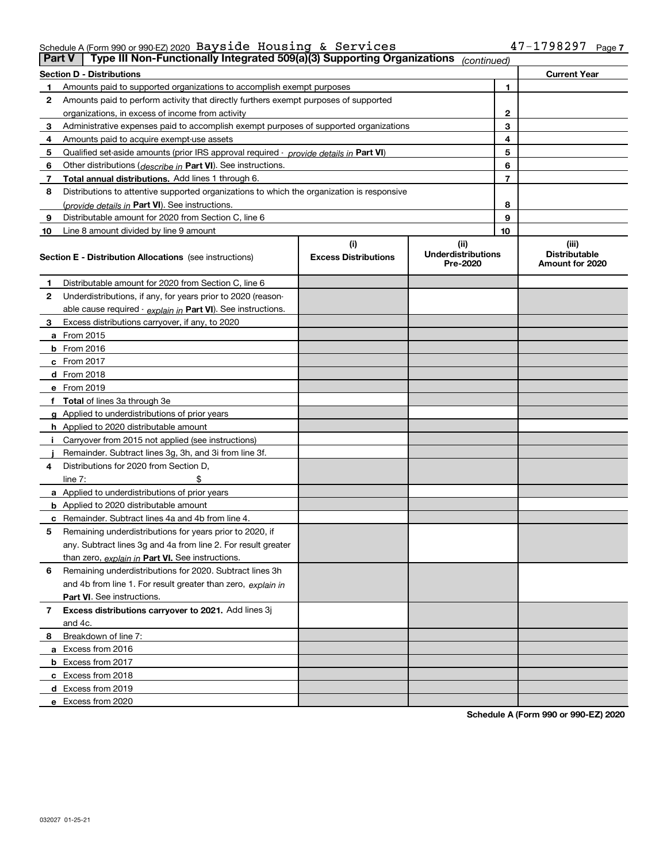### Schedule A (Form 990 or 990-EZ) 2020 Page Bayside Housing & Services 47-1798297

| <b>Part V</b> | Type III Non-Functionally Integrated 509(a)(3) Supporting Organizations                    |                             | (continued)                           |              |                                         |
|---------------|--------------------------------------------------------------------------------------------|-----------------------------|---------------------------------------|--------------|-----------------------------------------|
|               | <b>Section D - Distributions</b>                                                           |                             |                                       |              | <b>Current Year</b>                     |
| 1             | Amounts paid to supported organizations to accomplish exempt purposes                      |                             | 1                                     |              |                                         |
| 2             | Amounts paid to perform activity that directly furthers exempt purposes of supported       |                             |                                       |              |                                         |
|               | organizations, in excess of income from activity                                           |                             |                                       | $\mathbf{2}$ |                                         |
| 3             | Administrative expenses paid to accomplish exempt purposes of supported organizations      |                             |                                       | 3            |                                         |
| 4             | Amounts paid to acquire exempt-use assets                                                  |                             |                                       |              |                                         |
| 5             | Qualified set-aside amounts (prior IRS approval required - provide details in Part VI)     |                             |                                       | 5            |                                         |
| 6             | Other distributions ( <i>describe in</i> Part VI). See instructions.                       |                             |                                       | 6            |                                         |
| 7             | Total annual distributions. Add lines 1 through 6.                                         |                             |                                       | 7            |                                         |
| 8             | Distributions to attentive supported organizations to which the organization is responsive |                             |                                       |              |                                         |
|               | (provide details in Part VI). See instructions.                                            |                             |                                       | 8            |                                         |
| 9             | Distributable amount for 2020 from Section C, line 6                                       |                             |                                       | 9            |                                         |
| 10            | Line 8 amount divided by line 9 amount                                                     |                             |                                       | 10           |                                         |
|               |                                                                                            | (i)                         | (ii)                                  |              | (iii)                                   |
|               | <b>Section E - Distribution Allocations</b> (see instructions)                             | <b>Excess Distributions</b> | <b>Underdistributions</b><br>Pre-2020 |              | <b>Distributable</b><br>Amount for 2020 |
| 1             | Distributable amount for 2020 from Section C, line 6                                       |                             |                                       |              |                                         |
| 2             | Underdistributions, if any, for years prior to 2020 (reason-                               |                             |                                       |              |                                         |
|               | able cause required - explain in Part VI). See instructions.                               |                             |                                       |              |                                         |
| 3             | Excess distributions carryover, if any, to 2020                                            |                             |                                       |              |                                         |
|               | a From 2015                                                                                |                             |                                       |              |                                         |
|               | <b>b</b> From 2016                                                                         |                             |                                       |              |                                         |
|               | $c$ From 2017                                                                              |                             |                                       |              |                                         |
|               | d From 2018                                                                                |                             |                                       |              |                                         |
|               | e From 2019                                                                                |                             |                                       |              |                                         |
|               | f Total of lines 3a through 3e                                                             |                             |                                       |              |                                         |
|               | g Applied to underdistributions of prior years                                             |                             |                                       |              |                                         |
|               | <b>h</b> Applied to 2020 distributable amount                                              |                             |                                       |              |                                         |
|               | Carryover from 2015 not applied (see instructions)                                         |                             |                                       |              |                                         |
|               | Remainder. Subtract lines 3g, 3h, and 3i from line 3f.                                     |                             |                                       |              |                                         |
| 4             | Distributions for 2020 from Section D,                                                     |                             |                                       |              |                                         |
|               | line $7:$                                                                                  |                             |                                       |              |                                         |
|               | a Applied to underdistributions of prior years                                             |                             |                                       |              |                                         |
|               | <b>b</b> Applied to 2020 distributable amount                                              |                             |                                       |              |                                         |
|               | c Remainder. Subtract lines 4a and 4b from line 4.                                         |                             |                                       |              |                                         |
| 5.            | Remaining underdistributions for years prior to 2020, if                                   |                             |                                       |              |                                         |
|               | any. Subtract lines 3g and 4a from line 2. For result greater                              |                             |                                       |              |                                         |
|               | than zero, explain in Part VI. See instructions.                                           |                             |                                       |              |                                         |
| 6             | Remaining underdistributions for 2020. Subtract lines 3h                                   |                             |                                       |              |                                         |
|               | and 4b from line 1. For result greater than zero, explain in                               |                             |                                       |              |                                         |
|               | Part VI. See instructions.                                                                 |                             |                                       |              |                                         |
| 7             | Excess distributions carryover to 2021. Add lines 3j                                       |                             |                                       |              |                                         |
|               | and 4c.                                                                                    |                             |                                       |              |                                         |
| 8             | Breakdown of line 7:                                                                       |                             |                                       |              |                                         |
|               | a Excess from 2016                                                                         |                             |                                       |              |                                         |
|               | <b>b</b> Excess from 2017                                                                  |                             |                                       |              |                                         |
|               | c Excess from 2018                                                                         |                             |                                       |              |                                         |
|               | d Excess from 2019                                                                         |                             |                                       |              |                                         |
|               | e Excess from 2020                                                                         |                             |                                       |              |                                         |
|               |                                                                                            |                             |                                       |              |                                         |

**Schedule A (Form 990 or 990-EZ) 2020**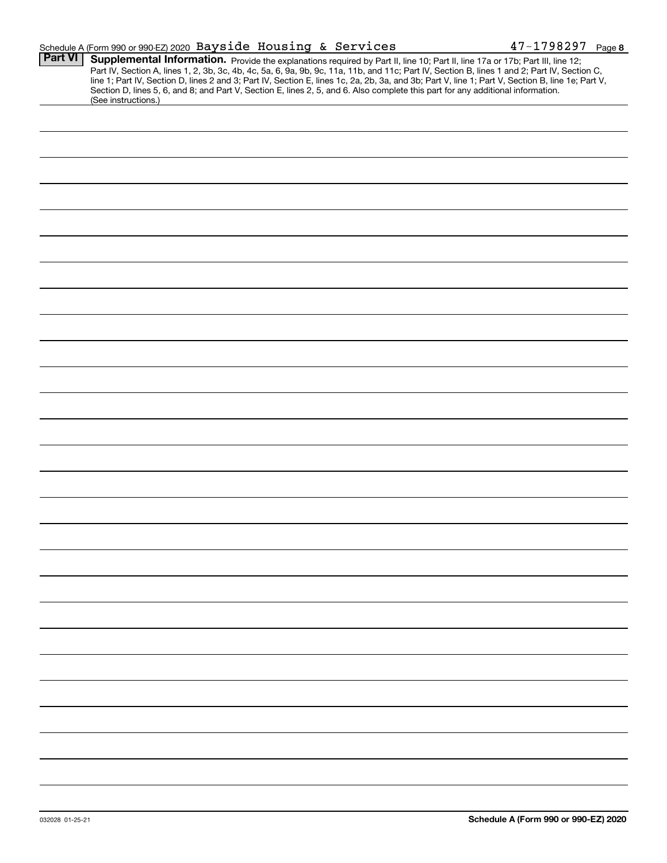|                | Schedule A (Form 990 or 990-EZ) 2020 Bayside Housing & Services                                                                                                                                                                                                                                                                                                                                                                                                                                                                                                                             | $47 - 1798297$ Page 8 |
|----------------|---------------------------------------------------------------------------------------------------------------------------------------------------------------------------------------------------------------------------------------------------------------------------------------------------------------------------------------------------------------------------------------------------------------------------------------------------------------------------------------------------------------------------------------------------------------------------------------------|-----------------------|
| <b>Part VI</b> | Supplemental Information. Provide the explanations required by Part II, line 10; Part II, line 17a or 17b; Part III, line 12;<br>Part IV, Section A, lines 1, 2, 3b, 3c, 4b, 4c, 5a, 6, 9a, 9b, 9c, 11a, 11b, and 11c; Part IV, Section B, lines 1 and 2; Part IV, Section C,<br>line 1; Part IV, Section D, lines 2 and 3; Part IV, Section E, lines 1c, 2a, 2b, 3a, and 3b; Part V, line 1; Part V, Section B, line 1e; Part V,<br>Section D, lines 5, 6, and 8; and Part V, Section E, lines 2, 5, and 6. Also complete this part for any additional information.<br>(See instructions.) |                       |
|                |                                                                                                                                                                                                                                                                                                                                                                                                                                                                                                                                                                                             |                       |
|                |                                                                                                                                                                                                                                                                                                                                                                                                                                                                                                                                                                                             |                       |
|                |                                                                                                                                                                                                                                                                                                                                                                                                                                                                                                                                                                                             |                       |
|                |                                                                                                                                                                                                                                                                                                                                                                                                                                                                                                                                                                                             |                       |
|                |                                                                                                                                                                                                                                                                                                                                                                                                                                                                                                                                                                                             |                       |
|                |                                                                                                                                                                                                                                                                                                                                                                                                                                                                                                                                                                                             |                       |
|                |                                                                                                                                                                                                                                                                                                                                                                                                                                                                                                                                                                                             |                       |
|                |                                                                                                                                                                                                                                                                                                                                                                                                                                                                                                                                                                                             |                       |
|                |                                                                                                                                                                                                                                                                                                                                                                                                                                                                                                                                                                                             |                       |
|                |                                                                                                                                                                                                                                                                                                                                                                                                                                                                                                                                                                                             |                       |
|                |                                                                                                                                                                                                                                                                                                                                                                                                                                                                                                                                                                                             |                       |
|                |                                                                                                                                                                                                                                                                                                                                                                                                                                                                                                                                                                                             |                       |
|                |                                                                                                                                                                                                                                                                                                                                                                                                                                                                                                                                                                                             |                       |
|                |                                                                                                                                                                                                                                                                                                                                                                                                                                                                                                                                                                                             |                       |
|                |                                                                                                                                                                                                                                                                                                                                                                                                                                                                                                                                                                                             |                       |
|                |                                                                                                                                                                                                                                                                                                                                                                                                                                                                                                                                                                                             |                       |
|                |                                                                                                                                                                                                                                                                                                                                                                                                                                                                                                                                                                                             |                       |
|                |                                                                                                                                                                                                                                                                                                                                                                                                                                                                                                                                                                                             |                       |
|                |                                                                                                                                                                                                                                                                                                                                                                                                                                                                                                                                                                                             |                       |
|                |                                                                                                                                                                                                                                                                                                                                                                                                                                                                                                                                                                                             |                       |
|                |                                                                                                                                                                                                                                                                                                                                                                                                                                                                                                                                                                                             |                       |
|                |                                                                                                                                                                                                                                                                                                                                                                                                                                                                                                                                                                                             |                       |
|                |                                                                                                                                                                                                                                                                                                                                                                                                                                                                                                                                                                                             |                       |
|                |                                                                                                                                                                                                                                                                                                                                                                                                                                                                                                                                                                                             |                       |
|                |                                                                                                                                                                                                                                                                                                                                                                                                                                                                                                                                                                                             |                       |
|                |                                                                                                                                                                                                                                                                                                                                                                                                                                                                                                                                                                                             |                       |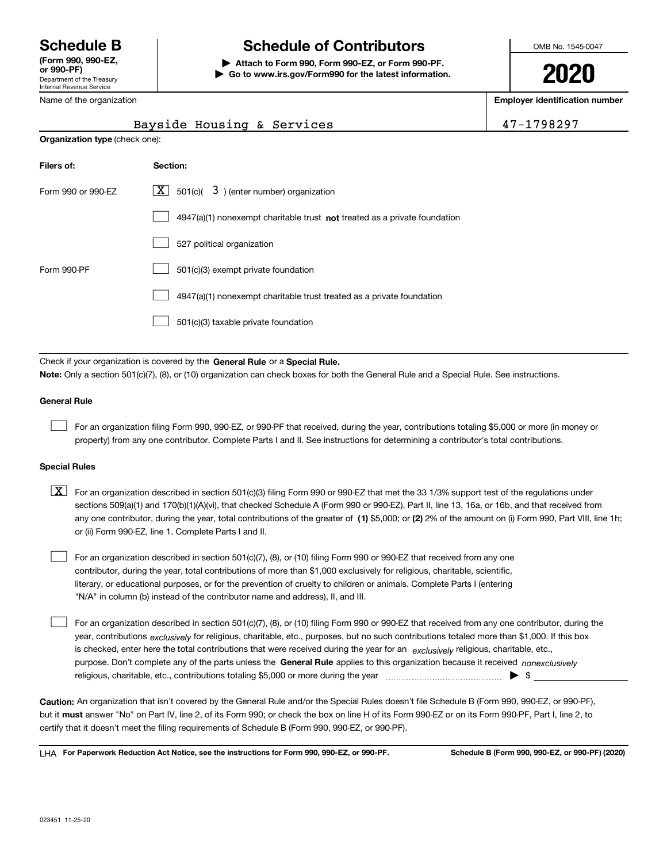Department of the Treasury Internal Revenue Service **(Form 990, 990-EZ, or 990-PF)** Name of the organization

## **Schedule B Schedule of Contributors**

**| Attach to Form 990, Form 990-EZ, or Form 990-PF. | Go to www.irs.gov/Form990 for the latest information.** OMB No. 1545-0047

**2020**

**Employer identification number**

|                    | Bayside Housing & Services                                                | 47-1798297 |  |  |  |
|--------------------|---------------------------------------------------------------------------|------------|--|--|--|
|                    | <b>Organization type (check one):</b>                                     |            |  |  |  |
| Filers of:         | Section:                                                                  |            |  |  |  |
| Form 990 or 990-EZ | 3) (enter number) organization<br>$X$ 501(c)(                             |            |  |  |  |
|                    | 4947(a)(1) nonexempt charitable trust not treated as a private foundation |            |  |  |  |
|                    | 527 political organization                                                |            |  |  |  |
| Form 990-PF        | 501(c)(3) exempt private foundation                                       |            |  |  |  |
|                    | 4947(a)(1) nonexempt charitable trust treated as a private foundation     |            |  |  |  |
|                    | 501(c)(3) taxable private foundation                                      |            |  |  |  |

Check if your organization is covered by the **General Rule** or a **Special Rule. Note:**  Only a section 501(c)(7), (8), or (10) organization can check boxes for both the General Rule and a Special Rule. See instructions.

#### **General Rule**

 $\mathcal{L}^{\text{max}}$ 

For an organization filing Form 990, 990-EZ, or 990-PF that received, during the year, contributions totaling \$5,000 or more (in money or property) from any one contributor. Complete Parts I and II. See instructions for determining a contributor's total contributions.

#### **Special Rules**

any one contributor, during the year, total contributions of the greater of  $\,$  (1) \$5,000; or **(2)** 2% of the amount on (i) Form 990, Part VIII, line 1h;  $\boxed{\textbf{X}}$  For an organization described in section 501(c)(3) filing Form 990 or 990-EZ that met the 33 1/3% support test of the regulations under sections 509(a)(1) and 170(b)(1)(A)(vi), that checked Schedule A (Form 990 or 990-EZ), Part II, line 13, 16a, or 16b, and that received from or (ii) Form 990-EZ, line 1. Complete Parts I and II.

For an organization described in section 501(c)(7), (8), or (10) filing Form 990 or 990-EZ that received from any one contributor, during the year, total contributions of more than \$1,000 exclusively for religious, charitable, scientific, literary, or educational purposes, or for the prevention of cruelty to children or animals. Complete Parts I (entering "N/A" in column (b) instead of the contributor name and address), II, and III.  $\mathcal{L}^{\text{max}}$ 

purpose. Don't complete any of the parts unless the **General Rule** applies to this organization because it received *nonexclusively* year, contributions <sub>exclusively</sub> for religious, charitable, etc., purposes, but no such contributions totaled more than \$1,000. If this box is checked, enter here the total contributions that were received during the year for an  $\;$ exclusively religious, charitable, etc., For an organization described in section 501(c)(7), (8), or (10) filing Form 990 or 990-EZ that received from any one contributor, during the religious, charitable, etc., contributions totaling \$5,000 or more during the year  $\Box$ — $\Box$   $\Box$  $\mathcal{L}^{\text{max}}$ 

**Caution:**  An organization that isn't covered by the General Rule and/or the Special Rules doesn't file Schedule B (Form 990, 990-EZ, or 990-PF),  **must** but it answer "No" on Part IV, line 2, of its Form 990; or check the box on line H of its Form 990-EZ or on its Form 990-PF, Part I, line 2, to certify that it doesn't meet the filing requirements of Schedule B (Form 990, 990-EZ, or 990-PF).

**For Paperwork Reduction Act Notice, see the instructions for Form 990, 990-EZ, or 990-PF. Schedule B (Form 990, 990-EZ, or 990-PF) (2020)** LHA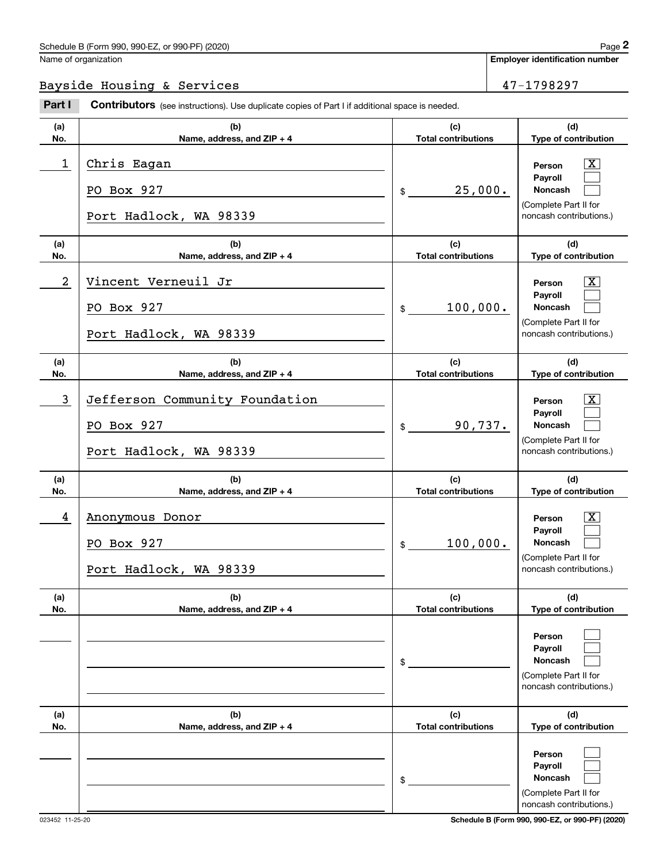### Bayside Housing & Services 47-1798297

|                | Schedule B (Form 990, 990-EZ, or 990-PF) (2020)                                                |                                   | Page 2                                                                           |
|----------------|------------------------------------------------------------------------------------------------|-----------------------------------|----------------------------------------------------------------------------------|
|                | Name of organization                                                                           |                                   | <b>Employer identification number</b>                                            |
|                | Bayside Housing & Services                                                                     |                                   | 47-1798297                                                                       |
| Part I         | Contributors (see instructions). Use duplicate copies of Part I if additional space is needed. |                                   |                                                                                  |
| (a)<br>No.     | (b)<br>Name, address, and ZIP + 4                                                              | (c)<br><b>Total contributions</b> | (d)<br>Type of contribution                                                      |
| 1              | Chris Eagan                                                                                    |                                   | $\mathbf{X}$<br>Person<br>Payroll                                                |
|                | PO Box 927<br>Port Hadlock, WA 98339                                                           | 25,000.<br>\$                     | Noncash<br>(Complete Part II for<br>noncash contributions.)                      |
|                |                                                                                                |                                   |                                                                                  |
| (a)<br>No.     | (b)<br>Name, address, and ZIP + 4                                                              | (c)<br><b>Total contributions</b> | (d)<br>Type of contribution                                                      |
| $\overline{a}$ | Vincent Verneuil Jr                                                                            |                                   | $\overline{\text{X}}$<br>Person<br>Payroll                                       |
|                | PO Box 927                                                                                     | 100,000.<br>\$                    | Noncash<br>(Complete Part II for                                                 |
|                | Port Hadlock, WA 98339                                                                         |                                   | noncash contributions.)                                                          |
| (a)<br>No.     | (b)<br>Name, address, and ZIP + 4                                                              | (c)<br><b>Total contributions</b> | (d)<br>Type of contribution                                                      |
| 3              | Jefferson Community Foundation                                                                 |                                   | $\overline{\text{X}}$<br>Person<br>Payroll                                       |
|                | PO Box 927                                                                                     | 90,737.<br>\$                     | Noncash<br>(Complete Part II for                                                 |
|                | Port Hadlock, WA 98339                                                                         |                                   | noncash contributions.)                                                          |
| (a)<br>No.     | (b)<br>Name, address, and ZIP + 4                                                              | (c)<br><b>Total contributions</b> | (d)<br>Type of contribution                                                      |
| 4              | Anonymous Donor                                                                                |                                   | $\vert$ X $\vert$<br>Person<br><b>Payroll</b>                                    |
|                | PO Box 927                                                                                     | 100,000.<br>\$                    | Noncash                                                                          |
|                | Port Hadlock, WA 98339                                                                         |                                   | (Complete Part II for<br>noncash contributions.)                                 |
| (a)<br>No.     | (b)<br>Name, address, and ZIP + 4                                                              | (c)<br><b>Total contributions</b> | (d)<br>Type of contribution                                                      |
|                |                                                                                                | \$                                | Person<br>Payroll<br>Noncash<br>(Complete Part II for<br>noncash contributions.) |
| (a)<br>No.     | (b)<br>Name, address, and ZIP + 4                                                              | (c)<br><b>Total contributions</b> | (d)<br>Type of contribution                                                      |
|                |                                                                                                | \$                                | Person<br>Payroll<br>Noncash<br>(Complete Part II for<br>noncash contributions.) |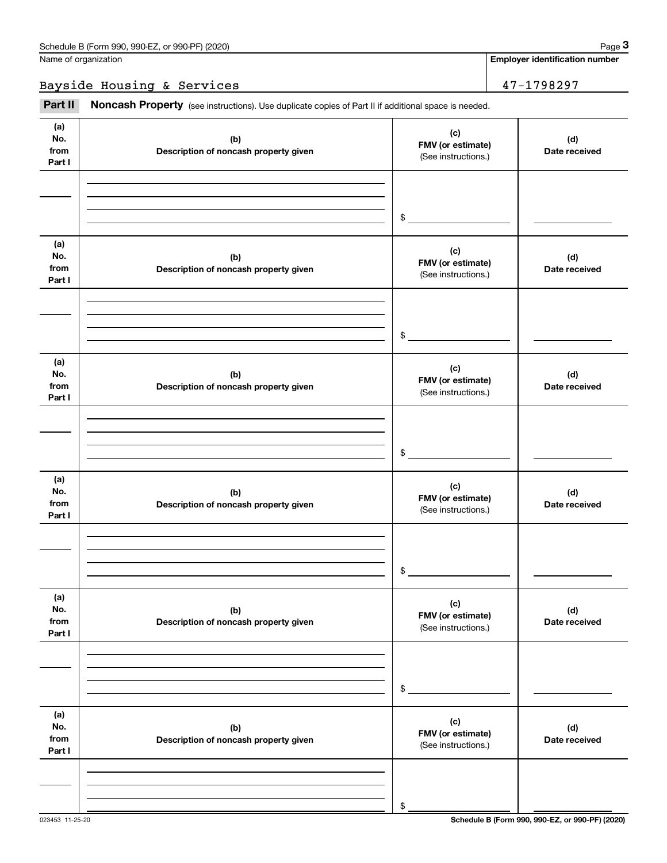Bayside Housing & Services 47-1798297

Fage 3 (schedule B (Form 990, 990-EZ, or 990-PF) (2020)<br>
Jame of organization<br> **3**<br> **2Part II if additional space is needed.**<br> **2Part II if additional space is needed.** 

| (a)<br>No.<br>from<br>Part I | (b)<br>Description of noncash property given | (c)<br>FMV (or estimate)<br>(See instructions.) | (d)<br>Date received |
|------------------------------|----------------------------------------------|-------------------------------------------------|----------------------|
|                              |                                              |                                                 |                      |
|                              |                                              | $\frac{1}{2}$                                   |                      |
| (a)<br>No.<br>from<br>Part I | (b)<br>Description of noncash property given | (c)<br>FMV (or estimate)<br>(See instructions.) | (d)<br>Date received |
|                              |                                              |                                                 |                      |
|                              |                                              | $\$$                                            |                      |
| (a)<br>No.<br>from<br>Part I | (b)<br>Description of noncash property given | (c)<br>FMV (or estimate)<br>(See instructions.) | (d)<br>Date received |
|                              |                                              |                                                 |                      |
|                              |                                              | \$                                              |                      |
| (a)<br>No.<br>from<br>Part I | (b)<br>Description of noncash property given | (c)<br>FMV (or estimate)<br>(See instructions.) | (d)<br>Date received |
|                              |                                              |                                                 |                      |
|                              |                                              | \$                                              |                      |
| (a)<br>No.<br>from<br>Part I | (b)<br>Description of noncash property given | (c)<br>FMV (or estimate)<br>(See instructions.) | (d)<br>Date received |
|                              |                                              |                                                 |                      |
|                              |                                              | \$                                              |                      |
| (a)<br>No.<br>from<br>Part I | (b)<br>Description of noncash property given | (c)<br>FMV (or estimate)<br>(See instructions.) | (d)<br>Date received |
|                              |                                              |                                                 |                      |
|                              |                                              | \$                                              |                      |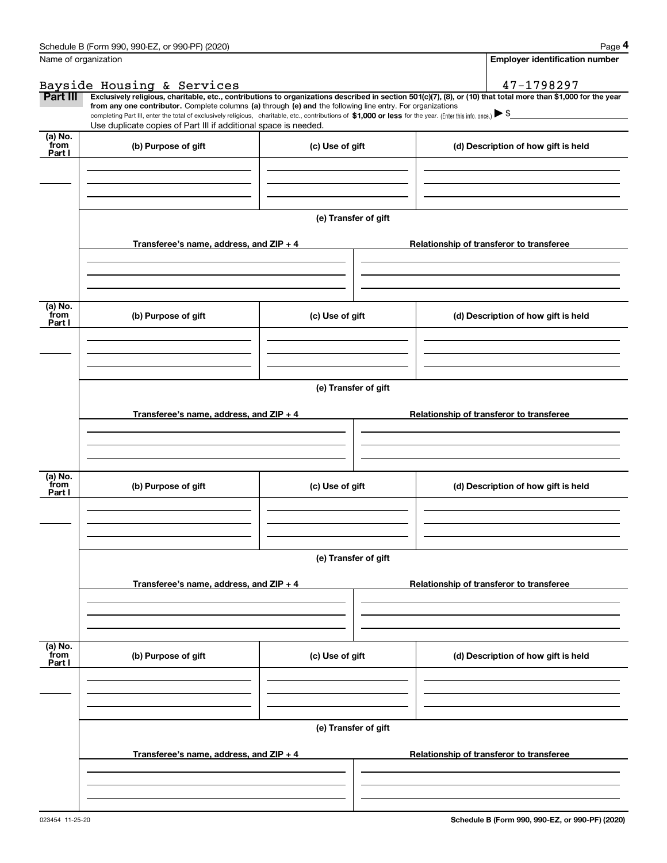|                 | Schedule B (Form 990, 990-EZ, or 990-PF) (2020)                                                                                                                                                                                                                                                 |                      | Page 4                                                                                                                                                         |  |  |  |  |
|-----------------|-------------------------------------------------------------------------------------------------------------------------------------------------------------------------------------------------------------------------------------------------------------------------------------------------|----------------------|----------------------------------------------------------------------------------------------------------------------------------------------------------------|--|--|--|--|
|                 | Name of organization                                                                                                                                                                                                                                                                            |                      | <b>Employer identification number</b>                                                                                                                          |  |  |  |  |
|                 | Bayside Housing & Services                                                                                                                                                                                                                                                                      |                      | 47-1798297                                                                                                                                                     |  |  |  |  |
| Part III        |                                                                                                                                                                                                                                                                                                 |                      | Exclusively religious, charitable, etc., contributions to organizations described in section 501(c)(7), (8), or (10) that total more than \$1,000 for the year |  |  |  |  |
|                 | from any one contributor. Complete columns (a) through (e) and the following line entry. For organizations<br>completing Part III, enter the total of exclusively religious, charitable, etc., contributions of \$1,000 or less for the year. (Enter this info. once.) $\blacktriangleright$ \$ |                      |                                                                                                                                                                |  |  |  |  |
|                 | Use duplicate copies of Part III if additional space is needed.                                                                                                                                                                                                                                 |                      |                                                                                                                                                                |  |  |  |  |
| (a) No.<br>from | (b) Purpose of gift                                                                                                                                                                                                                                                                             | (c) Use of gift      | (d) Description of how gift is held                                                                                                                            |  |  |  |  |
| Part I          |                                                                                                                                                                                                                                                                                                 |                      |                                                                                                                                                                |  |  |  |  |
|                 |                                                                                                                                                                                                                                                                                                 |                      |                                                                                                                                                                |  |  |  |  |
|                 |                                                                                                                                                                                                                                                                                                 |                      |                                                                                                                                                                |  |  |  |  |
|                 |                                                                                                                                                                                                                                                                                                 |                      |                                                                                                                                                                |  |  |  |  |
|                 |                                                                                                                                                                                                                                                                                                 | (e) Transfer of gift |                                                                                                                                                                |  |  |  |  |
|                 |                                                                                                                                                                                                                                                                                                 |                      |                                                                                                                                                                |  |  |  |  |
|                 | Transferee's name, address, and ZIP + 4                                                                                                                                                                                                                                                         |                      | Relationship of transferor to transferee                                                                                                                       |  |  |  |  |
|                 |                                                                                                                                                                                                                                                                                                 |                      |                                                                                                                                                                |  |  |  |  |
|                 |                                                                                                                                                                                                                                                                                                 |                      |                                                                                                                                                                |  |  |  |  |
|                 |                                                                                                                                                                                                                                                                                                 |                      |                                                                                                                                                                |  |  |  |  |
| (a) No.<br>from |                                                                                                                                                                                                                                                                                                 |                      |                                                                                                                                                                |  |  |  |  |
| Part I          | (b) Purpose of gift                                                                                                                                                                                                                                                                             | (c) Use of gift      | (d) Description of how gift is held                                                                                                                            |  |  |  |  |
|                 |                                                                                                                                                                                                                                                                                                 |                      |                                                                                                                                                                |  |  |  |  |
|                 |                                                                                                                                                                                                                                                                                                 |                      |                                                                                                                                                                |  |  |  |  |
|                 |                                                                                                                                                                                                                                                                                                 |                      |                                                                                                                                                                |  |  |  |  |
|                 | (e) Transfer of gift                                                                                                                                                                                                                                                                            |                      |                                                                                                                                                                |  |  |  |  |
|                 |                                                                                                                                                                                                                                                                                                 |                      |                                                                                                                                                                |  |  |  |  |
|                 | Transferee's name, address, and ZIP + 4                                                                                                                                                                                                                                                         |                      | Relationship of transferor to transferee                                                                                                                       |  |  |  |  |
|                 |                                                                                                                                                                                                                                                                                                 |                      |                                                                                                                                                                |  |  |  |  |
|                 |                                                                                                                                                                                                                                                                                                 |                      |                                                                                                                                                                |  |  |  |  |
|                 |                                                                                                                                                                                                                                                                                                 |                      |                                                                                                                                                                |  |  |  |  |
| (a) No.<br>from |                                                                                                                                                                                                                                                                                                 | (c) Use of gift      | (d) Description of how gift is held                                                                                                                            |  |  |  |  |
| Part I          | (b) Purpose of gift                                                                                                                                                                                                                                                                             |                      |                                                                                                                                                                |  |  |  |  |
|                 |                                                                                                                                                                                                                                                                                                 |                      |                                                                                                                                                                |  |  |  |  |
|                 |                                                                                                                                                                                                                                                                                                 |                      |                                                                                                                                                                |  |  |  |  |
|                 |                                                                                                                                                                                                                                                                                                 |                      |                                                                                                                                                                |  |  |  |  |
|                 | (e) Transfer of gift                                                                                                                                                                                                                                                                            |                      |                                                                                                                                                                |  |  |  |  |
|                 |                                                                                                                                                                                                                                                                                                 |                      |                                                                                                                                                                |  |  |  |  |
|                 | Transferee's name, address, and ZIP + 4                                                                                                                                                                                                                                                         |                      | Relationship of transferor to transferee                                                                                                                       |  |  |  |  |
|                 |                                                                                                                                                                                                                                                                                                 |                      |                                                                                                                                                                |  |  |  |  |
|                 |                                                                                                                                                                                                                                                                                                 |                      |                                                                                                                                                                |  |  |  |  |
|                 |                                                                                                                                                                                                                                                                                                 |                      |                                                                                                                                                                |  |  |  |  |
| (a) No.<br>from | (b) Purpose of gift                                                                                                                                                                                                                                                                             | (c) Use of gift      | (d) Description of how gift is held                                                                                                                            |  |  |  |  |
| Part I          |                                                                                                                                                                                                                                                                                                 |                      |                                                                                                                                                                |  |  |  |  |
|                 |                                                                                                                                                                                                                                                                                                 |                      |                                                                                                                                                                |  |  |  |  |
|                 |                                                                                                                                                                                                                                                                                                 |                      |                                                                                                                                                                |  |  |  |  |
|                 |                                                                                                                                                                                                                                                                                                 |                      |                                                                                                                                                                |  |  |  |  |
|                 | (e) Transfer of gift                                                                                                                                                                                                                                                                            |                      |                                                                                                                                                                |  |  |  |  |
|                 |                                                                                                                                                                                                                                                                                                 |                      |                                                                                                                                                                |  |  |  |  |
|                 | Transferee's name, address, and ZIP + 4                                                                                                                                                                                                                                                         |                      | Relationship of transferor to transferee                                                                                                                       |  |  |  |  |
|                 |                                                                                                                                                                                                                                                                                                 |                      |                                                                                                                                                                |  |  |  |  |
|                 |                                                                                                                                                                                                                                                                                                 |                      |                                                                                                                                                                |  |  |  |  |
|                 |                                                                                                                                                                                                                                                                                                 |                      |                                                                                                                                                                |  |  |  |  |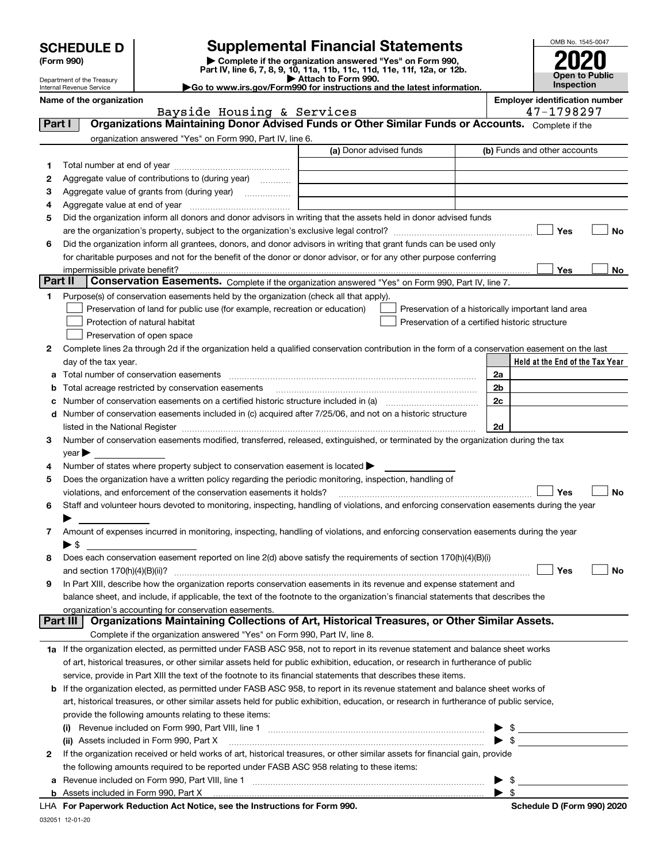| <b>SCHEDULE D</b> |  |
|-------------------|--|
|-------------------|--|

Department of the Treasury

### **Supplemental Financial Statements**

(Form 990)<br>
Pepartment of the Treasury<br>
Department of the Treasury<br>
Department of the Treasury<br>
Department of the Treasury<br> **Co to www.irs.gov/Form990 for instructions and the latest information.**<br> **Co to www.irs.gov/Form9** 

| OMB No. 1545-0047     |
|-----------------------|
|                       |
| 2020                  |
| <b>Open to Public</b> |
| Inspection            |

|        | Internal Revenue Service               |                                                                                                        | $\blacktriangleright$ Go to www.irs.gov/Form990 for instructions and the latest information.                                                                                                                                            |    | <b>Inspection</b>                     |           |
|--------|----------------------------------------|--------------------------------------------------------------------------------------------------------|-----------------------------------------------------------------------------------------------------------------------------------------------------------------------------------------------------------------------------------------|----|---------------------------------------|-----------|
|        | Name of the organization               |                                                                                                        |                                                                                                                                                                                                                                         |    | <b>Employer identification number</b> |           |
| Part I |                                        | Bayside Housing & Services                                                                             | Organizations Maintaining Donor Advised Funds or Other Similar Funds or Accounts. Complete if the                                                                                                                                       |    | 47-1798297                            |           |
|        |                                        |                                                                                                        |                                                                                                                                                                                                                                         |    |                                       |           |
|        |                                        | organization answered "Yes" on Form 990, Part IV, line 6.                                              | (a) Donor advised funds                                                                                                                                                                                                                 |    | (b) Funds and other accounts          |           |
|        |                                        |                                                                                                        |                                                                                                                                                                                                                                         |    |                                       |           |
| 1      |                                        |                                                                                                        |                                                                                                                                                                                                                                         |    |                                       |           |
| 2      |                                        | Aggregate value of contributions to (during year)                                                      |                                                                                                                                                                                                                                         |    |                                       |           |
| з      |                                        | Aggregate value of grants from (during year)                                                           |                                                                                                                                                                                                                                         |    |                                       |           |
| 4      |                                        |                                                                                                        |                                                                                                                                                                                                                                         |    |                                       |           |
| 5      |                                        |                                                                                                        | Did the organization inform all donors and donor advisors in writing that the assets held in donor advised funds                                                                                                                        |    |                                       |           |
|        |                                        |                                                                                                        |                                                                                                                                                                                                                                         |    | Yes                                   | No        |
| 6      |                                        |                                                                                                        | Did the organization inform all grantees, donors, and donor advisors in writing that grant funds can be used only<br>for charitable purposes and not for the benefit of the donor or donor advisor, or for any other purpose conferring |    |                                       |           |
|        |                                        |                                                                                                        |                                                                                                                                                                                                                                         |    | Yes                                   | No        |
|        | Part II                                |                                                                                                        | Conservation Easements. Complete if the organization answered "Yes" on Form 990, Part IV, line 7.                                                                                                                                       |    |                                       |           |
| 1      |                                        | Purpose(s) of conservation easements held by the organization (check all that apply).                  |                                                                                                                                                                                                                                         |    |                                       |           |
|        |                                        | Preservation of land for public use (for example, recreation or education)                             | Preservation of a historically important land area                                                                                                                                                                                      |    |                                       |           |
|        | Protection of natural habitat          |                                                                                                        | Preservation of a certified historic structure                                                                                                                                                                                          |    |                                       |           |
|        | Preservation of open space             |                                                                                                        |                                                                                                                                                                                                                                         |    |                                       |           |
| 2      |                                        |                                                                                                        | Complete lines 2a through 2d if the organization held a qualified conservation contribution in the form of a conservation easement on the last                                                                                          |    |                                       |           |
|        | day of the tax year.                   |                                                                                                        |                                                                                                                                                                                                                                         |    | Held at the End of the Tax Year       |           |
| а      | Total number of conservation easements |                                                                                                        |                                                                                                                                                                                                                                         | 2a |                                       |           |
| b      |                                        |                                                                                                        |                                                                                                                                                                                                                                         | 2b |                                       |           |
|        |                                        |                                                                                                        |                                                                                                                                                                                                                                         | 2c |                                       |           |
|        |                                        |                                                                                                        | d Number of conservation easements included in (c) acquired after 7/25/06, and not on a historic structure                                                                                                                              |    |                                       |           |
|        |                                        |                                                                                                        |                                                                                                                                                                                                                                         | 2d |                                       |           |
| 3.     |                                        |                                                                                                        | Number of conservation easements modified, transferred, released, extinguished, or terminated by the organization during the tax                                                                                                        |    |                                       |           |
|        | year                                   |                                                                                                        |                                                                                                                                                                                                                                         |    |                                       |           |
| 4      |                                        | Number of states where property subject to conservation easement is located $\blacktriangleright$      |                                                                                                                                                                                                                                         |    |                                       |           |
| 5      |                                        | Does the organization have a written policy regarding the periodic monitoring, inspection, handling of |                                                                                                                                                                                                                                         |    |                                       |           |
|        |                                        | violations, and enforcement of the conservation easements it holds?                                    |                                                                                                                                                                                                                                         |    | Yes                                   | <b>No</b> |
| 6      |                                        |                                                                                                        | Staff and volunteer hours devoted to monitoring, inspecting, handling of violations, and enforcing conservation easements during the year                                                                                               |    |                                       |           |
|        |                                        |                                                                                                        |                                                                                                                                                                                                                                         |    |                                       |           |
| 7      |                                        |                                                                                                        | Amount of expenses incurred in monitoring, inspecting, handling of violations, and enforcing conservation easements during the year                                                                                                     |    |                                       |           |
|        | $\blacktriangleright$ \$               |                                                                                                        |                                                                                                                                                                                                                                         |    |                                       |           |
| 8      |                                        |                                                                                                        | Does each conservation easement reported on line $2(d)$ above satisfy the requirements of section 170(h)(4)(B)(i)                                                                                                                       |    |                                       |           |
|        |                                        |                                                                                                        |                                                                                                                                                                                                                                         |    | Yes                                   | No        |
| 9      |                                        |                                                                                                        | In Part XIII, describe how the organization reports conservation easements in its revenue and expense statement and                                                                                                                     |    |                                       |           |
|        |                                        |                                                                                                        | balance sheet, and include, if applicable, the text of the footnote to the organization's financial statements that describes the                                                                                                       |    |                                       |           |
|        |                                        | organization's accounting for conservation easements.                                                  |                                                                                                                                                                                                                                         |    |                                       |           |
|        | Part III                               |                                                                                                        | Organizations Maintaining Collections of Art, Historical Treasures, or Other Similar Assets.                                                                                                                                            |    |                                       |           |
|        |                                        | Complete if the organization answered "Yes" on Form 990, Part IV, line 8.                              |                                                                                                                                                                                                                                         |    |                                       |           |
|        |                                        |                                                                                                        | 1a If the organization elected, as permitted under FASB ASC 958, not to report in its revenue statement and balance sheet works                                                                                                         |    |                                       |           |
|        |                                        |                                                                                                        | of art, historical treasures, or other similar assets held for public exhibition, education, or research in furtherance of public                                                                                                       |    |                                       |           |
|        |                                        |                                                                                                        | service, provide in Part XIII the text of the footnote to its financial statements that describes these items.                                                                                                                          |    |                                       |           |
| b      |                                        |                                                                                                        | If the organization elected, as permitted under FASB ASC 958, to report in its revenue statement and balance sheet works of                                                                                                             |    |                                       |           |
|        |                                        |                                                                                                        | art, historical treasures, or other similar assets held for public exhibition, education, or research in furtherance of public service,                                                                                                 |    |                                       |           |
|        |                                        | provide the following amounts relating to these items:                                                 |                                                                                                                                                                                                                                         |    |                                       |           |
|        |                                        |                                                                                                        |                                                                                                                                                                                                                                         | \$ |                                       |           |
|        |                                        |                                                                                                        | (ii) Assets included in Form 990, Part X [11] manufactured in the set of the set of the set of the set of the                                                                                                                           |    |                                       |           |
|        |                                        |                                                                                                        |                                                                                                                                                                                                                                         |    |                                       |           |

|  | a riovonao moladoa omi omni obo, rial        |  |
|--|----------------------------------------------|--|
|  | <b>b</b> Assets included in Form 990, Part X |  |

**For Paperwork Reduction Act Notice, see the Instructions for Form 990. Schedule D (Form 990) 2020** LHA

 $\blacktriangleright$  \$

 $\blacktriangleright$  \$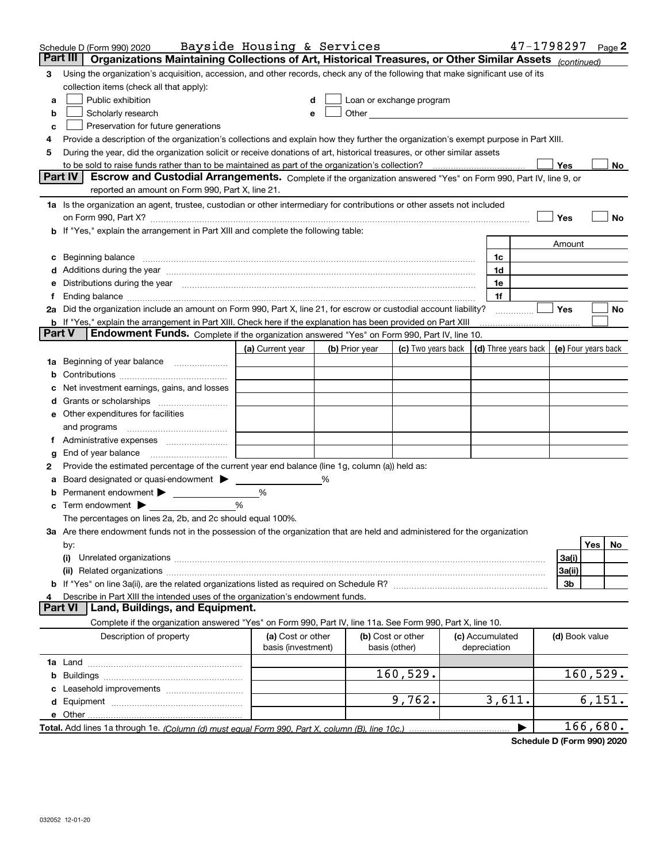|                | Schedule D (Form 990) 2020                                                                                                                                                                                                                                                                                                                           | Bayside Housing & Services              |   |                |                                                                             |                                 | 47-1798297 Page 2 |                |          |    |
|----------------|------------------------------------------------------------------------------------------------------------------------------------------------------------------------------------------------------------------------------------------------------------------------------------------------------------------------------------------------------|-----------------------------------------|---|----------------|-----------------------------------------------------------------------------|---------------------------------|-------------------|----------------|----------|----|
| Part III       | Organizations Maintaining Collections of Art, Historical Treasures, or Other Similar Assets (continued)                                                                                                                                                                                                                                              |                                         |   |                |                                                                             |                                 |                   |                |          |    |
| 3              | Using the organization's acquisition, accession, and other records, check any of the following that make significant use of its                                                                                                                                                                                                                      |                                         |   |                |                                                                             |                                 |                   |                |          |    |
|                | collection items (check all that apply):                                                                                                                                                                                                                                                                                                             |                                         |   |                |                                                                             |                                 |                   |                |          |    |
| a              | Public exhibition                                                                                                                                                                                                                                                                                                                                    |                                         |   |                | Loan or exchange program                                                    |                                 |                   |                |          |    |
| b              | Scholarly research                                                                                                                                                                                                                                                                                                                                   |                                         |   |                |                                                                             |                                 |                   |                |          |    |
| c              | Preservation for future generations                                                                                                                                                                                                                                                                                                                  |                                         |   |                |                                                                             |                                 |                   |                |          |    |
|                | Provide a description of the organization's collections and explain how they further the organization's exempt purpose in Part XIII.                                                                                                                                                                                                                 |                                         |   |                |                                                                             |                                 |                   |                |          |    |
| 5              | During the year, did the organization solicit or receive donations of art, historical treasures, or other similar assets                                                                                                                                                                                                                             |                                         |   |                |                                                                             |                                 |                   |                |          |    |
|                | to be sold to raise funds rather than to be maintained as part of the organization's collection?                                                                                                                                                                                                                                                     |                                         |   |                |                                                                             |                                 |                   | Yes            |          | No |
|                | <b>Part IV</b><br>Escrow and Custodial Arrangements. Complete if the organization answered "Yes" on Form 990, Part IV, line 9, or                                                                                                                                                                                                                    |                                         |   |                |                                                                             |                                 |                   |                |          |    |
|                | reported an amount on Form 990, Part X, line 21.                                                                                                                                                                                                                                                                                                     |                                         |   |                |                                                                             |                                 |                   |                |          |    |
|                | 1a Is the organization an agent, trustee, custodian or other intermediary for contributions or other assets not included                                                                                                                                                                                                                             |                                         |   |                |                                                                             |                                 |                   |                |          |    |
|                |                                                                                                                                                                                                                                                                                                                                                      |                                         |   |                |                                                                             |                                 |                   | Yes            |          | No |
|                | b If "Yes," explain the arrangement in Part XIII and complete the following table:                                                                                                                                                                                                                                                                   |                                         |   |                |                                                                             |                                 |                   |                |          |    |
|                |                                                                                                                                                                                                                                                                                                                                                      |                                         |   |                |                                                                             |                                 |                   | Amount         |          |    |
|                | Beginning balance                                                                                                                                                                                                                                                                                                                                    |                                         |   |                |                                                                             | 1c                              |                   |                |          |    |
|                | Additions during the year manufactured and an annual contract of the year manufactured and a set of the year manufactured and a set of the year manufactured and a set of the year manufactured and set of the year manufactur                                                                                                                       |                                         |   |                |                                                                             | 1d<br>1e                        |                   |                |          |    |
|                | Distributions during the year measurement contains and the year of the set of the set of the set of the set of                                                                                                                                                                                                                                       |                                         |   |                |                                                                             | 1f                              |                   |                |          |    |
|                | Ending balance manufactured and contract the contract of the contract of the contract of the contract of the contract of the contract of the contract of the contract of the contract of the contract of the contract of the c<br>2a Did the organization include an amount on Form 990, Part X, line 21, for escrow or custodial account liability? |                                         |   |                |                                                                             |                                 |                   | Yes            |          | No |
|                | b If "Yes," explain the arrangement in Part XIII. Check here if the explanation has been provided on Part XIII                                                                                                                                                                                                                                       |                                         |   |                |                                                                             |                                 |                   |                |          |    |
| <b>Part V</b>  | <b>Endowment Funds.</b> Complete if the organization answered "Yes" on Form 990, Part IV, line 10.                                                                                                                                                                                                                                                   |                                         |   |                |                                                                             |                                 |                   |                |          |    |
|                |                                                                                                                                                                                                                                                                                                                                                      | (a) Current year                        |   | (b) Prior year | (c) Two years back $\vert$ (d) Three years back $\vert$ (e) Four years back |                                 |                   |                |          |    |
|                | 1a Beginning of year balance                                                                                                                                                                                                                                                                                                                         |                                         |   |                |                                                                             |                                 |                   |                |          |    |
|                |                                                                                                                                                                                                                                                                                                                                                      |                                         |   |                |                                                                             |                                 |                   |                |          |    |
|                | Net investment earnings, gains, and losses                                                                                                                                                                                                                                                                                                           |                                         |   |                |                                                                             |                                 |                   |                |          |    |
|                |                                                                                                                                                                                                                                                                                                                                                      |                                         |   |                |                                                                             |                                 |                   |                |          |    |
|                | e Other expenditures for facilities                                                                                                                                                                                                                                                                                                                  |                                         |   |                |                                                                             |                                 |                   |                |          |    |
|                | and programs                                                                                                                                                                                                                                                                                                                                         |                                         |   |                |                                                                             |                                 |                   |                |          |    |
|                |                                                                                                                                                                                                                                                                                                                                                      |                                         |   |                |                                                                             |                                 |                   |                |          |    |
| g              | End of year balance                                                                                                                                                                                                                                                                                                                                  |                                         |   |                |                                                                             |                                 |                   |                |          |    |
| 2              | Provide the estimated percentage of the current year end balance (line 1g, column (a)) held as:                                                                                                                                                                                                                                                      |                                         |   |                |                                                                             |                                 |                   |                |          |    |
|                | Board designated or quasi-endowment                                                                                                                                                                                                                                                                                                                  |                                         | % |                |                                                                             |                                 |                   |                |          |    |
| b              | Permanent endowment                                                                                                                                                                                                                                                                                                                                  | %                                       |   |                |                                                                             |                                 |                   |                |          |    |
| c              | Term endowment $\blacktriangleright$                                                                                                                                                                                                                                                                                                                 | %                                       |   |                |                                                                             |                                 |                   |                |          |    |
|                | The percentages on lines 2a, 2b, and 2c should equal 100%.                                                                                                                                                                                                                                                                                           |                                         |   |                |                                                                             |                                 |                   |                |          |    |
|                | <b>3a</b> Are there endowment funds not in the possession of the organization that are held and administered for the organization                                                                                                                                                                                                                    |                                         |   |                |                                                                             |                                 |                   |                |          |    |
|                | by:                                                                                                                                                                                                                                                                                                                                                  |                                         |   |                |                                                                             |                                 |                   |                | Yes      | No |
|                | (i)                                                                                                                                                                                                                                                                                                                                                  |                                         |   |                |                                                                             |                                 |                   | 3a(i)          |          |    |
|                |                                                                                                                                                                                                                                                                                                                                                      |                                         |   |                |                                                                             |                                 |                   | 3a(ii)         |          |    |
|                |                                                                                                                                                                                                                                                                                                                                                      |                                         |   |                |                                                                             |                                 |                   | 3b             |          |    |
| <b>Part VI</b> | Describe in Part XIII the intended uses of the organization's endowment funds.<br>Land, Buildings, and Equipment.                                                                                                                                                                                                                                    |                                         |   |                |                                                                             |                                 |                   |                |          |    |
|                |                                                                                                                                                                                                                                                                                                                                                      |                                         |   |                |                                                                             |                                 |                   |                |          |    |
|                | Complete if the organization answered "Yes" on Form 990, Part IV, line 11a. See Form 990, Part X, line 10.                                                                                                                                                                                                                                           |                                         |   |                |                                                                             |                                 |                   |                |          |    |
|                | Description of property                                                                                                                                                                                                                                                                                                                              | (a) Cost or other<br>basis (investment) |   | basis (other)  | (b) Cost or other                                                           | (c) Accumulated<br>depreciation |                   | (d) Book value |          |    |
|                |                                                                                                                                                                                                                                                                                                                                                      |                                         |   |                |                                                                             |                                 |                   |                |          |    |
|                |                                                                                                                                                                                                                                                                                                                                                      |                                         |   |                | 160,529.                                                                    |                                 |                   |                | 160,529. |    |
|                |                                                                                                                                                                                                                                                                                                                                                      |                                         |   |                |                                                                             |                                 |                   |                |          |    |
|                |                                                                                                                                                                                                                                                                                                                                                      |                                         |   |                | 9,762.                                                                      | 3,611.                          |                   |                | 6,151.   |    |
|                | e Other.                                                                                                                                                                                                                                                                                                                                             |                                         |   |                |                                                                             |                                 |                   |                |          |    |
|                |                                                                                                                                                                                                                                                                                                                                                      |                                         |   |                |                                                                             |                                 | ▶                 |                | 166,680. |    |
|                |                                                                                                                                                                                                                                                                                                                                                      |                                         |   |                |                                                                             |                                 |                   |                |          |    |

**Schedule D (Form 990) 2020**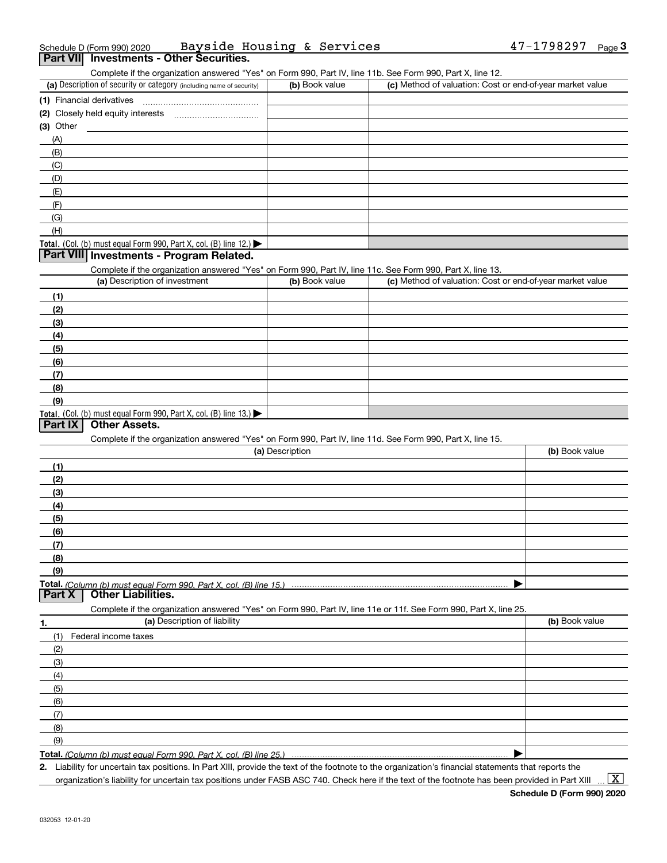| Schedule D (Form 990) 2020 |                                          | Bayside Housing & Services |  | $47 - 1798297$ Page |  |
|----------------------------|------------------------------------------|----------------------------|--|---------------------|--|
|                            | Part VII Investments - Other Securities. |                            |  |                     |  |

Complete if the organization answered "Yes" on Form 990, Part IV, line 11b. See Form 990, Part X, line 12.

| (a) Description of security or category (including name of security)                          | (b) Book value | (c) Method of valuation: Cost or end-of-year market value |
|-----------------------------------------------------------------------------------------------|----------------|-----------------------------------------------------------|
| (1) Financial derivatives                                                                     |                |                                                           |
| (2) Closely held equity interests                                                             |                |                                                           |
| $(3)$ Other                                                                                   |                |                                                           |
| (A)                                                                                           |                |                                                           |
| (B)                                                                                           |                |                                                           |
| (C)                                                                                           |                |                                                           |
| (D)                                                                                           |                |                                                           |
| (E)                                                                                           |                |                                                           |
| (F)                                                                                           |                |                                                           |
| (G)                                                                                           |                |                                                           |
| (H)                                                                                           |                |                                                           |
| <b>Total.</b> (Col. (b) must equal Form 990, Part X, col. (B) line 12.) $\blacktriangleright$ |                |                                                           |

#### **Part VIII Investments - Program Related.**

Complete if the organization answered "Yes" on Form 990, Part IV, line 11c. See Form 990, Part X, line 13.

| (a) Description of investment                                                                 | (b) Book value | (c) Method of valuation: Cost or end-of-year market value |
|-----------------------------------------------------------------------------------------------|----------------|-----------------------------------------------------------|
| (1)                                                                                           |                |                                                           |
| (2)                                                                                           |                |                                                           |
| $\frac{1}{2}$                                                                                 |                |                                                           |
| (4)                                                                                           |                |                                                           |
| (5)                                                                                           |                |                                                           |
| (6)                                                                                           |                |                                                           |
| (7)                                                                                           |                |                                                           |
| (8)                                                                                           |                |                                                           |
| (9)                                                                                           |                |                                                           |
| <b>Total.</b> (Col. (b) must equal Form 990, Part X, col. (B) line 13.) $\blacktriangleright$ |                |                                                           |

### **Part IX Other Assets.**

Complete if the organization answered "Yes" on Form 990, Part IV, line 11d. See Form 990, Part X, line 15.

|     | (a) Description                                                                                                                       | (b) Book value |
|-----|---------------------------------------------------------------------------------------------------------------------------------------|----------------|
| (1) |                                                                                                                                       |                |
| (2) |                                                                                                                                       |                |
| (3) |                                                                                                                                       |                |
| (4) |                                                                                                                                       |                |
| (5) |                                                                                                                                       |                |
| (6) |                                                                                                                                       |                |
| (7) |                                                                                                                                       |                |
| (8) |                                                                                                                                       |                |
| (9) |                                                                                                                                       |                |
|     |                                                                                                                                       |                |
|     | Total. (Column (b) must equal Form 990. Part X. col. (B) line 15.) ………………………………………………………………………………………<br>  Part X   Other Liabilities. |                |
|     | Complete if the organization answered "Yes" on Form 990, Part IV, line 11e or 11f. See Form 990, Part X, line 25.                     |                |
| 1.  | (a) Description of liability                                                                                                          | (b) Book value |
| (1) | Federal income taxes                                                                                                                  |                |
| (2) |                                                                                                                                       |                |
| (0) |                                                                                                                                       |                |

| $\sqrt{6}$ |  |
|------------|--|
|            |  |
| 61         |  |
| (૨         |  |

**Total.**  *(Column (b) must equal Form 990, Part X, col. (B) line 25.)* 

**2.** Liability for uncertain tax positions. In Part XIII, provide the text of the footnote to the organization's financial statements that reports the

organization's liability for uncertain tax positions under FASB ASC 740. Check here if the text of the footnote has been provided in Part XIII

 $\vert$  X  $\vert$ 

 $\blacktriangleright$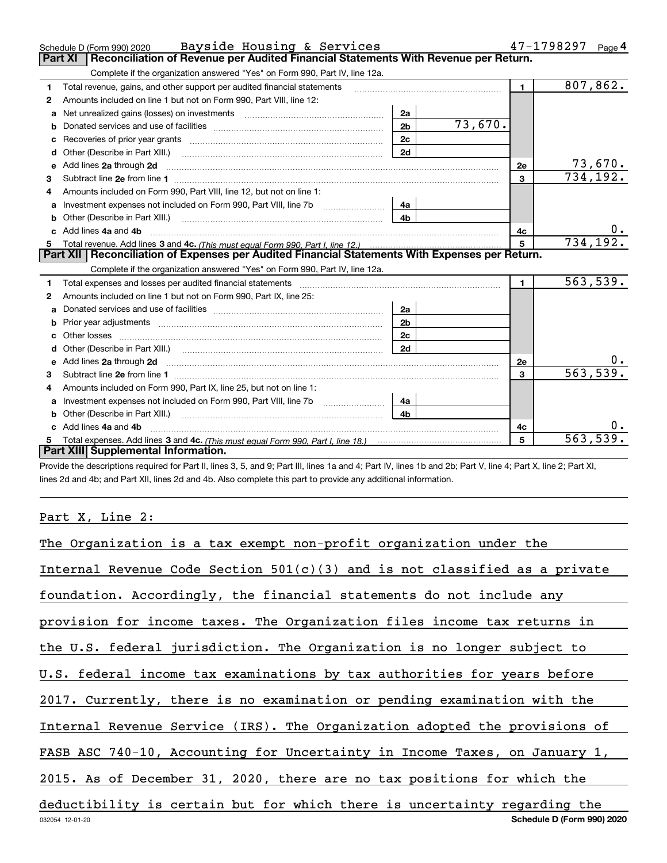|    | Bayside Housing & Services<br>Schedule D (Form 990) 2020                                                                                                                                                                       |                |         | $47 - 1798297$ Page 4 |           |
|----|--------------------------------------------------------------------------------------------------------------------------------------------------------------------------------------------------------------------------------|----------------|---------|-----------------------|-----------|
|    | Reconciliation of Revenue per Audited Financial Statements With Revenue per Return.<br><b>Part XI</b>                                                                                                                          |                |         |                       |           |
|    | Complete if the organization answered "Yes" on Form 990, Part IV, line 12a.                                                                                                                                                    |                |         |                       |           |
| 1  | Total revenue, gains, and other support per audited financial statements                                                                                                                                                       |                |         | $\blacksquare$        | 807,862.  |
| 2  | Amounts included on line 1 but not on Form 990, Part VIII, line 12:                                                                                                                                                            |                |         |                       |           |
| a  | Net unrealized gains (losses) on investments [11] [12] [12] [13] [13] Net unrealized gains (losses) on investments                                                                                                             | 2a             |         |                       |           |
|    |                                                                                                                                                                                                                                | 2 <sub>b</sub> | 73,670. |                       |           |
| с  | Recoveries of prior year grants [11,111] Recoveries of prior year grants [11,111] Recoveries of prior year grants                                                                                                              | 2c             |         |                       |           |
| d  | Other (Describe in Part XIII.) <b>Construction Construction</b> Chern Construction Chern Chern Chern Chern Chern Chern                                                                                                         | 2d             |         |                       |           |
| е  | Add lines 2a through 2d                                                                                                                                                                                                        |                |         | <b>2e</b>             | 73,670.   |
| 3  |                                                                                                                                                                                                                                |                |         | 3                     | 734, 192. |
| 4  | Amounts included on Form 990, Part VIII, line 12, but not on line 1:                                                                                                                                                           |                |         |                       |           |
| a  | Investment expenses not included on Form 990, Part VIII, line 7b [1000000000000000000000000000000000                                                                                                                           | 4a             |         |                       |           |
| b  | Other (Describe in Part XIII.)                                                                                                                                                                                                 | 4b             |         |                       |           |
| c. | Add lines 4a and 4b                                                                                                                                                                                                            |                |         | 4c                    |           |
|    |                                                                                                                                                                                                                                |                |         | 5                     | 734, 192. |
|    | Part XII Reconciliation of Expenses per Audited Financial Statements With Expenses per Return.                                                                                                                                 |                |         |                       |           |
|    | Complete if the organization answered "Yes" on Form 990, Part IV, line 12a.                                                                                                                                                    |                |         |                       |           |
| 1  | Total expenses and losses per audited financial statements                                                                                                                                                                     |                |         | $\blacksquare$        | 563,539.  |
| 2  | Amounts included on line 1 but not on Form 990, Part IX, line 25:                                                                                                                                                              |                |         |                       |           |
| a  |                                                                                                                                                                                                                                | 2a             |         |                       |           |
| b  |                                                                                                                                                                                                                                | 2 <sub>b</sub> |         |                       |           |
|    |                                                                                                                                                                                                                                | 2 <sub>c</sub> |         |                       |           |
| d  | Other (Describe in Part XIII.) (2000) (2000) (2000) (2000) (2000) (2000) (2000) (2000) (2000) (2000) (2000) (2000) (2000) (2000) (2000) (2000) (2000) (2000) (2000) (2000) (2000) (2000) (2000) (2000) (2000) (2000) (2000) (2 | 2d             |         |                       |           |
| е  | Add lines 2a through 2d <b>continuum contract and all and all and all and all and all and all and all and all and a</b>                                                                                                        |                |         | 2e                    |           |
| 3  |                                                                                                                                                                                                                                |                |         | 3                     | 563,539.  |
| 4  | Amounts included on Form 990, Part IX, line 25, but not on line 1:                                                                                                                                                             |                |         |                       |           |
| a  |                                                                                                                                                                                                                                | 4a             |         |                       |           |
|    | Other (Describe in Part XIII.)                                                                                                                                                                                                 | 4 <sub>b</sub> |         |                       |           |
|    | c Add lines 4a and 4b                                                                                                                                                                                                          |                |         | 4c                    |           |
|    | Total expenses. Add lines 3 and 4c. (This must equal Form 990. Part I. line 18.) <b>Conservers</b> manufactured in the                                                                                                         |                |         | 5                     | 563,539.  |
|    | Part XIII Supplemental Information.                                                                                                                                                                                            |                |         |                       |           |

Provide the descriptions required for Part II, lines 3, 5, and 9; Part III, lines 1a and 4; Part IV, lines 1b and 2b; Part V, line 4; Part X, line 2; Part XI, lines 2d and 4b; and Part XII, lines 2d and 4b. Also complete this part to provide any additional information.

### Part X, Line 2:

| The Organization is a tax exempt non-profit organization under the           |
|------------------------------------------------------------------------------|
| Internal Revenue Code Section $501(c)(3)$ and is not classified as a private |
| foundation. Accordingly, the financial statements do not include any         |
| provision for income taxes. The Organization files income tax returns in     |
| the U.S. federal jurisdiction. The Organization is no longer subject to      |
| U.S. federal income tax examinations by tax authorities for years before     |
| 2017. Currently, there is no examination or pending examination with the     |
| Internal Revenue Service (IRS). The Organization adopted the provisions of   |
| FASB ASC 740-10, Accounting for Uncertainty in Income Taxes, on January 1,   |
| 2015. As of December 31, 2020, there are no tax positions for which the      |
| deductibility is certain but for which there is uncertainty regarding the    |
| Schedule D (Form 990) 2020<br>032054 12-01-20                                |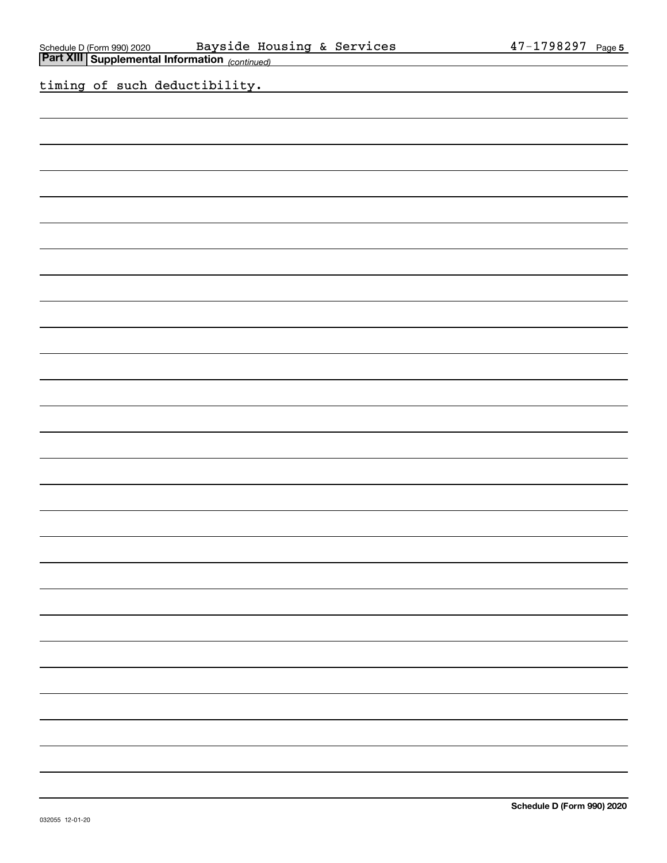the contract of the contract

 $\overline{\phantom{a}}$ 

<u> The Communication</u>

 $\overline{\phantom{a}}$ 

 $\overline{\phantom{0}}$ 

 $\overline{\phantom{0}}$ 

 $\overline{\phantom{0}}$ 

 $\overline{\phantom{a}}$ 

<u> a shekara ta 1999</u>

the contract of the con-

 $\overline{\phantom{a}}$ 

 $\overline{\phantom{0}}$ 

 $\sim$ 

| Schedule D (Form 990) 2020 Bayside Housing & Services<br>Part XIII Supplemental Information <sub>(continued)</sub> |  |  |  |  |  |  | 47-1798297 Page           |  |
|--------------------------------------------------------------------------------------------------------------------|--|--|--|--|--|--|---------------------------|--|
|                                                                                                                    |  |  |  |  |  |  |                           |  |
| timing of such deductibility.                                                                                      |  |  |  |  |  |  |                           |  |
|                                                                                                                    |  |  |  |  |  |  |                           |  |
|                                                                                                                    |  |  |  |  |  |  |                           |  |
|                                                                                                                    |  |  |  |  |  |  |                           |  |
|                                                                                                                    |  |  |  |  |  |  |                           |  |
|                                                                                                                    |  |  |  |  |  |  |                           |  |
|                                                                                                                    |  |  |  |  |  |  |                           |  |
|                                                                                                                    |  |  |  |  |  |  |                           |  |
|                                                                                                                    |  |  |  |  |  |  |                           |  |
|                                                                                                                    |  |  |  |  |  |  |                           |  |
|                                                                                                                    |  |  |  |  |  |  |                           |  |
|                                                                                                                    |  |  |  |  |  |  |                           |  |
|                                                                                                                    |  |  |  |  |  |  |                           |  |
|                                                                                                                    |  |  |  |  |  |  |                           |  |
|                                                                                                                    |  |  |  |  |  |  |                           |  |
|                                                                                                                    |  |  |  |  |  |  |                           |  |
|                                                                                                                    |  |  |  |  |  |  |                           |  |
|                                                                                                                    |  |  |  |  |  |  |                           |  |
|                                                                                                                    |  |  |  |  |  |  |                           |  |
|                                                                                                                    |  |  |  |  |  |  |                           |  |
|                                                                                                                    |  |  |  |  |  |  |                           |  |
|                                                                                                                    |  |  |  |  |  |  |                           |  |
|                                                                                                                    |  |  |  |  |  |  |                           |  |
|                                                                                                                    |  |  |  |  |  |  |                           |  |
|                                                                                                                    |  |  |  |  |  |  |                           |  |
|                                                                                                                    |  |  |  |  |  |  |                           |  |
|                                                                                                                    |  |  |  |  |  |  |                           |  |
|                                                                                                                    |  |  |  |  |  |  |                           |  |
|                                                                                                                    |  |  |  |  |  |  |                           |  |
|                                                                                                                    |  |  |  |  |  |  |                           |  |
|                                                                                                                    |  |  |  |  |  |  |                           |  |
|                                                                                                                    |  |  |  |  |  |  |                           |  |
|                                                                                                                    |  |  |  |  |  |  |                           |  |
|                                                                                                                    |  |  |  |  |  |  |                           |  |
|                                                                                                                    |  |  |  |  |  |  |                           |  |
|                                                                                                                    |  |  |  |  |  |  |                           |  |
|                                                                                                                    |  |  |  |  |  |  |                           |  |
|                                                                                                                    |  |  |  |  |  |  |                           |  |
| 032055 12-01-20                                                                                                    |  |  |  |  |  |  | Schedule D (Form 990) 20: |  |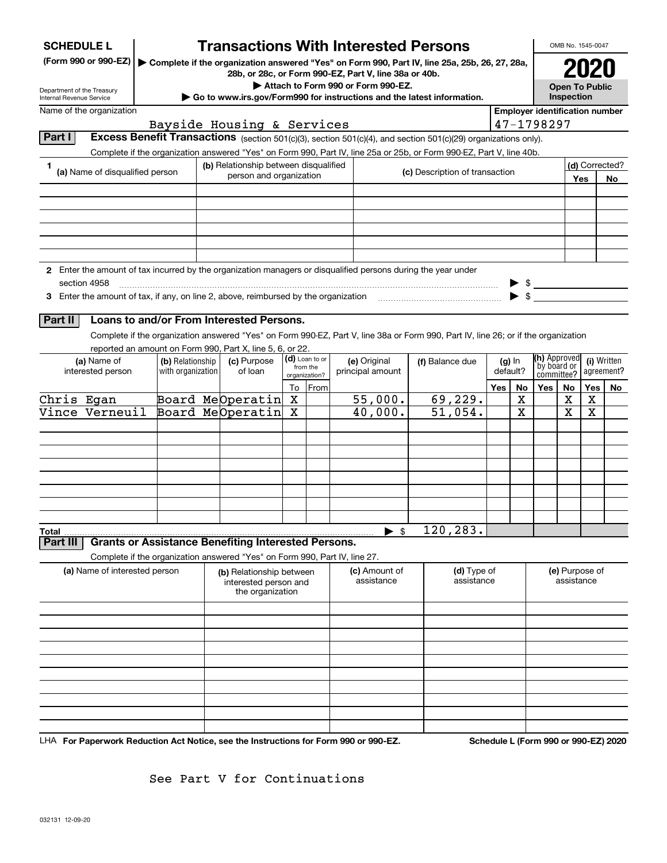| <b>SCHEDULE L</b>                                                                                   |                                                                                             |                   | <b>Transactions With Interested Persons</b>                                                                                              |        |                           |                                                                                                                                                                                                                                        |                                |                                   |          |                       |                                       | OMB No. 1545-0047 |            |                |  |
|-----------------------------------------------------------------------------------------------------|---------------------------------------------------------------------------------------------|-------------------|------------------------------------------------------------------------------------------------------------------------------------------|--------|---------------------------|----------------------------------------------------------------------------------------------------------------------------------------------------------------------------------------------------------------------------------------|--------------------------------|-----------------------------------|----------|-----------------------|---------------------------------------|-------------------|------------|----------------|--|
| (Form 990 or 990-EZ)                                                                                |                                                                                             |                   |                                                                                                                                          |        |                           | Complete if the organization answered "Yes" on Form 990, Part IV, line 25a, 25b, 26, 27, 28a,                                                                                                                                          |                                |                                   |          |                       | 2020                                  |                   |            |                |  |
|                                                                                                     | 28b, or 28c, or Form 990-EZ, Part V, line 38a or 40b.<br>Attach to Form 990 or Form 990-EZ. |                   |                                                                                                                                          |        |                           |                                                                                                                                                                                                                                        |                                |                                   |          | <b>Open To Public</b> |                                       |                   |            |                |  |
| Department of the Treasury<br>Internal Revenue Service                                              |                                                                                             |                   |                                                                                                                                          |        |                           | Go to www.irs.gov/Form990 for instructions and the latest information.                                                                                                                                                                 |                                |                                   |          |                       |                                       | Inspection        |            |                |  |
| Name of the organization                                                                            |                                                                                             |                   |                                                                                                                                          |        |                           |                                                                                                                                                                                                                                        |                                |                                   |          |                       | <b>Employer identification number</b> |                   |            |                |  |
| Part I                                                                                              |                                                                                             |                   | Bayside Housing & Services                                                                                                               |        |                           |                                                                                                                                                                                                                                        |                                |                                   |          |                       | 47-1798297                            |                   |            |                |  |
|                                                                                                     |                                                                                             |                   |                                                                                                                                          |        |                           | Excess Benefit Transactions (section 501(c)(3), section 501(c)(4), and section 501(c)(29) organizations only).<br>Complete if the organization answered "Yes" on Form 990, Part IV, line 25a or 25b, or Form 990-EZ, Part V, line 40b. |                                |                                   |          |                       |                                       |                   |            |                |  |
| 1                                                                                                   |                                                                                             |                   | (b) Relationship between disqualified                                                                                                    |        |                           |                                                                                                                                                                                                                                        |                                |                                   |          |                       |                                       |                   |            | (d) Corrected? |  |
| (a) Name of disqualified person                                                                     |                                                                                             |                   | person and organization                                                                                                                  |        |                           |                                                                                                                                                                                                                                        | (c) Description of transaction |                                   |          |                       |                                       |                   | Yes<br>No  |                |  |
|                                                                                                     |                                                                                             |                   |                                                                                                                                          |        |                           |                                                                                                                                                                                                                                        |                                |                                   |          |                       |                                       |                   |            |                |  |
|                                                                                                     |                                                                                             |                   |                                                                                                                                          |        |                           |                                                                                                                                                                                                                                        |                                |                                   |          |                       |                                       |                   |            |                |  |
|                                                                                                     |                                                                                             |                   |                                                                                                                                          |        |                           |                                                                                                                                                                                                                                        |                                |                                   |          |                       |                                       |                   |            |                |  |
|                                                                                                     |                                                                                             |                   |                                                                                                                                          |        |                           |                                                                                                                                                                                                                                        |                                |                                   |          |                       |                                       |                   |            |                |  |
|                                                                                                     |                                                                                             |                   |                                                                                                                                          |        |                           |                                                                                                                                                                                                                                        |                                |                                   |          |                       |                                       |                   |            |                |  |
|                                                                                                     |                                                                                             |                   |                                                                                                                                          |        |                           | 2 Enter the amount of tax incurred by the organization managers or disqualified persons during the year under                                                                                                                          |                                |                                   |          |                       |                                       |                   |            |                |  |
| section 4958<br>3 Enter the amount of tax, if any, on line 2, above, reimbursed by the organization |                                                                                             |                   |                                                                                                                                          |        |                           |                                                                                                                                                                                                                                        |                                |                                   |          |                       | $\triangleright$ \$                   |                   |            |                |  |
|                                                                                                     |                                                                                             |                   |                                                                                                                                          |        |                           |                                                                                                                                                                                                                                        |                                |                                   |          |                       |                                       |                   |            |                |  |
| Part II                                                                                             |                                                                                             |                   | Loans to and/or From Interested Persons.                                                                                                 |        |                           |                                                                                                                                                                                                                                        |                                |                                   |          |                       |                                       |                   |            |                |  |
|                                                                                                     |                                                                                             |                   |                                                                                                                                          |        |                           | Complete if the organization answered "Yes" on Form 990-EZ, Part V, line 38a or Form 990, Part IV, line 26; or if the organization                                                                                                     |                                |                                   |          |                       |                                       |                   |            |                |  |
| (a) Name of                                                                                         |                                                                                             | (b) Relationship  | reported an amount on Form 990, Part X, line 5, 6, or 22.<br>(c) Purpose                                                                 |        | (d) Loan to or            | (e) Original                                                                                                                                                                                                                           | (f) Balance due                |                                   |          | $(g)$ In              | (h) Approved                          |                   |            | (i) Written    |  |
| interested person                                                                                   |                                                                                             | with organization | of loan                                                                                                                                  |        | from the<br>organization? | principal amount                                                                                                                                                                                                                       |                                |                                   | default? |                       | `by board or<br>committee?            |                   | agreement? |                |  |
|                                                                                                     |                                                                                             |                   |                                                                                                                                          | To     | From                      |                                                                                                                                                                                                                                        |                                |                                   | Yes      | No                    | <b>Yes</b>                            | No                | Yes        | No             |  |
| Chris Egan<br>Vince Verneuil                                                                        |                                                                                             |                   | Board MeOperatin<br>Board MeOperatin                                                                                                     | x<br>х |                           | 55,000.<br>40,000.                                                                                                                                                                                                                     |                                | 69,229.<br>$\overline{51}$ , 054. |          | Х<br>х                |                                       | х<br>X            | х<br>X     |                |  |
|                                                                                                     |                                                                                             |                   |                                                                                                                                          |        |                           |                                                                                                                                                                                                                                        |                                |                                   |          |                       |                                       |                   |            |                |  |
|                                                                                                     |                                                                                             |                   |                                                                                                                                          |        |                           |                                                                                                                                                                                                                                        |                                |                                   |          |                       |                                       |                   |            |                |  |
|                                                                                                     |                                                                                             |                   |                                                                                                                                          |        |                           |                                                                                                                                                                                                                                        |                                |                                   |          |                       |                                       |                   |            |                |  |
|                                                                                                     |                                                                                             |                   |                                                                                                                                          |        |                           |                                                                                                                                                                                                                                        |                                |                                   |          |                       |                                       |                   |            |                |  |
|                                                                                                     |                                                                                             |                   |                                                                                                                                          |        |                           |                                                                                                                                                                                                                                        |                                |                                   |          |                       |                                       |                   |            |                |  |
|                                                                                                     |                                                                                             |                   |                                                                                                                                          |        |                           |                                                                                                                                                                                                                                        |                                |                                   |          |                       |                                       |                   |            |                |  |
|                                                                                                     |                                                                                             |                   |                                                                                                                                          |        |                           |                                                                                                                                                                                                                                        |                                |                                   |          |                       |                                       |                   |            |                |  |
| <b>Total</b>                                                                                        |                                                                                             |                   |                                                                                                                                          |        |                           | -\$                                                                                                                                                                                                                                    | 120, 283.                      |                                   |          |                       |                                       |                   |            |                |  |
| Part III                                                                                            |                                                                                             |                   | <b>Grants or Assistance Benefiting Interested Persons.</b><br>Complete if the organization answered "Yes" on Form 990, Part IV, line 27. |        |                           |                                                                                                                                                                                                                                        |                                |                                   |          |                       |                                       |                   |            |                |  |
|                                                                                                     | (a) Name of interested person                                                               |                   | (b) Relationship between                                                                                                                 |        |                           | (c) Amount of                                                                                                                                                                                                                          |                                | (d) Type of                       |          |                       |                                       | (e) Purpose of    |            |                |  |
|                                                                                                     |                                                                                             |                   | interested person and<br>the organization                                                                                                |        |                           | assistance                                                                                                                                                                                                                             |                                | assistance                        |          |                       | assistance                            |                   |            |                |  |
|                                                                                                     |                                                                                             |                   |                                                                                                                                          |        |                           |                                                                                                                                                                                                                                        |                                |                                   |          |                       |                                       |                   |            |                |  |
|                                                                                                     |                                                                                             |                   |                                                                                                                                          |        |                           |                                                                                                                                                                                                                                        |                                |                                   |          |                       |                                       |                   |            |                |  |
|                                                                                                     |                                                                                             |                   |                                                                                                                                          |        |                           |                                                                                                                                                                                                                                        |                                |                                   |          |                       |                                       |                   |            |                |  |
|                                                                                                     |                                                                                             |                   |                                                                                                                                          |        |                           |                                                                                                                                                                                                                                        |                                |                                   |          |                       |                                       |                   |            |                |  |
|                                                                                                     |                                                                                             |                   |                                                                                                                                          |        |                           |                                                                                                                                                                                                                                        |                                |                                   |          |                       |                                       |                   |            |                |  |
|                                                                                                     |                                                                                             |                   |                                                                                                                                          |        |                           |                                                                                                                                                                                                                                        |                                |                                   |          |                       |                                       |                   |            |                |  |
|                                                                                                     |                                                                                             |                   |                                                                                                                                          |        |                           |                                                                                                                                                                                                                                        |                                |                                   |          |                       |                                       |                   |            |                |  |
|                                                                                                     |                                                                                             |                   |                                                                                                                                          |        |                           |                                                                                                                                                                                                                                        |                                |                                   |          |                       |                                       |                   |            |                |  |
|                                                                                                     |                                                                                             |                   |                                                                                                                                          |        |                           |                                                                                                                                                                                                                                        |                                |                                   |          |                       |                                       |                   |            |                |  |

LHA For Paperwork Reduction Act Notice, see the Instructions for Form 990 or 990-EZ. Schedule L (Form 990 or 990-EZ) 2020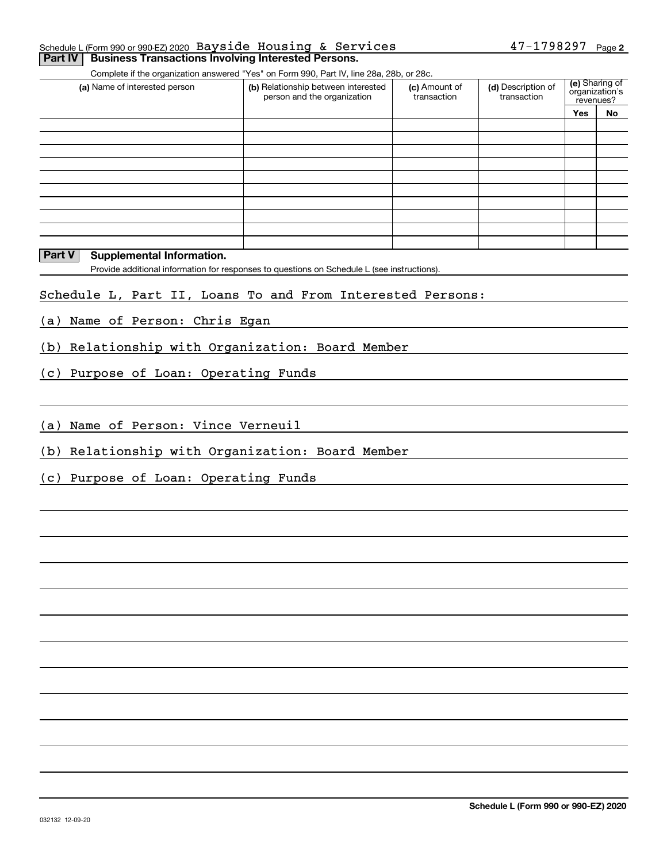|  | Schedule L (Form 990 or 990-EZ) 2020 Bayside Housing & Services    |  | $47 - 1798297$ Page 2 |  |
|--|--------------------------------------------------------------------|--|-----------------------|--|
|  | <b>Part IV Business Transactions Involving Interested Persons.</b> |  |                       |  |

Complete if the organization answered "Yes" on Form 990, Part IV, line 28a, 28b, or 28c.

| (a) Name of interested person | (b) Relationship between interested<br>person and the organization | (c) Amount of<br>transaction | (d) Description of<br>transaction | (e) Sharing of<br>organization's<br>revenues? |    |  |
|-------------------------------|--------------------------------------------------------------------|------------------------------|-----------------------------------|-----------------------------------------------|----|--|
|                               |                                                                    |                              |                                   | <b>Yes</b>                                    | No |  |
|                               |                                                                    |                              |                                   |                                               |    |  |
|                               |                                                                    |                              |                                   |                                               |    |  |
|                               |                                                                    |                              |                                   |                                               |    |  |
|                               |                                                                    |                              |                                   |                                               |    |  |
|                               |                                                                    |                              |                                   |                                               |    |  |
|                               |                                                                    |                              |                                   |                                               |    |  |
|                               |                                                                    |                              |                                   |                                               |    |  |
|                               |                                                                    |                              |                                   |                                               |    |  |
|                               |                                                                    |                              |                                   |                                               |    |  |
|                               |                                                                    |                              |                                   |                                               |    |  |

### **Part V** Supplemental Information.

Provide additional information for responses to questions on Schedule L (see instructions).

### Schedule L, Part II, Loans To and From Interested Persons:

(a) Name of Person: Chris Egan

(b) Relationship with Organization: Board Member

(c) Purpose of Loan: Operating Funds

(a) Name of Person: Vince Verneuil

(b) Relationship with Organization: Board Member

(c) Purpose of Loan: Operating Funds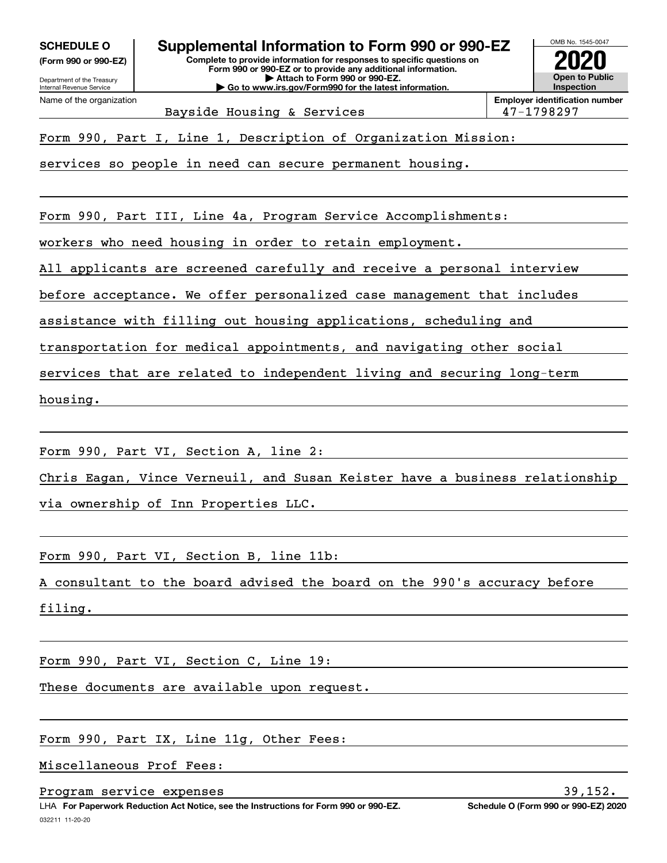**(Form 990 or 990-EZ)**

Department of the Treasury Internal Revenue Service Name of the organization

OMB No. 1545-0047 **Complete to provide information for responses to specific questions on SCHEDULE O Supplemental Information to Form 990 or 990-EZ**

**Form 990 or 990-EZ or to provide any additional information. | Attach to Form 990 or 990-EZ. | Go to www.irs.gov/Form990 for the latest information.**



Bayside Housing & Services 198297

Form 990, Part I, Line 1, Description of Organization Mission:

services so people in need can secure permanent housing.

Form 990, Part III, Line 4a, Program Service Accomplishments:

workers who need housing in order to retain employment.

All applicants are screened carefully and receive a personal interview

before acceptance. We offer personalized case management that includes

assistance with filling out housing applications, scheduling and

transportation for medical appointments, and navigating other social

services that are related to independent living and securing long-term

housing.

Form 990, Part VI, Section A, line 2:

Chris Eagan, Vince Verneuil, and Susan Keister have a business relationship

via ownership of Inn Properties LLC.

Form 990, Part VI, Section B, line 11b:

A consultant to the board advised the board on the 990's accuracy before

filing.

Form 990, Part VI, Section C, Line 19:

These documents are available upon request.

Form 990, Part IX, Line 11g, Other Fees:

Miscellaneous Prof Fees:

Program service expenses 39,152.